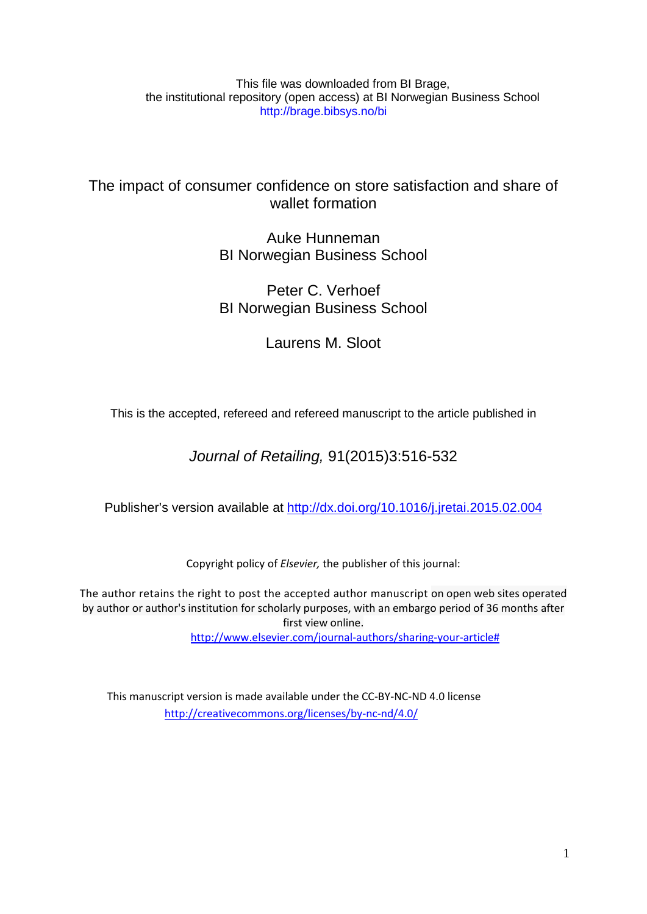This file was downloaded from BI Brage, the institutional repository (open access) at BI Norwegian Business School http://brage.bibsys.no/bi

# The impact of consumer confidence on store satisfaction and share of wallet formation

Auke Hunneman BI Norwegian Business School

Peter C. Verhoef BI Norwegian Business School

Laurens M. Sloot

This is the accepted, refereed and refereed manuscript to the article published in

# *Journal of Retailing,* 91(2015)3:516-532

Publisher's version available at http://dx.doi.org[/10.1016/j.jretai.2015.02.004](http://dx.doi.org.ezproxy.library.bi.no/10.1016/j.jretai.2015.02.004)

Copyright policy of *Elsevier,* the publisher of this journal:

The author retains the right to post the accepted author manuscript on open web sites operated by author or author's institution for scholarly purposes, with an embargo period of 36 months after first view online.

[http://www.elsevier.com/journal-authors/sharing-your-article#](http://www.elsevier.com/journal-authors/sharing-your-article)

This manuscript version is made available under the CC-BY-NC-ND 4.0 license <http://creativecommons.org/licenses/by-nc-nd/4.0/>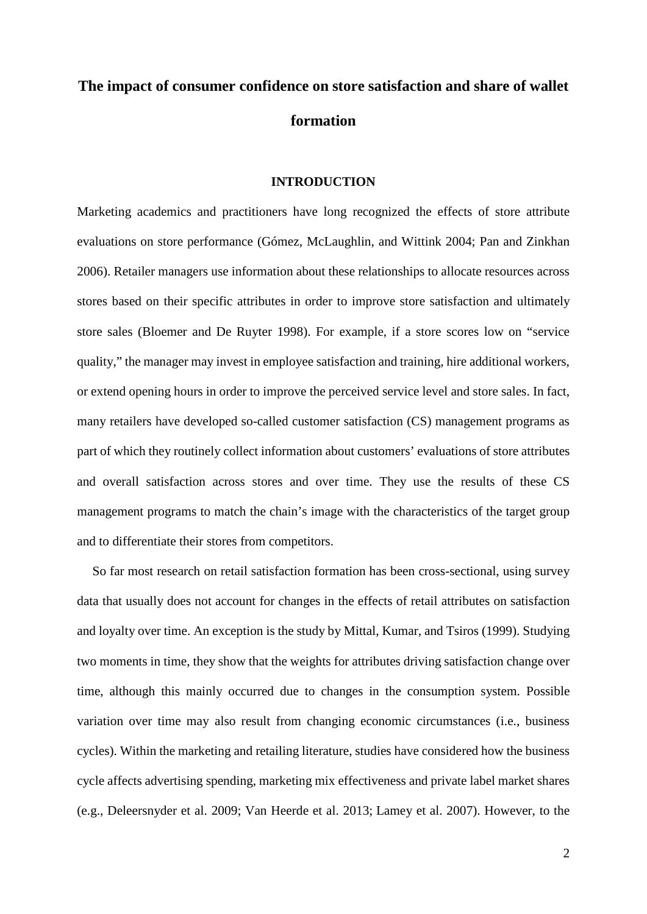# **The impact of consumer confidence on store satisfaction and share of wallet formation**

#### **INTRODUCTION**

Marketing academics and practitioners have long recognized the effects of store attribute evaluations on store performance (Gómez, McLaughlin, and Wittink 2004; Pan and Zinkhan 2006). Retailer managers use information about these relationships to allocate resources across stores based on their specific attributes in order to improve store satisfaction and ultimately store sales (Bloemer and De Ruyter 1998). For example, if a store scores low on "service quality," the manager may invest in employee satisfaction and training, hire additional workers, or extend opening hours in order to improve the perceived service level and store sales. In fact, many retailers have developed so-called customer satisfaction (CS) management programs as part of which they routinely collect information about customers' evaluations of store attributes and overall satisfaction across stores and over time. They use the results of these CS management programs to match the chain's image with the characteristics of the target group and to differentiate their stores from competitors.

So far most research on retail satisfaction formation has been cross-sectional, using survey data that usually does not account for changes in the effects of retail attributes on satisfaction and loyalty over time. An exception is the study by Mittal, Kumar, and Tsiros (1999). Studying two moments in time, they show that the weights for attributes driving satisfaction change over time, although this mainly occurred due to changes in the consumption system. Possible variation over time may also result from changing economic circumstances (i.e., business cycles). Within the marketing and retailing literature, studies have considered how the business cycle affects advertising spending, marketing mix effectiveness and private label market shares (e.g., Deleersnyder et al. 2009; Van Heerde et al. 2013; Lamey et al. 2007). However, to the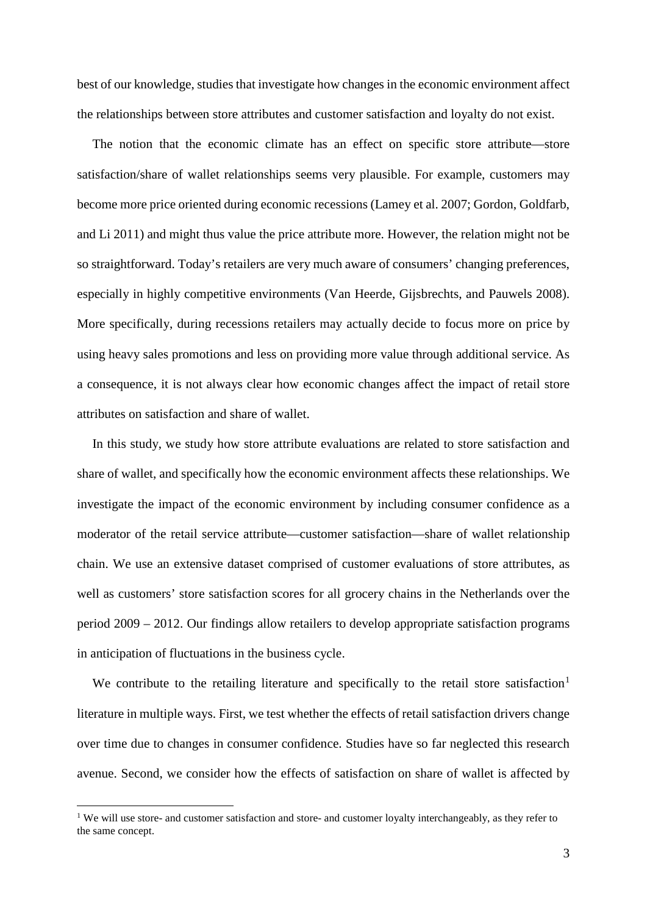best of our knowledge, studies that investigate how changes in the economic environment affect the relationships between store attributes and customer satisfaction and loyalty do not exist.

The notion that the economic climate has an effect on specific store attribute—store satisfaction/share of wallet relationships seems very plausible. For example, customers may become more price oriented during economic recessions (Lamey et al. 2007; Gordon, Goldfarb, and Li 2011) and might thus value the price attribute more. However, the relation might not be so straightforward. Today's retailers are very much aware of consumers' changing preferences, especially in highly competitive environments (Van Heerde, Gijsbrechts, and Pauwels 2008). More specifically, during recessions retailers may actually decide to focus more on price by using heavy sales promotions and less on providing more value through additional service. As a consequence, it is not always clear how economic changes affect the impact of retail store attributes on satisfaction and share of wallet.

In this study, we study how store attribute evaluations are related to store satisfaction and share of wallet, and specifically how the economic environment affects these relationships. We investigate the impact of the economic environment by including consumer confidence as a moderator of the retail service attribute—customer satisfaction—share of wallet relationship chain. We use an extensive dataset comprised of customer evaluations of store attributes, as well as customers' store satisfaction scores for all grocery chains in the Netherlands over the period 2009 – 2012. Our findings allow retailers to develop appropriate satisfaction programs in anticipation of fluctuations in the business cycle.

We contribute to the retailing literature and specifically to the retail store satisfaction<sup>[1](#page-2-0)</sup> literature in multiple ways. First, we test whether the effects of retail satisfaction drivers change over time due to changes in consumer confidence. Studies have so far neglected this research avenue. Second, we consider how the effects of satisfaction on share of wallet is affected by

 $\overline{\phantom{a}}$ 

<span id="page-2-0"></span><sup>&</sup>lt;sup>1</sup> We will use store- and customer satisfaction and store- and customer loyalty interchangeably, as they refer to the same concept.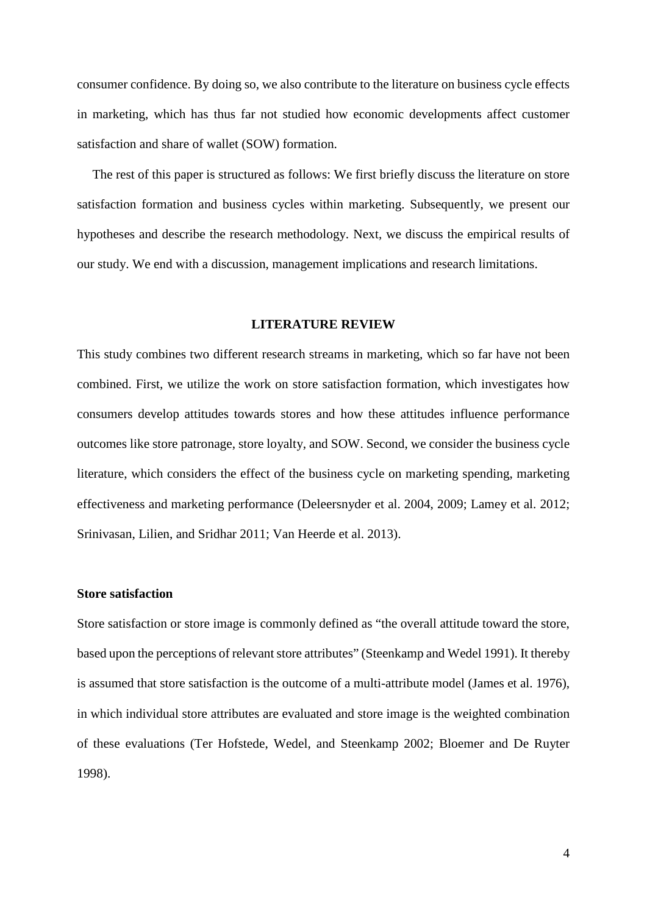consumer confidence. By doing so, we also contribute to the literature on business cycle effects in marketing, which has thus far not studied how economic developments affect customer satisfaction and share of wallet (SOW) formation.

The rest of this paper is structured as follows: We first briefly discuss the literature on store satisfaction formation and business cycles within marketing. Subsequently, we present our hypotheses and describe the research methodology. Next, we discuss the empirical results of our study. We end with a discussion, management implications and research limitations.

#### **LITERATURE REVIEW**

This study combines two different research streams in marketing, which so far have not been combined. First, we utilize the work on store satisfaction formation, which investigates how consumers develop attitudes towards stores and how these attitudes influence performance outcomes like store patronage, store loyalty, and SOW. Second, we consider the business cycle literature, which considers the effect of the business cycle on marketing spending, marketing effectiveness and marketing performance (Deleersnyder et al. 2004, 2009; Lamey et al. 2012; Srinivasan, Lilien, and Sridhar 2011; Van Heerde et al. 2013).

# **Store satisfaction**

Store satisfaction or store image is commonly defined as "the overall attitude toward the store, based upon the perceptions of relevant store attributes" (Steenkamp and Wedel 1991). It thereby is assumed that store satisfaction is the outcome of a multi-attribute model (James et al. 1976), in which individual store attributes are evaluated and store image is the weighted combination of these evaluations (Ter Hofstede, Wedel, and Steenkamp 2002; Bloemer and De Ruyter 1998).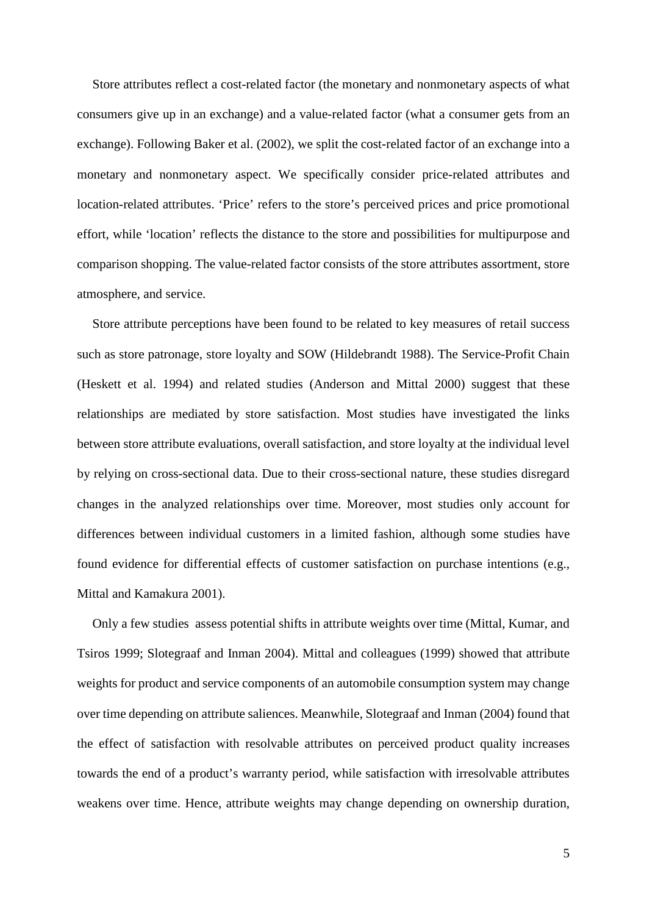Store attributes reflect a cost-related factor (the monetary and nonmonetary aspects of what consumers give up in an exchange) and a value-related factor (what a consumer gets from an exchange). Following Baker et al. (2002), we split the cost-related factor of an exchange into a monetary and nonmonetary aspect. We specifically consider price-related attributes and location-related attributes. 'Price' refers to the store's perceived prices and price promotional effort, while 'location' reflects the distance to the store and possibilities for multipurpose and comparison shopping. The value-related factor consists of the store attributes assortment, store atmosphere, and service.

Store attribute perceptions have been found to be related to key measures of retail success such as store patronage, store loyalty and SOW (Hildebrandt 1988). The Service-Profit Chain (Heskett et al. 1994) and related studies (Anderson and Mittal 2000) suggest that these relationships are mediated by store satisfaction. Most studies have investigated the links between store attribute evaluations, overall satisfaction, and store loyalty at the individual level by relying on cross-sectional data. Due to their cross-sectional nature, these studies disregard changes in the analyzed relationships over time. Moreover, most studies only account for differences between individual customers in a limited fashion, although some studies have found evidence for differential effects of customer satisfaction on purchase intentions (e.g., Mittal and Kamakura 2001).

Only a few studies assess potential shifts in attribute weights over time (Mittal, Kumar, and Tsiros 1999; Slotegraaf and Inman 2004). Mittal and colleagues (1999) showed that attribute weights for product and service components of an automobile consumption system may change over time depending on attribute saliences. Meanwhile, Slotegraaf and Inman (2004) found that the effect of satisfaction with resolvable attributes on perceived product quality increases towards the end of a product's warranty period, while satisfaction with irresolvable attributes weakens over time. Hence, attribute weights may change depending on ownership duration,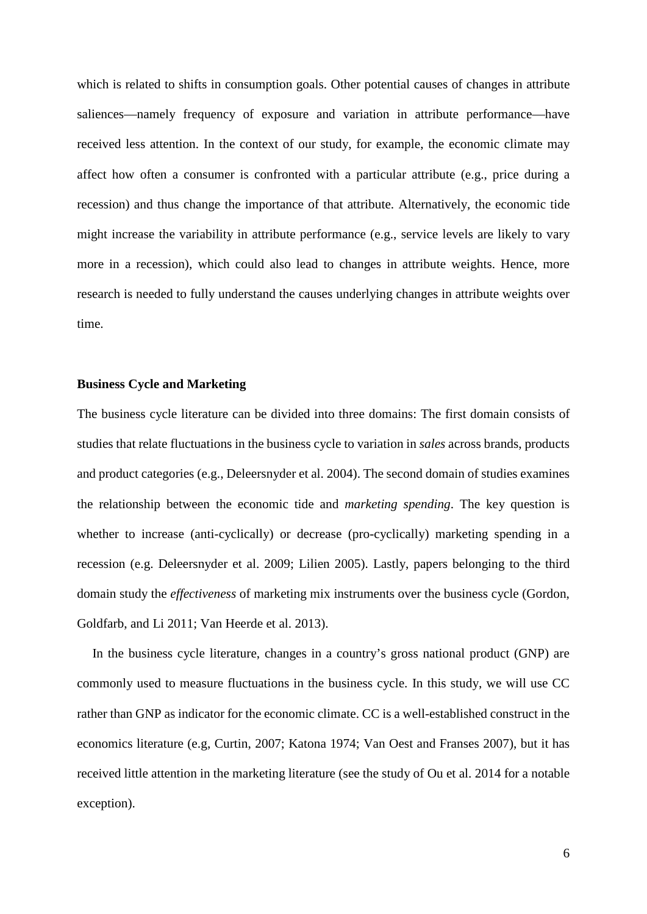which is related to shifts in consumption goals. Other potential causes of changes in attribute saliences—namely frequency of exposure and variation in attribute performance—have received less attention. In the context of our study, for example, the economic climate may affect how often a consumer is confronted with a particular attribute (e.g., price during a recession) and thus change the importance of that attribute. Alternatively, the economic tide might increase the variability in attribute performance (e.g., service levels are likely to vary more in a recession), which could also lead to changes in attribute weights. Hence, more research is needed to fully understand the causes underlying changes in attribute weights over time.

#### **Business Cycle and Marketing**

The business cycle literature can be divided into three domains: The first domain consists of studies that relate fluctuations in the business cycle to variation in *sales* across brands, products and product categories (e.g., Deleersnyder et al. 2004). The second domain of studies examines the relationship between the economic tide and *marketing spending*. The key question is whether to increase (anti-cyclically) or decrease (pro-cyclically) marketing spending in a recession (e.g. Deleersnyder et al. 2009; Lilien 2005). Lastly, papers belonging to the third domain study the *effectiveness* of marketing mix instruments over the business cycle (Gordon, Goldfarb, and Li 2011; Van Heerde et al. 2013).

In the business cycle literature, changes in a country's gross national product (GNP) are commonly used to measure fluctuations in the business cycle. In this study, we will use CC rather than GNP as indicator for the economic climate. CC is a well-established construct in the economics literature (e.g, Curtin, 2007; Katona 1974; Van Oest and Franses 2007), but it has received little attention in the marketing literature (see the study of Ou et al. 2014 for a notable exception).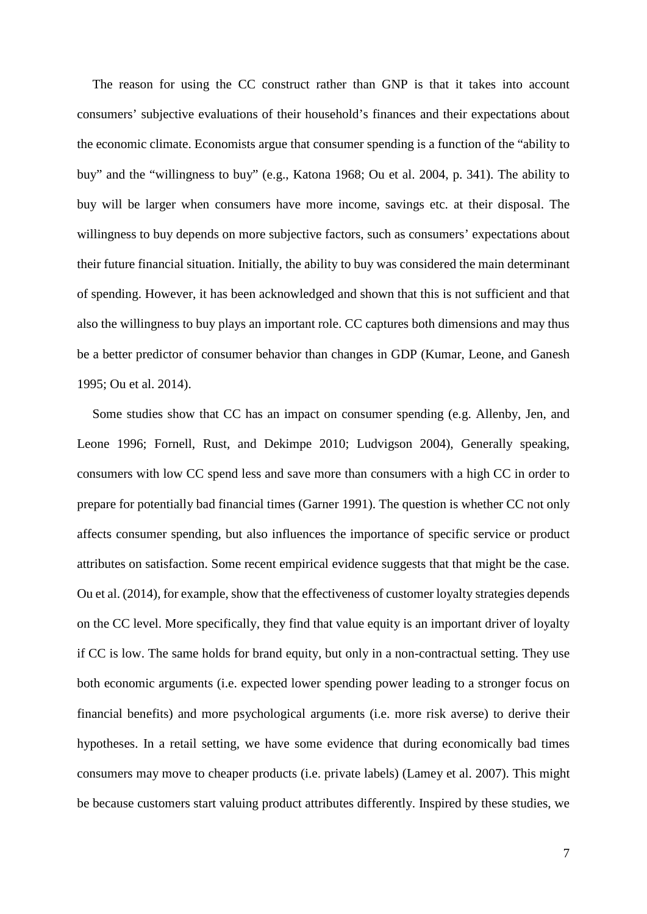The reason for using the CC construct rather than GNP is that it takes into account consumers' subjective evaluations of their household's finances and their expectations about the economic climate. Economists argue that consumer spending is a function of the "ability to buy" and the "willingness to buy" (e.g., Katona 1968; Ou et al. 2004, p. 341). The ability to buy will be larger when consumers have more income, savings etc. at their disposal. The willingness to buy depends on more subjective factors, such as consumers' expectations about their future financial situation. Initially, the ability to buy was considered the main determinant of spending. However, it has been acknowledged and shown that this is not sufficient and that also the willingness to buy plays an important role. CC captures both dimensions and may thus be a better predictor of consumer behavior than changes in GDP (Kumar, Leone, and Ganesh 1995; Ou et al. 2014).

Some studies show that CC has an impact on consumer spending (e.g. Allenby, Jen, and Leone 1996; Fornell, Rust, and Dekimpe 2010; Ludvigson 2004), Generally speaking, consumers with low CC spend less and save more than consumers with a high CC in order to prepare for potentially bad financial times (Garner 1991). The question is whether CC not only affects consumer spending, but also influences the importance of specific service or product attributes on satisfaction. Some recent empirical evidence suggests that that might be the case. Ou et al. (2014), for example, show that the effectiveness of customer loyalty strategies depends on the CC level. More specifically, they find that value equity is an important driver of loyalty if CC is low. The same holds for brand equity, but only in a non-contractual setting. They use both economic arguments (i.e. expected lower spending power leading to a stronger focus on financial benefits) and more psychological arguments (i.e. more risk averse) to derive their hypotheses. In a retail setting, we have some evidence that during economically bad times consumers may move to cheaper products (i.e. private labels) (Lamey et al. 2007). This might be because customers start valuing product attributes differently. Inspired by these studies, we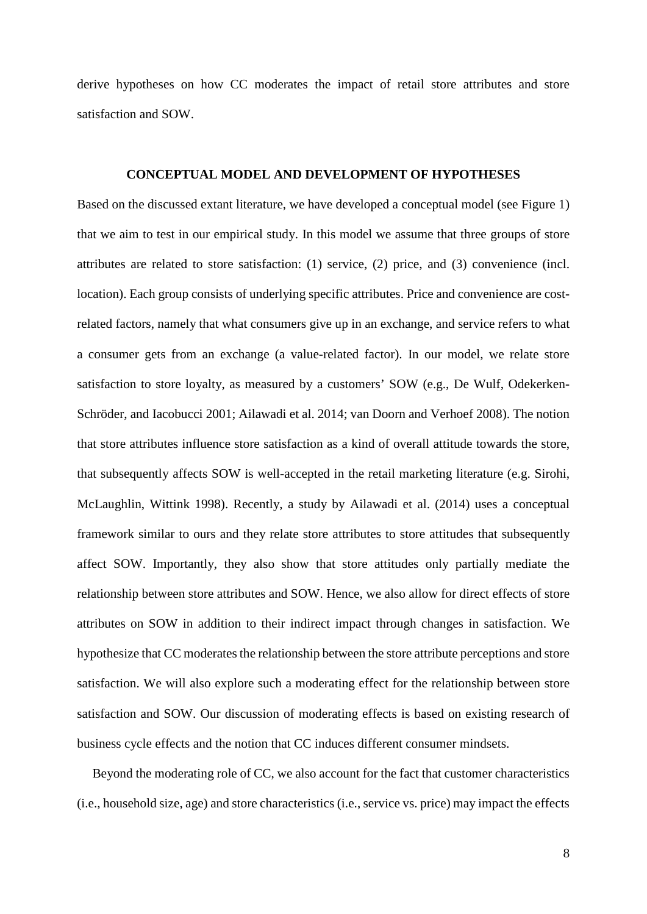derive hypotheses on how CC moderates the impact of retail store attributes and store satisfaction and SOW.

# **CONCEPTUAL MODEL AND DEVELOPMENT OF HYPOTHESES**

Based on the discussed extant literature, we have developed a conceptual model (see Figure 1) that we aim to test in our empirical study. In this model we assume that three groups of store attributes are related to store satisfaction: (1) service, (2) price, and (3) convenience (incl. location). Each group consists of underlying specific attributes. Price and convenience are costrelated factors, namely that what consumers give up in an exchange, and service refers to what a consumer gets from an exchange (a value-related factor). In our model, we relate store satisfaction to store loyalty, as measured by a customers' SOW (e.g., De Wulf, Odekerken-Schröder, and Iacobucci 2001; Ailawadi et al. 2014; van Doorn and Verhoef 2008). The notion that store attributes influence store satisfaction as a kind of overall attitude towards the store, that subsequently affects SOW is well-accepted in the retail marketing literature (e.g. Sirohi, McLaughlin, Wittink 1998). Recently, a study by Ailawadi et al. (2014) uses a conceptual framework similar to ours and they relate store attributes to store attitudes that subsequently affect SOW. Importantly, they also show that store attitudes only partially mediate the relationship between store attributes and SOW. Hence, we also allow for direct effects of store attributes on SOW in addition to their indirect impact through changes in satisfaction. We hypothesize that CC moderates the relationship between the store attribute perceptions and store satisfaction. We will also explore such a moderating effect for the relationship between store satisfaction and SOW. Our discussion of moderating effects is based on existing research of business cycle effects and the notion that CC induces different consumer mindsets.

Beyond the moderating role of CC, we also account for the fact that customer characteristics (i.e., household size, age) and store characteristics (i.e., service vs. price) may impact the effects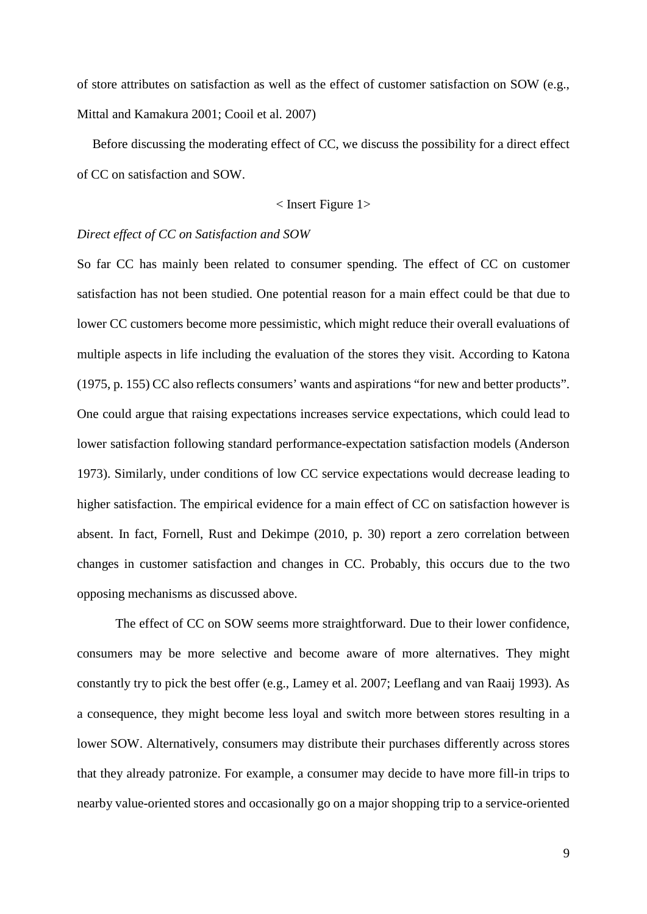of store attributes on satisfaction as well as the effect of customer satisfaction on SOW (e.g., Mittal and Kamakura 2001; Cooil et al. 2007)

Before discussing the moderating effect of CC, we discuss the possibility for a direct effect of CC on satisfaction and SOW.

#### < Insert Figure 1>

# *Direct effect of CC on Satisfaction and SOW*

So far CC has mainly been related to consumer spending. The effect of CC on customer satisfaction has not been studied. One potential reason for a main effect could be that due to lower CC customers become more pessimistic, which might reduce their overall evaluations of multiple aspects in life including the evaluation of the stores they visit. According to Katona (1975, p. 155) CC also reflects consumers' wants and aspirations "for new and better products". One could argue that raising expectations increases service expectations, which could lead to lower satisfaction following standard performance-expectation satisfaction models (Anderson 1973). Similarly, under conditions of low CC service expectations would decrease leading to higher satisfaction. The empirical evidence for a main effect of CC on satisfaction however is absent. In fact, Fornell, Rust and Dekimpe (2010, p. 30) report a zero correlation between changes in customer satisfaction and changes in CC. Probably, this occurs due to the two opposing mechanisms as discussed above.

The effect of CC on SOW seems more straightforward. Due to their lower confidence, consumers may be more selective and become aware of more alternatives. They might constantly try to pick the best offer (e.g., Lamey et al. 2007; Leeflang and van Raaij 1993). As a consequence, they might become less loyal and switch more between stores resulting in a lower SOW. Alternatively, consumers may distribute their purchases differently across stores that they already patronize. For example, a consumer may decide to have more fill-in trips to nearby value-oriented stores and occasionally go on a major shopping trip to a service-oriented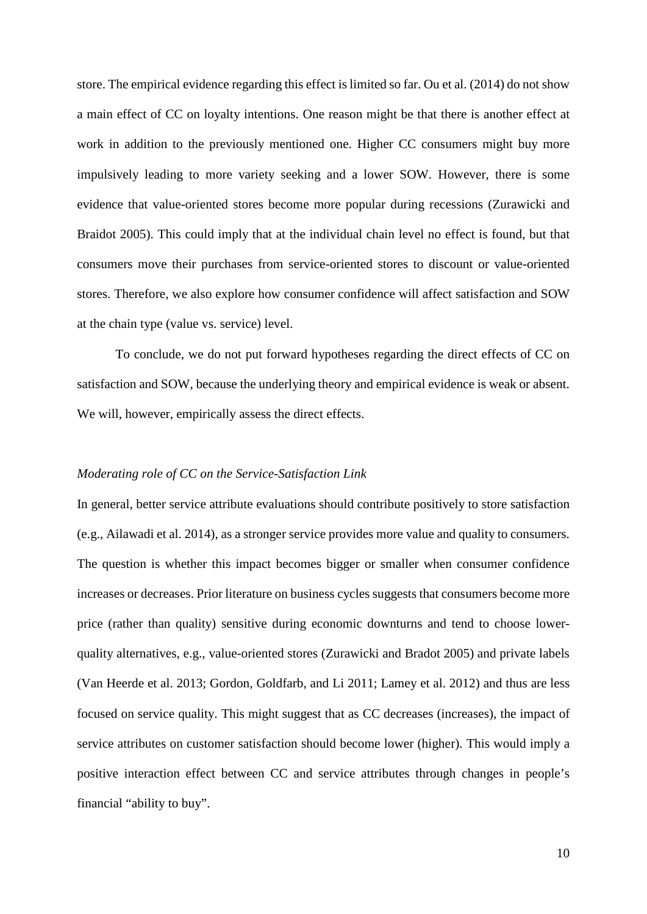store. The empirical evidence regarding this effect is limited so far. Ou et al. (2014) do not show a main effect of CC on loyalty intentions. One reason might be that there is another effect at work in addition to the previously mentioned one. Higher CC consumers might buy more impulsively leading to more variety seeking and a lower SOW. However, there is some evidence that value-oriented stores become more popular during recessions (Zurawicki and Braidot 2005). This could imply that at the individual chain level no effect is found, but that consumers move their purchases from service-oriented stores to discount or value-oriented stores. Therefore, we also explore how consumer confidence will affect satisfaction and SOW at the chain type (value vs. service) level.

To conclude, we do not put forward hypotheses regarding the direct effects of CC on satisfaction and SOW, because the underlying theory and empirical evidence is weak or absent. We will, however, empirically assess the direct effects.

# *Moderating role of CC on the Service-Satisfaction Link*

In general, better service attribute evaluations should contribute positively to store satisfaction (e.g., Ailawadi et al. 2014), as a stronger service provides more value and quality to consumers. The question is whether this impact becomes bigger or smaller when consumer confidence increases or decreases. Prior literature on business cycles suggests that consumers become more price (rather than quality) sensitive during economic downturns and tend to choose lowerquality alternatives, e.g., value-oriented stores (Zurawicki and Bradot 2005) and private labels (Van Heerde et al. 2013; Gordon, Goldfarb, and Li 2011; Lamey et al. 2012) and thus are less focused on service quality. This might suggest that as CC decreases (increases), the impact of service attributes on customer satisfaction should become lower (higher). This would imply a positive interaction effect between CC and service attributes through changes in people's financial "ability to buy".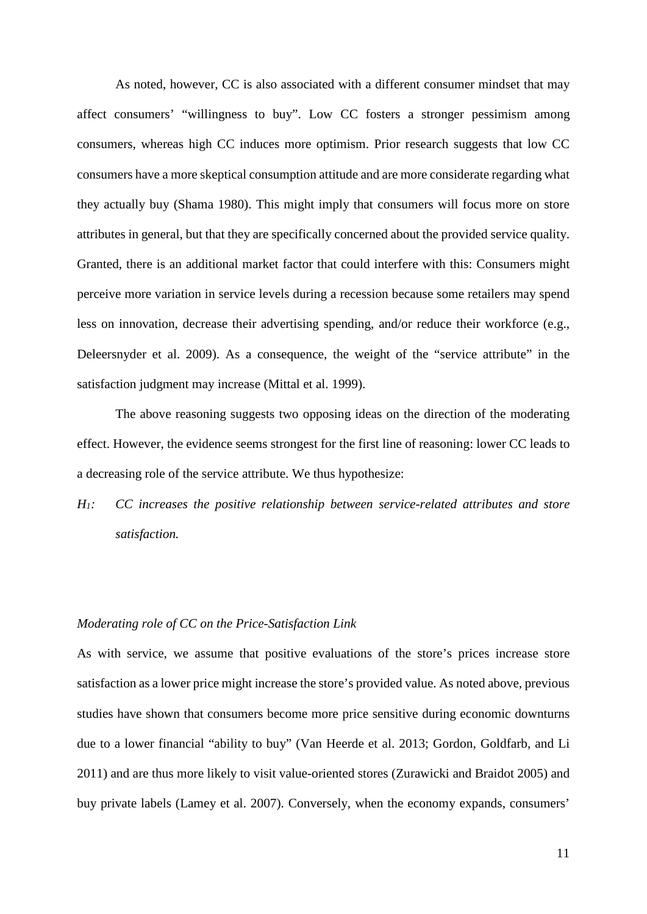As noted, however, CC is also associated with a different consumer mindset that may affect consumers' "willingness to buy". Low CC fosters a stronger pessimism among consumers, whereas high CC induces more optimism. Prior research suggests that low CC consumers have a more skeptical consumption attitude and are more considerate regarding what they actually buy (Shama 1980). This might imply that consumers will focus more on store attributes in general, but that they are specifically concerned about the provided service quality. Granted, there is an additional market factor that could interfere with this: Consumers might perceive more variation in service levels during a recession because some retailers may spend less on innovation, decrease their advertising spending, and/or reduce their workforce (e.g., Deleersnyder et al. 2009). As a consequence, the weight of the "service attribute" in the satisfaction judgment may increase (Mittal et al. 1999).

The above reasoning suggests two opposing ideas on the direction of the moderating effect. However, the evidence seems strongest for the first line of reasoning: lower CC leads to a decreasing role of the service attribute. We thus hypothesize:

*H1: CC increases the positive relationship between service-related attributes and store satisfaction.* 

# *Moderating role of CC on the Price-Satisfaction Link*

As with service, we assume that positive evaluations of the store's prices increase store satisfaction as a lower price might increase the store's provided value. As noted above, previous studies have shown that consumers become more price sensitive during economic downturns due to a lower financial "ability to buy" (Van Heerde et al. 2013; Gordon, Goldfarb, and Li 2011) and are thus more likely to visit value-oriented stores (Zurawicki and Braidot 2005) and buy private labels (Lamey et al. 2007). Conversely, when the economy expands, consumers'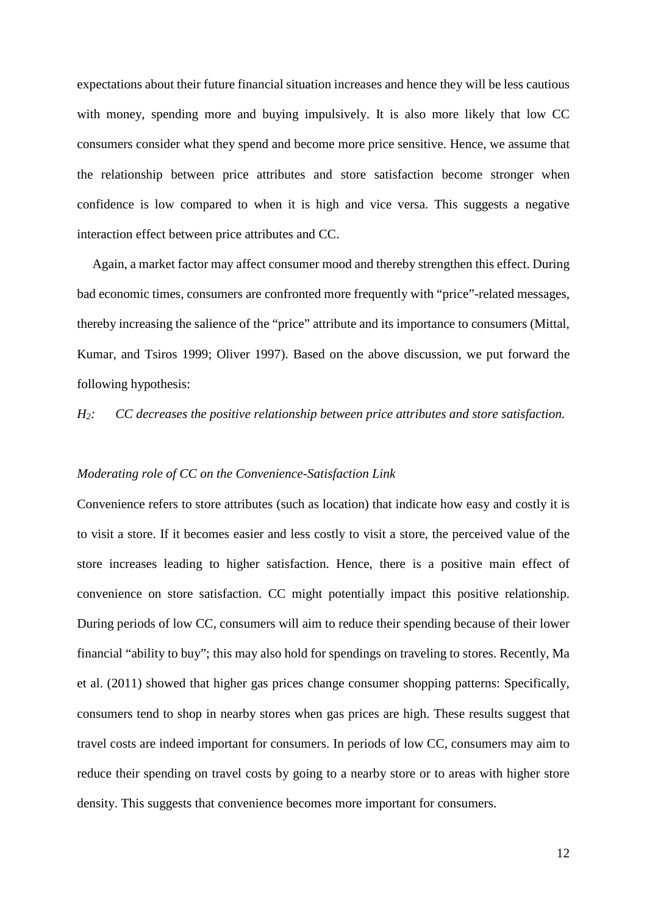expectations about their future financial situation increases and hence they will be less cautious with money, spending more and buying impulsively. It is also more likely that low CC consumers consider what they spend and become more price sensitive. Hence, we assume that the relationship between price attributes and store satisfaction become stronger when confidence is low compared to when it is high and vice versa. This suggests a negative interaction effect between price attributes and CC.

Again, a market factor may affect consumer mood and thereby strengthen this effect. During bad economic times, consumers are confronted more frequently with "price"-related messages, thereby increasing the salience of the "price" attribute and its importance to consumers (Mittal, Kumar, and Tsiros 1999; Oliver 1997). Based on the above discussion, we put forward the following hypothesis:

*H2: CC decreases the positive relationship between price attributes and store satisfaction.*

#### *Moderating role of CC on the Convenience-Satisfaction Link*

Convenience refers to store attributes (such as location) that indicate how easy and costly it is to visit a store. If it becomes easier and less costly to visit a store, the perceived value of the store increases leading to higher satisfaction. Hence, there is a positive main effect of convenience on store satisfaction. CC might potentially impact this positive relationship. During periods of low CC, consumers will aim to reduce their spending because of their lower financial "ability to buy"; this may also hold for spendings on traveling to stores. Recently, Ma et al. (2011) showed that higher gas prices change consumer shopping patterns: Specifically, consumers tend to shop in nearby stores when gas prices are high. These results suggest that travel costs are indeed important for consumers. In periods of low CC, consumers may aim to reduce their spending on travel costs by going to a nearby store or to areas with higher store density. This suggests that convenience becomes more important for consumers.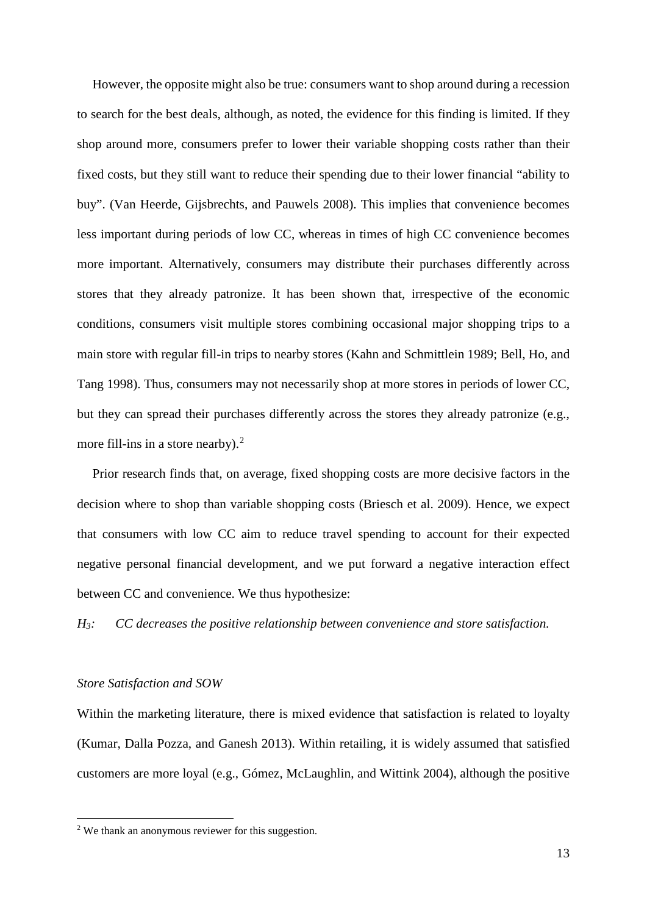However, the opposite might also be true: consumers want to shop around during a recession to search for the best deals, although, as noted, the evidence for this finding is limited. If they shop around more, consumers prefer to lower their variable shopping costs rather than their fixed costs, but they still want to reduce their spending due to their lower financial "ability to buy". (Van Heerde, Gijsbrechts, and Pauwels 2008). This implies that convenience becomes less important during periods of low CC, whereas in times of high CC convenience becomes more important. Alternatively, consumers may distribute their purchases differently across stores that they already patronize. It has been shown that, irrespective of the economic conditions, consumers visit multiple stores combining occasional major shopping trips to a main store with regular fill-in trips to nearby stores (Kahn and Schmittlein 1989; Bell, Ho, and Tang 1998). Thus, consumers may not necessarily shop at more stores in periods of lower CC, but they can spread their purchases differently across the stores they already patronize (e.g., more fill-ins in a store nearby). $<sup>2</sup>$  $<sup>2</sup>$  $<sup>2</sup>$ </sup>

Prior research finds that, on average, fixed shopping costs are more decisive factors in the decision where to shop than variable shopping costs (Briesch et al. 2009). Hence, we expect that consumers with low CC aim to reduce travel spending to account for their expected negative personal financial development, and we put forward a negative interaction effect between CC and convenience. We thus hypothesize:

*H3: CC decreases the positive relationship between convenience and store satisfaction.*

#### *Store Satisfaction and SOW*

**.** 

Within the marketing literature, there is mixed evidence that satisfaction is related to loyalty (Kumar, Dalla Pozza, and Ganesh 2013). Within retailing, it is widely assumed that satisfied customers are more loyal (e.g., Gómez, McLaughlin, and Wittink 2004), although the positive

<span id="page-12-0"></span><sup>2</sup> We thank an anonymous reviewer for this suggestion.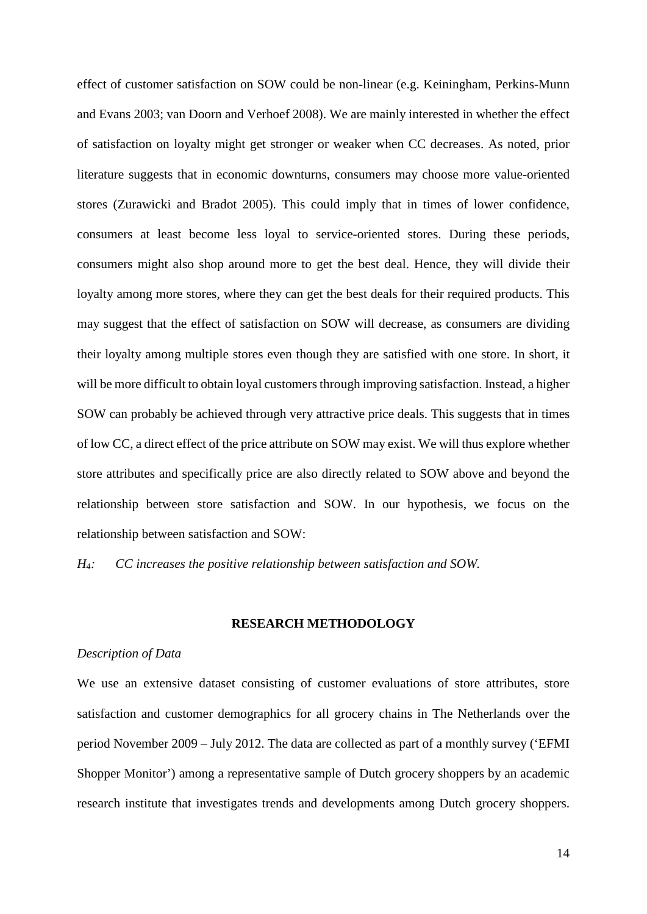effect of customer satisfaction on SOW could be non-linear (e.g. Keiningham, Perkins-Munn and Evans 2003; van Doorn and Verhoef 2008). We are mainly interested in whether the effect of satisfaction on loyalty might get stronger or weaker when CC decreases. As noted, prior literature suggests that in economic downturns, consumers may choose more value-oriented stores (Zurawicki and Bradot 2005). This could imply that in times of lower confidence, consumers at least become less loyal to service-oriented stores. During these periods, consumers might also shop around more to get the best deal. Hence, they will divide their loyalty among more stores, where they can get the best deals for their required products. This may suggest that the effect of satisfaction on SOW will decrease, as consumers are dividing their loyalty among multiple stores even though they are satisfied with one store. In short, it will be more difficult to obtain loyal customers through improving satisfaction. Instead, a higher SOW can probably be achieved through very attractive price deals. This suggests that in times of low CC, a direct effect of the price attribute on SOW may exist. We will thus explore whether store attributes and specifically price are also directly related to SOW above and beyond the relationship between store satisfaction and SOW. In our hypothesis, we focus on the relationship between satisfaction and SOW:

*H4: CC increases the positive relationship between satisfaction and SOW.*

# **RESEARCH METHODOLOGY**

### *Description of Data*

We use an extensive dataset consisting of customer evaluations of store attributes, store satisfaction and customer demographics for all grocery chains in The Netherlands over the period November 2009 – July 2012. The data are collected as part of a monthly survey ('EFMI Shopper Monitor') among a representative sample of Dutch grocery shoppers by an academic research institute that investigates trends and developments among Dutch grocery shoppers.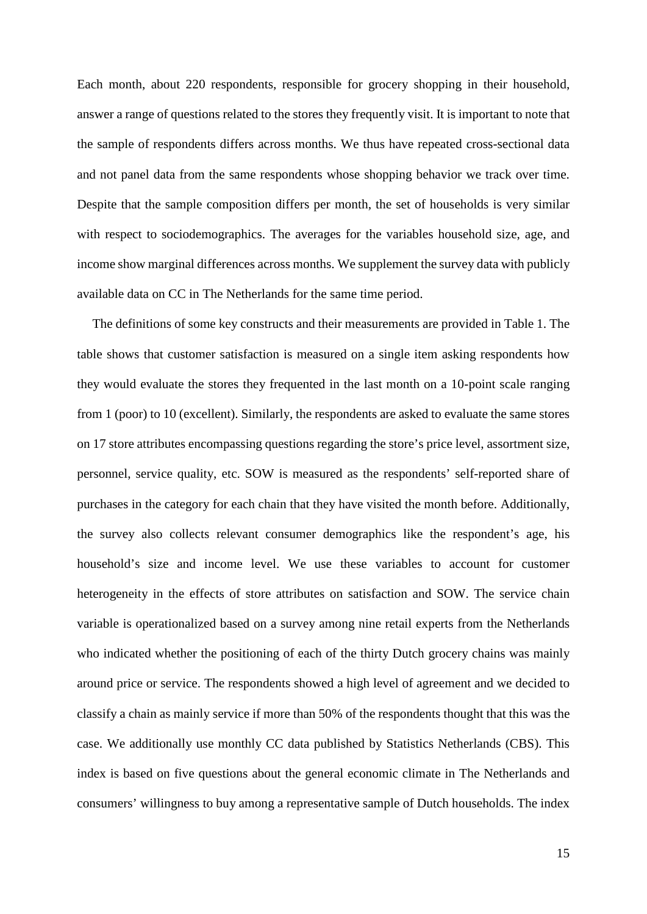Each month, about 220 respondents, responsible for grocery shopping in their household, answer a range of questions related to the stores they frequently visit. It is important to note that the sample of respondents differs across months. We thus have repeated cross-sectional data and not panel data from the same respondents whose shopping behavior we track over time. Despite that the sample composition differs per month, the set of households is very similar with respect to sociodemographics. The averages for the variables household size, age, and income show marginal differences across months. We supplement the survey data with publicly available data on CC in The Netherlands for the same time period.

The definitions of some key constructs and their measurements are provided in Table 1. The table shows that customer satisfaction is measured on a single item asking respondents how they would evaluate the stores they frequented in the last month on a 10-point scale ranging from 1 (poor) to 10 (excellent). Similarly, the respondents are asked to evaluate the same stores on 17 store attributes encompassing questions regarding the store's price level, assortment size, personnel, service quality, etc. SOW is measured as the respondents' self-reported share of purchases in the category for each chain that they have visited the month before. Additionally, the survey also collects relevant consumer demographics like the respondent's age, his household's size and income level. We use these variables to account for customer heterogeneity in the effects of store attributes on satisfaction and SOW. The service chain variable is operationalized based on a survey among nine retail experts from the Netherlands who indicated whether the positioning of each of the thirty Dutch grocery chains was mainly around price or service. The respondents showed a high level of agreement and we decided to classify a chain as mainly service if more than 50% of the respondents thought that this was the case. We additionally use monthly CC data published by Statistics Netherlands (CBS). This index is based on five questions about the general economic climate in The Netherlands and consumers' willingness to buy among a representative sample of Dutch households. The index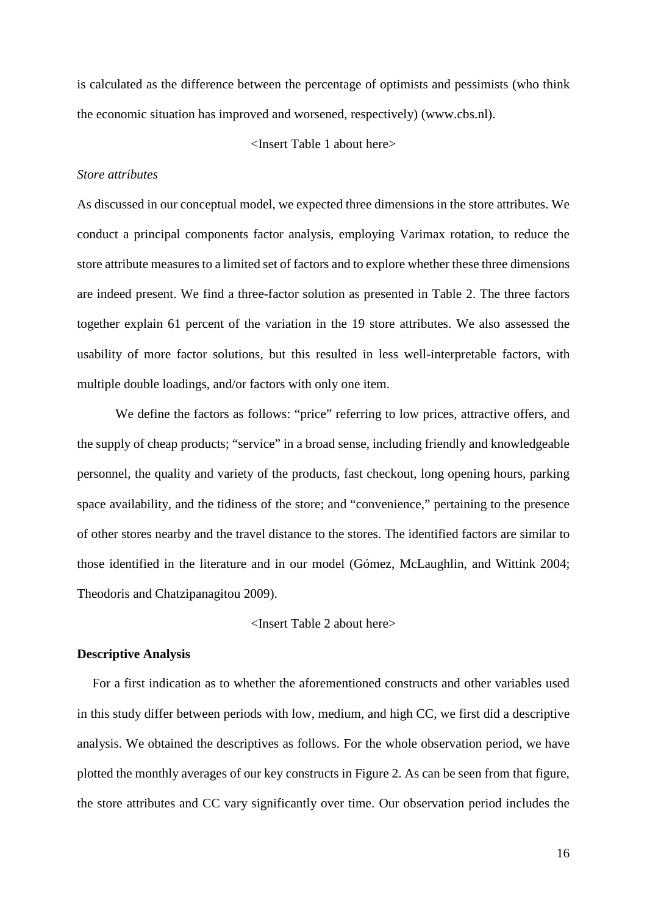is calculated as the difference between the percentage of optimists and pessimists (who think the economic situation has improved and worsened, respectively) (www.cbs.nl).

<Insert Table 1 about here>

# *Store attributes*

As discussed in our conceptual model, we expected three dimensions in the store attributes. We conduct a principal components factor analysis, employing Varimax rotation, to reduce the store attribute measures to a limited set of factors and to explore whether these three dimensions are indeed present. We find a three-factor solution as presented in Table 2. The three factors together explain 61 percent of the variation in the 19 store attributes. We also assessed the usability of more factor solutions, but this resulted in less well-interpretable factors, with multiple double loadings, and/or factors with only one item.

We define the factors as follows: "price" referring to low prices, attractive offers, and the supply of cheap products; "service" in a broad sense, including friendly and knowledgeable personnel, the quality and variety of the products, fast checkout, long opening hours, parking space availability, and the tidiness of the store; and "convenience," pertaining to the presence of other stores nearby and the travel distance to the stores. The identified factors are similar to those identified in the literature and in our model (Gómez, McLaughlin, and Wittink 2004; Theodoris and Chatzipanagitou 2009).

<Insert Table 2 about here>

# **Descriptive Analysis**

For a first indication as to whether the aforementioned constructs and other variables used in this study differ between periods with low, medium, and high CC, we first did a descriptive analysis. We obtained the descriptives as follows. For the whole observation period, we have plotted the monthly averages of our key constructs in Figure 2. As can be seen from that figure, the store attributes and CC vary significantly over time. Our observation period includes the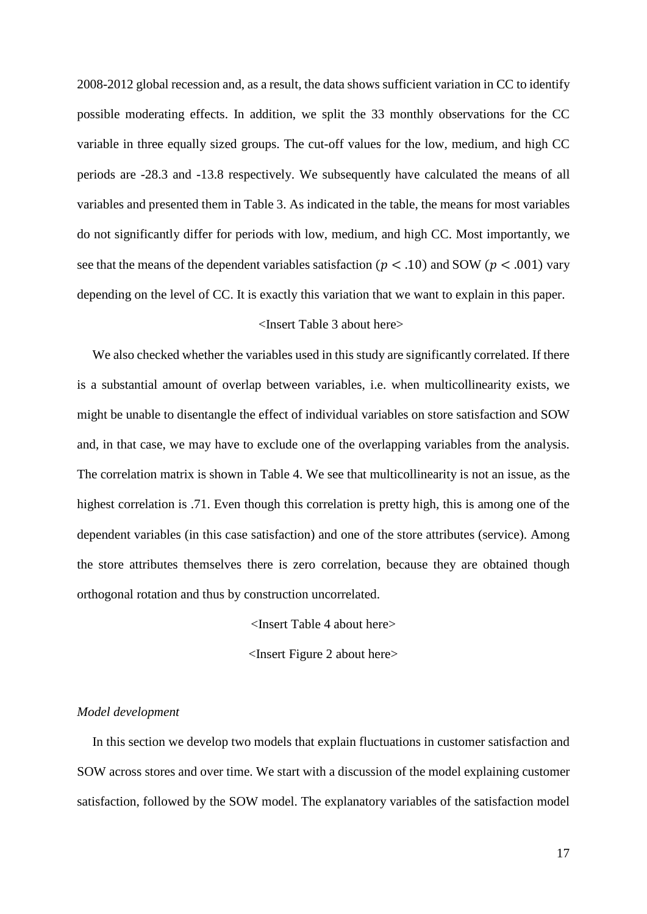2008-2012 global recession and, as a result, the data shows sufficient variation in CC to identify possible moderating effects. In addition, we split the 33 monthly observations for the CC variable in three equally sized groups. The cut-off values for the low, medium, and high CC periods are -28.3 and -13.8 respectively. We subsequently have calculated the means of all variables and presented them in Table 3. As indicated in the table, the means for most variables do not significantly differ for periods with low, medium, and high CC. Most importantly, we see that the means of the dependent variables satisfaction ( $p < .10$ ) and SOW ( $p < .001$ ) vary depending on the level of CC. It is exactly this variation that we want to explain in this paper.

# <Insert Table 3 about here>

We also checked whether the variables used in this study are significantly correlated. If there is a substantial amount of overlap between variables, i.e. when multicollinearity exists, we might be unable to disentangle the effect of individual variables on store satisfaction and SOW and, in that case, we may have to exclude one of the overlapping variables from the analysis. The correlation matrix is shown in Table 4. We see that multicollinearity is not an issue, as the highest correlation is .71. Even though this correlation is pretty high, this is among one of the dependent variables (in this case satisfaction) and one of the store attributes (service). Among the store attributes themselves there is zero correlation, because they are obtained though orthogonal rotation and thus by construction uncorrelated.

> <Insert Table 4 about here> <Insert Figure 2 about here>

#### *Model development*

In this section we develop two models that explain fluctuations in customer satisfaction and SOW across stores and over time. We start with a discussion of the model explaining customer satisfaction, followed by the SOW model. The explanatory variables of the satisfaction model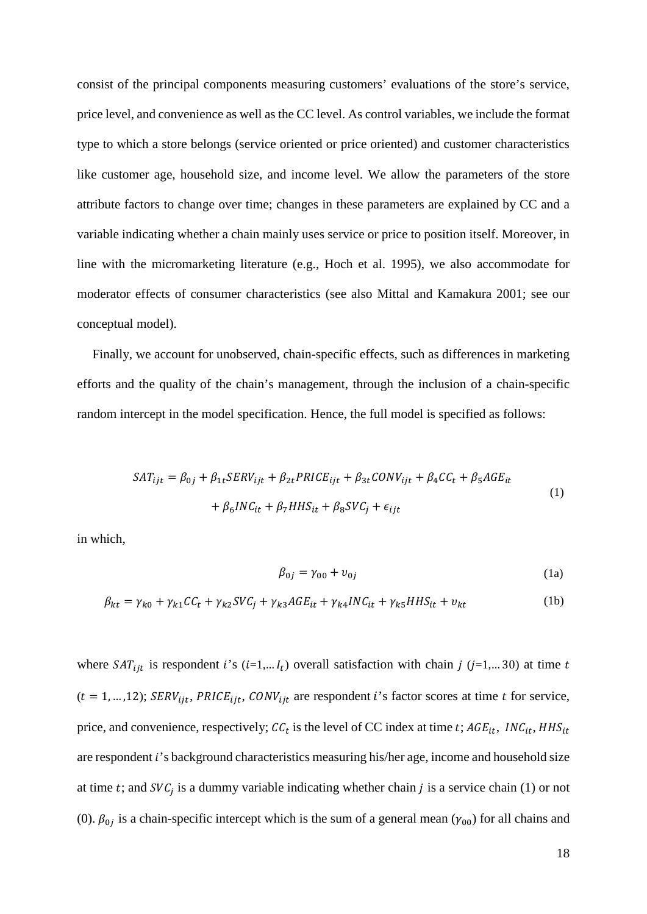consist of the principal components measuring customers' evaluations of the store's service, price level, and convenience as well as the CC level. As control variables, we include the format type to which a store belongs (service oriented or price oriented) and customer characteristics like customer age, household size, and income level. We allow the parameters of the store attribute factors to change over time; changes in these parameters are explained by CC and a variable indicating whether a chain mainly uses service or price to position itself. Moreover, in line with the micromarketing literature (e.g., Hoch et al. 1995), we also accommodate for moderator effects of consumer characteristics (see also Mittal and Kamakura 2001; see our conceptual model).

Finally, we account for unobserved, chain-specific effects, such as differences in marketing efforts and the quality of the chain's management, through the inclusion of a chain-specific random intercept in the model specification. Hence, the full model is specified as follows:

$$
SAT_{ijt} = \beta_{0j} + \beta_{1t} SERV_{ijt} + \beta_{2t} PRICE_{ijt} + \beta_{3t} CONV_{ijt} + \beta_{4} CC_{t} + \beta_{5} AGE_{it}
$$
  
+ 
$$
\beta_{6} INC_{it} + \beta_{7} HHS_{it} + \beta_{8} SVC_{j} + \epsilon_{ijt}
$$
 (1)

in which,

$$
\beta_{0j} = \gamma_{00} + \upsilon_{0j} \tag{1a}
$$

$$
\beta_{kt} = \gamma_{k0} + \gamma_{k1} CC_t + \gamma_{k2} SVC_j + \gamma_{k3} AGE_{it} + \gamma_{k4} INC_{it} + \gamma_{k5} HHS_{it} + v_{kt}
$$
(1b)

where  $SAT_{ijt}$  is respondent i's (i=1,...  $I_t$ ) overall satisfaction with chain  $j$  (j=1,... 30) at time t  $(t = 1, ..., 12)$ ; SERV<sub>iit</sub>, PRICE<sub>iit</sub>, CONV<sub>iit</sub> are respondent i's factor scores at time t for service, price, and convenience, respectively;  $CC_t$  is the level of CC index at time t;  $AGE_{it}$ ,  $INC_{it}$ ,  $HHS_{it}$ are respondent *i*'s background characteristics measuring his/her age, income and household size at time t; and  $SVC_j$  is a dummy variable indicating whether chain *j* is a service chain (1) or not (0).  $\beta_{0i}$  is a chain-specific intercept which is the sum of a general mean ( $\gamma_{00}$ ) for all chains and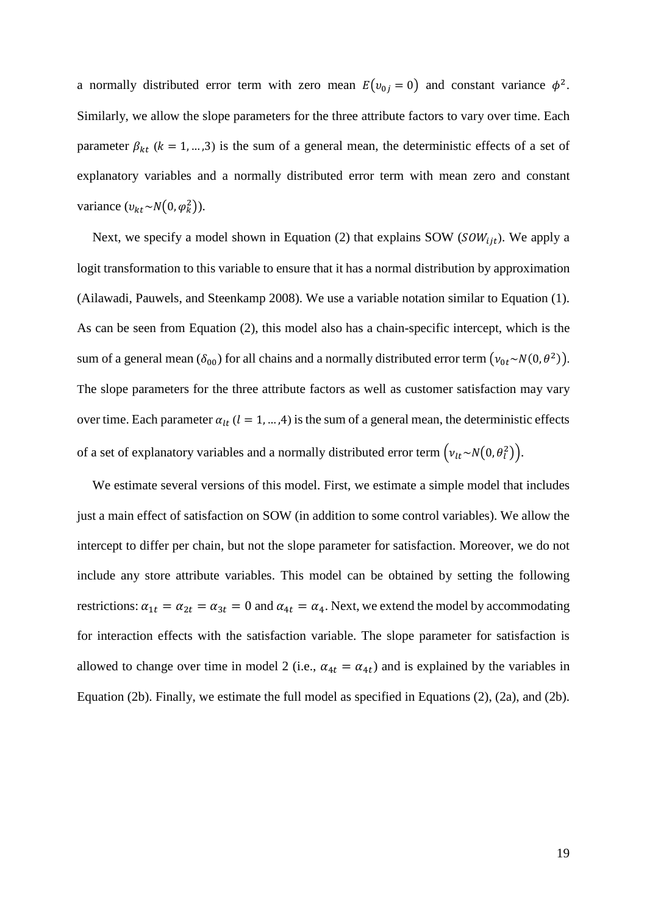a normally distributed error term with zero mean  $E(v_{0j} = 0)$  and constant variance  $\phi^2$ . Similarly, we allow the slope parameters for the three attribute factors to vary over time. Each parameter  $\beta_{kt}$  ( $k = 1, ..., 3$ ) is the sum of a general mean, the deterministic effects of a set of explanatory variables and a normally distributed error term with mean zero and constant variance  $(v_{kt} \sim N(0, \varphi_k^2))$ .

Next, we specify a model shown in Equation (2) that explains SOW ( $SOW_{ijt}$ ). We apply a logit transformation to this variable to ensure that it has a normal distribution by approximation (Ailawadi, Pauwels, and Steenkamp 2008). We use a variable notation similar to Equation (1). As can be seen from Equation (2), this model also has a chain-specific intercept, which is the sum of a general mean ( $\delta_{00}$ ) for all chains and a normally distributed error term  $(v_{0t} \sim N(0, \theta^2))$ . The slope parameters for the three attribute factors as well as customer satisfaction may vary over time. Each parameter  $\alpha_{lt}$  ( $l = 1, ..., 4$ ) is the sum of a general mean, the deterministic effects of a set of explanatory variables and a normally distributed error term  $(v_{lt} \sim N(0, \theta_l^2))$ .

We estimate several versions of this model. First, we estimate a simple model that includes just a main effect of satisfaction on SOW (in addition to some control variables). We allow the intercept to differ per chain, but not the slope parameter for satisfaction. Moreover, we do not include any store attribute variables. This model can be obtained by setting the following restrictions:  $\alpha_{1t} = \alpha_{2t} = \alpha_{3t} = 0$  and  $\alpha_{4t} = \alpha_4$ . Next, we extend the model by accommodating for interaction effects with the satisfaction variable. The slope parameter for satisfaction is allowed to change over time in model 2 (i.e.,  $\alpha_{4t} = \alpha_{4t}$ ) and is explained by the variables in Equation (2b). Finally, we estimate the full model as specified in Equations (2), (2a), and (2b).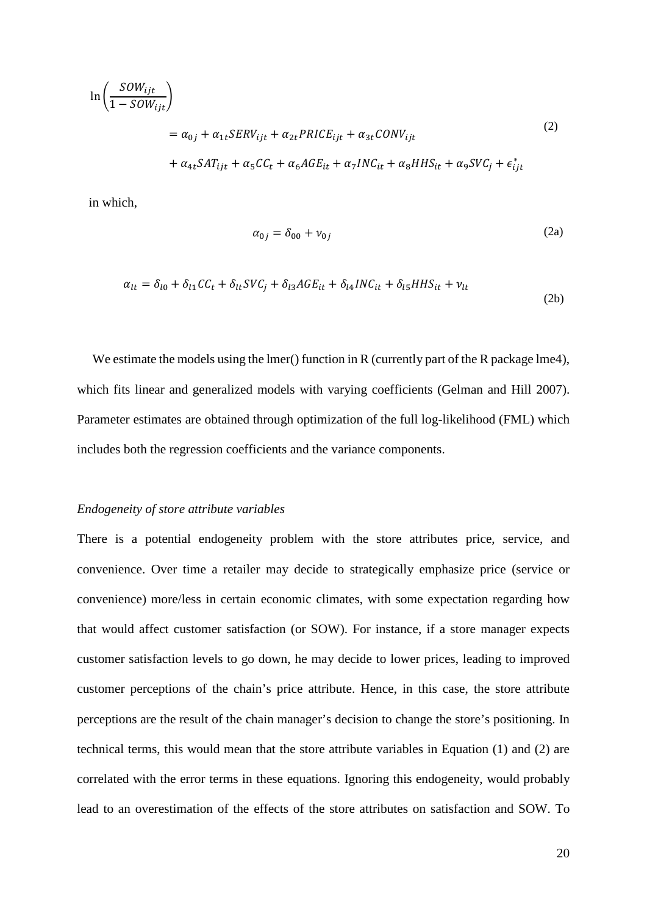$$
\ln\left(\frac{SOW_{ijt}}{1-SOW_{ijt}}\right)
$$
\n
$$
= \alpha_{0j} + \alpha_{1t} SERV_{ijt} + \alpha_{2t} PRICE_{ijt} + \alpha_{3t} CONV_{ijt}
$$
\n
$$
+ \alpha_{4t} SAT_{ijt} + \alpha_{5} CC_{t} + \alpha_{6} AGE_{it} + \alpha_{7} INC_{it} + \alpha_{8} HHS_{it} + \alpha_{9} SVC_{j} + \epsilon_{ijt}^{*}
$$
\n
$$
(2)
$$

in which,

$$
\alpha_{0j} = \delta_{00} + \nu_{0j} \tag{2a}
$$

$$
\alpha_{lt} = \delta_{l0} + \delta_{l1} C C_t + \delta_{lt} SVC_j + \delta_{l3} AGE_{it} + \delta_{l4} INC_{it} + \delta_{l5} HHS_{it} + \nu_{lt}
$$
\n(2b)

We estimate the models using the lmer() function in R (currently part of the R package lme4), which fits linear and generalized models with varying coefficients (Gelman and Hill 2007). Parameter estimates are obtained through optimization of the full log-likelihood (FML) which includes both the regression coefficients and the variance components.

### *Endogeneity of store attribute variables*

There is a potential endogeneity problem with the store attributes price, service, and convenience. Over time a retailer may decide to strategically emphasize price (service or convenience) more/less in certain economic climates, with some expectation regarding how that would affect customer satisfaction (or SOW). For instance, if a store manager expects customer satisfaction levels to go down, he may decide to lower prices, leading to improved customer perceptions of the chain's price attribute. Hence, in this case, the store attribute perceptions are the result of the chain manager's decision to change the store's positioning. In technical terms, this would mean that the store attribute variables in Equation (1) and (2) are correlated with the error terms in these equations. Ignoring this endogeneity, would probably lead to an overestimation of the effects of the store attributes on satisfaction and SOW. To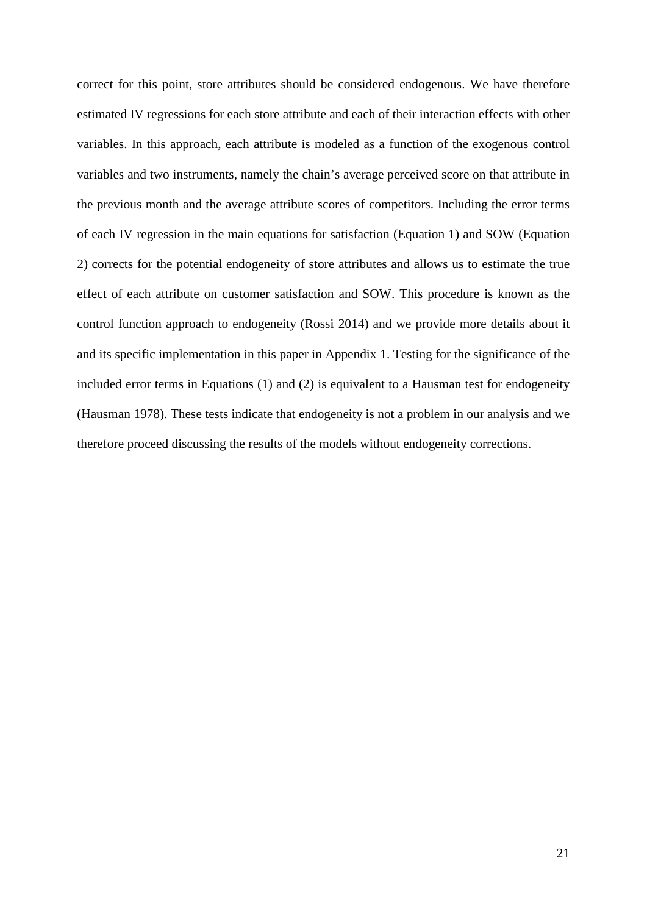correct for this point, store attributes should be considered endogenous. We have therefore estimated IV regressions for each store attribute and each of their interaction effects with other variables. In this approach, each attribute is modeled as a function of the exogenous control variables and two instruments, namely the chain's average perceived score on that attribute in the previous month and the average attribute scores of competitors. Including the error terms of each IV regression in the main equations for satisfaction (Equation 1) and SOW (Equation 2) corrects for the potential endogeneity of store attributes and allows us to estimate the true effect of each attribute on customer satisfaction and SOW. This procedure is known as the control function approach to endogeneity (Rossi 2014) and we provide more details about it and its specific implementation in this paper in Appendix 1. Testing for the significance of the included error terms in Equations (1) and (2) is equivalent to a Hausman test for endogeneity (Hausman 1978). These tests indicate that endogeneity is not a problem in our analysis and we therefore proceed discussing the results of the models without endogeneity corrections.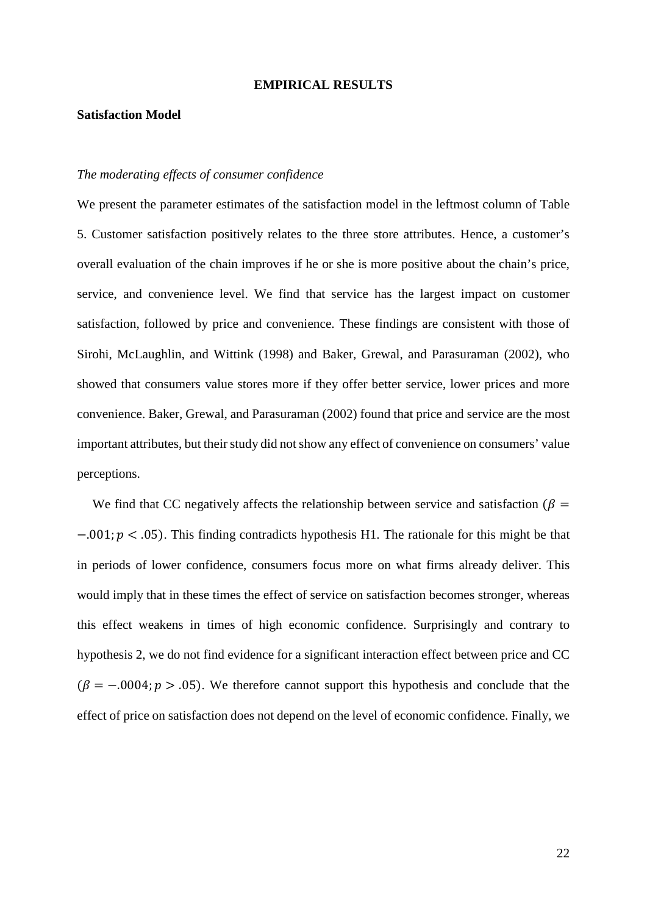#### **EMPIRICAL RESULTS**

# **Satisfaction Model**

# *The moderating effects of consumer confidence*

We present the parameter estimates of the satisfaction model in the leftmost column of Table 5. Customer satisfaction positively relates to the three store attributes. Hence, a customer's overall evaluation of the chain improves if he or she is more positive about the chain's price, service, and convenience level. We find that service has the largest impact on customer satisfaction, followed by price and convenience. These findings are consistent with those of Sirohi, McLaughlin, and Wittink (1998) and Baker, Grewal, and Parasuraman (2002), who showed that consumers value stores more if they offer better service, lower prices and more convenience. Baker, Grewal, and Parasuraman (2002) found that price and service are the most important attributes, but their study did not show any effect of convenience on consumers' value perceptions.

We find that CC negatively affects the relationship between service and satisfaction ( $\beta$  =  $-0.001$ ;  $p < 0.05$ ). This finding contradicts hypothesis H1. The rationale for this might be that in periods of lower confidence, consumers focus more on what firms already deliver. This would imply that in these times the effect of service on satisfaction becomes stronger, whereas this effect weakens in times of high economic confidence. Surprisingly and contrary to hypothesis 2, we do not find evidence for a significant interaction effect between price and CC  $(\beta = -.0004; p > .05)$ . We therefore cannot support this hypothesis and conclude that the effect of price on satisfaction does not depend on the level of economic confidence. Finally, we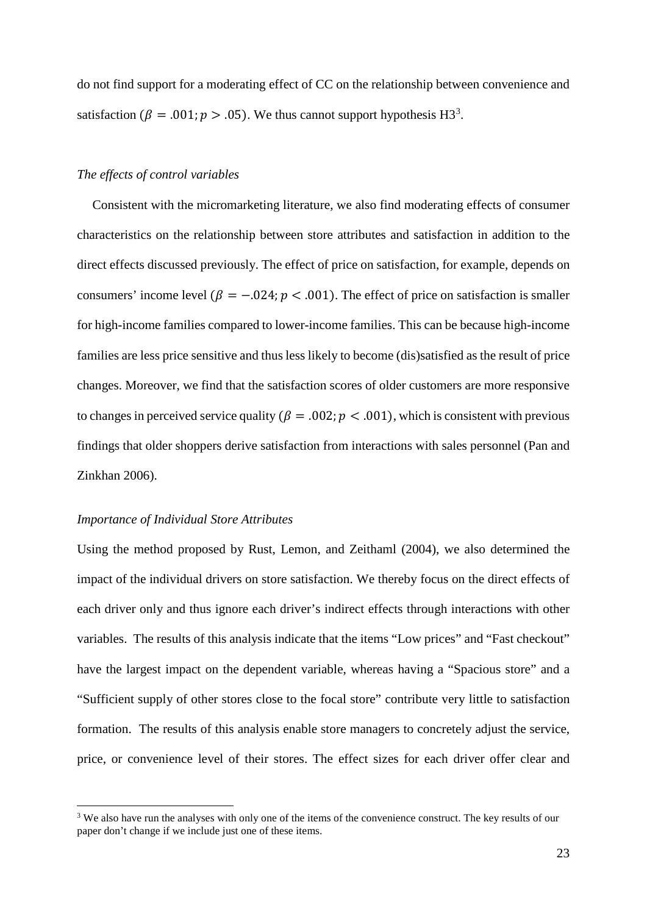do not find support for a moderating effect of CC on the relationship between convenience and satisfaction ( $\beta = .001$ ;  $p > .05$ ). We thus cannot support hypothesis H[3](#page-22-0)<sup>3</sup>.

# *The effects of control variables*

Consistent with the micromarketing literature, we also find moderating effects of consumer characteristics on the relationship between store attributes and satisfaction in addition to the direct effects discussed previously. The effect of price on satisfaction, for example, depends on consumers' income level ( $\beta = -.024; p < .001$ ). The effect of price on satisfaction is smaller for high-income families compared to lower-income families. This can be because high-income families are less price sensitive and thus less likely to become (dis)satisfied as the result of price changes. Moreover, we find that the satisfaction scores of older customers are more responsive to changes in perceived service quality ( $\beta = .002$ ;  $p < .001$ ), which is consistent with previous findings that older shoppers derive satisfaction from interactions with sales personnel (Pan and Zinkhan 2006).

### *Importance of Individual Store Attributes*

 $\overline{\phantom{a}}$ 

Using the method proposed by Rust, Lemon, and Zeithaml (2004), we also determined the impact of the individual drivers on store satisfaction. We thereby focus on the direct effects of each driver only and thus ignore each driver's indirect effects through interactions with other variables. The results of this analysis indicate that the items "Low prices" and "Fast checkout" have the largest impact on the dependent variable, whereas having a "Spacious store" and a "Sufficient supply of other stores close to the focal store" contribute very little to satisfaction formation. The results of this analysis enable store managers to concretely adjust the service, price, or convenience level of their stores. The effect sizes for each driver offer clear and

<span id="page-22-0"></span><sup>&</sup>lt;sup>3</sup> We also have run the analyses with only one of the items of the convenience construct. The key results of our paper don't change if we include just one of these items.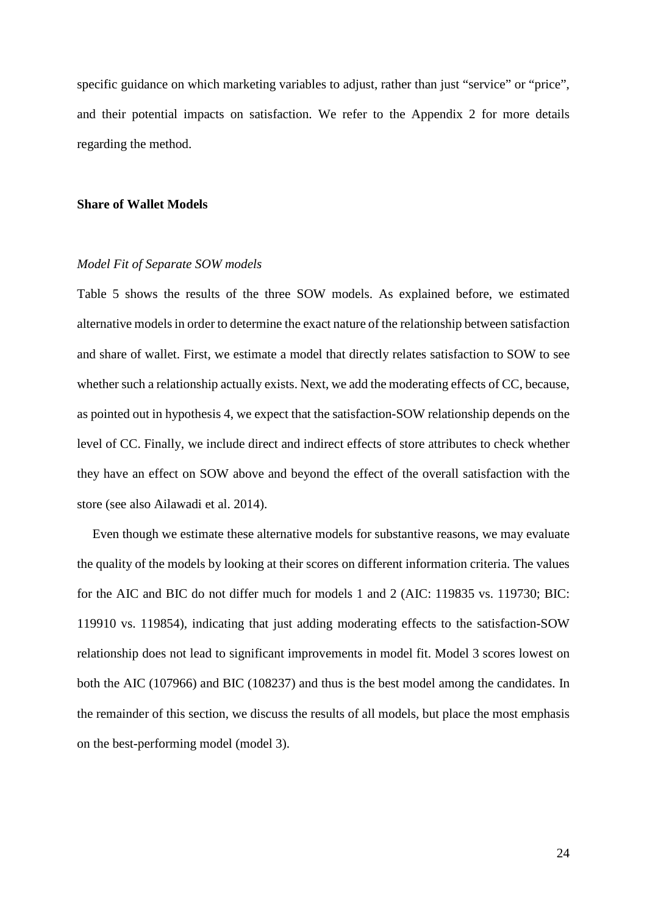specific guidance on which marketing variables to adjust, rather than just "service" or "price", and their potential impacts on satisfaction. We refer to the Appendix 2 for more details regarding the method.

#### **Share of Wallet Models**

#### *Model Fit of Separate SOW models*

Table 5 shows the results of the three SOW models. As explained before, we estimated alternative models in order to determine the exact nature of the relationship between satisfaction and share of wallet. First, we estimate a model that directly relates satisfaction to SOW to see whether such a relationship actually exists. Next, we add the moderating effects of CC, because, as pointed out in hypothesis 4, we expect that the satisfaction-SOW relationship depends on the level of CC. Finally, we include direct and indirect effects of store attributes to check whether they have an effect on SOW above and beyond the effect of the overall satisfaction with the store (see also Ailawadi et al. 2014).

Even though we estimate these alternative models for substantive reasons, we may evaluate the quality of the models by looking at their scores on different information criteria. The values for the AIC and BIC do not differ much for models 1 and 2 (AIC: 119835 vs. 119730; BIC: 119910 vs. 119854), indicating that just adding moderating effects to the satisfaction-SOW relationship does not lead to significant improvements in model fit. Model 3 scores lowest on both the AIC (107966) and BIC (108237) and thus is the best model among the candidates. In the remainder of this section, we discuss the results of all models, but place the most emphasis on the best-performing model (model 3).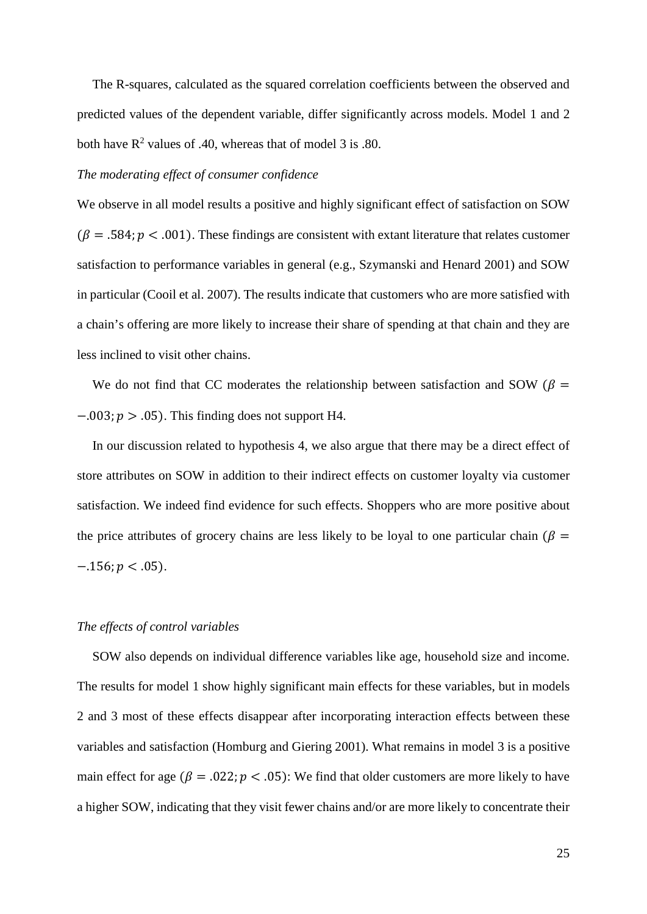The R-squares, calculated as the squared correlation coefficients between the observed and predicted values of the dependent variable, differ significantly across models. Model 1 and 2 both have  $R^2$  values of .40, whereas that of model 3 is .80.

# *The moderating effect of consumer confidence*

We observe in all model results a positive and highly significant effect of satisfaction on SOW  $(\beta = .584; p < .001)$ . These findings are consistent with extant literature that relates customer satisfaction to performance variables in general (e.g., Szymanski and Henard 2001) and SOW in particular (Cooil et al. 2007). The results indicate that customers who are more satisfied with a chain's offering are more likely to increase their share of spending at that chain and they are less inclined to visit other chains.

We do not find that CC moderates the relationship between satisfaction and SOW ( $\beta$  =  $-0.003; p > 0.05$ . This finding does not support H4.

In our discussion related to hypothesis 4, we also argue that there may be a direct effect of store attributes on SOW in addition to their indirect effects on customer loyalty via customer satisfaction. We indeed find evidence for such effects. Shoppers who are more positive about the price attributes of grocery chains are less likely to be loyal to one particular chain ( $\beta$  =  $-0.156; p < 0.05$ ).

# *The effects of control variables*

SOW also depends on individual difference variables like age, household size and income. The results for model 1 show highly significant main effects for these variables, but in models 2 and 3 most of these effects disappear after incorporating interaction effects between these variables and satisfaction (Homburg and Giering 2001). What remains in model 3 is a positive main effect for age ( $\beta = 0.022$ ;  $p < 0.05$ ): We find that older customers are more likely to have a higher SOW, indicating that they visit fewer chains and/or are more likely to concentrate their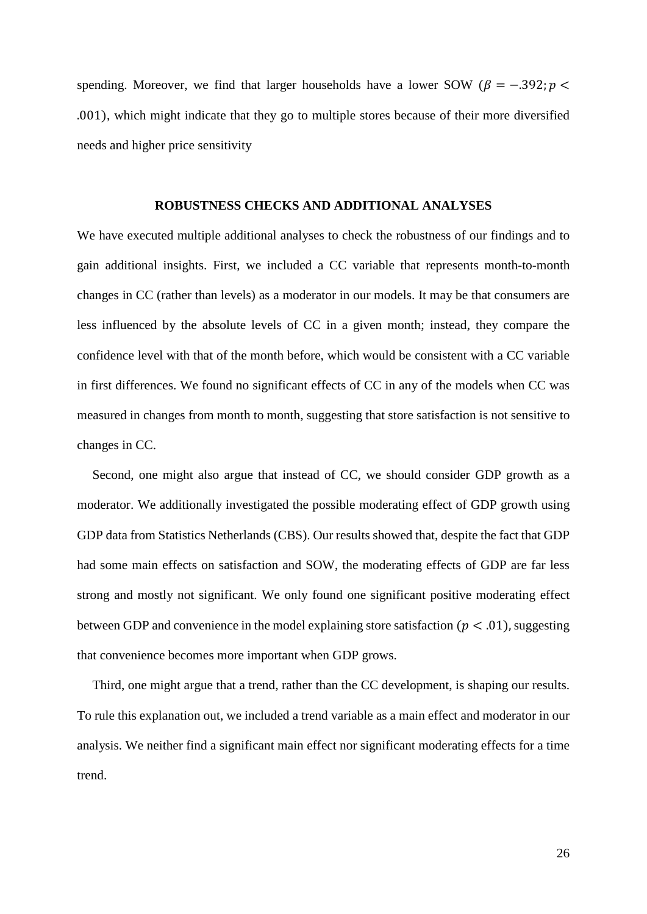spending. Moreover, we find that larger households have a lower SOW ( $\beta = -.392; p <$ .001), which might indicate that they go to multiple stores because of their more diversified needs and higher price sensitivity

#### **ROBUSTNESS CHECKS AND ADDITIONAL ANALYSES**

We have executed multiple additional analyses to check the robustness of our findings and to gain additional insights. First, we included a CC variable that represents month-to-month changes in CC (rather than levels) as a moderator in our models. It may be that consumers are less influenced by the absolute levels of CC in a given month; instead, they compare the confidence level with that of the month before, which would be consistent with a CC variable in first differences. We found no significant effects of CC in any of the models when CC was measured in changes from month to month, suggesting that store satisfaction is not sensitive to changes in CC.

Second, one might also argue that instead of CC, we should consider GDP growth as a moderator. We additionally investigated the possible moderating effect of GDP growth using GDP data from Statistics Netherlands (CBS). Our results showed that, despite the fact that GDP had some main effects on satisfaction and SOW, the moderating effects of GDP are far less strong and mostly not significant. We only found one significant positive moderating effect between GDP and convenience in the model explaining store satisfaction ( $p < .01$ ), suggesting that convenience becomes more important when GDP grows.

Third, one might argue that a trend, rather than the CC development, is shaping our results. To rule this explanation out, we included a trend variable as a main effect and moderator in our analysis. We neither find a significant main effect nor significant moderating effects for a time trend.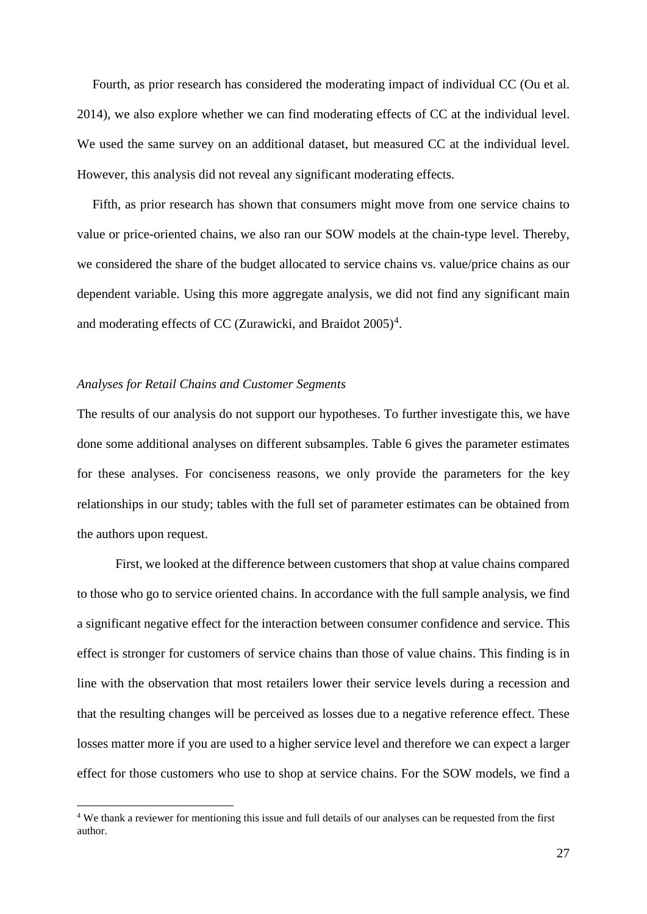Fourth, as prior research has considered the moderating impact of individual CC (Ou et al. 2014), we also explore whether we can find moderating effects of CC at the individual level. We used the same survey on an additional dataset, but measured CC at the individual level. However, this analysis did not reveal any significant moderating effects.

Fifth, as prior research has shown that consumers might move from one service chains to value or price-oriented chains, we also ran our SOW models at the chain-type level. Thereby, we considered the share of the budget allocated to service chains vs. value/price chains as our dependent variable. Using this more aggregate analysis, we did not find any significant main and moderating effects of CC (Zurawicki, and Braidot  $2005)^4$  $2005)^4$ .

#### *Analyses for Retail Chains and Customer Segments*

 $\overline{\phantom{a}}$ 

The results of our analysis do not support our hypotheses. To further investigate this, we have done some additional analyses on different subsamples. Table 6 gives the parameter estimates for these analyses. For conciseness reasons, we only provide the parameters for the key relationships in our study; tables with the full set of parameter estimates can be obtained from the authors upon request.

First, we looked at the difference between customers that shop at value chains compared to those who go to service oriented chains. In accordance with the full sample analysis, we find a significant negative effect for the interaction between consumer confidence and service. This effect is stronger for customers of service chains than those of value chains. This finding is in line with the observation that most retailers lower their service levels during a recession and that the resulting changes will be perceived as losses due to a negative reference effect. These losses matter more if you are used to a higher service level and therefore we can expect a larger effect for those customers who use to shop at service chains. For the SOW models, we find a

<span id="page-26-0"></span><sup>4</sup> We thank a reviewer for mentioning this issue and full details of our analyses can be requested from the first author.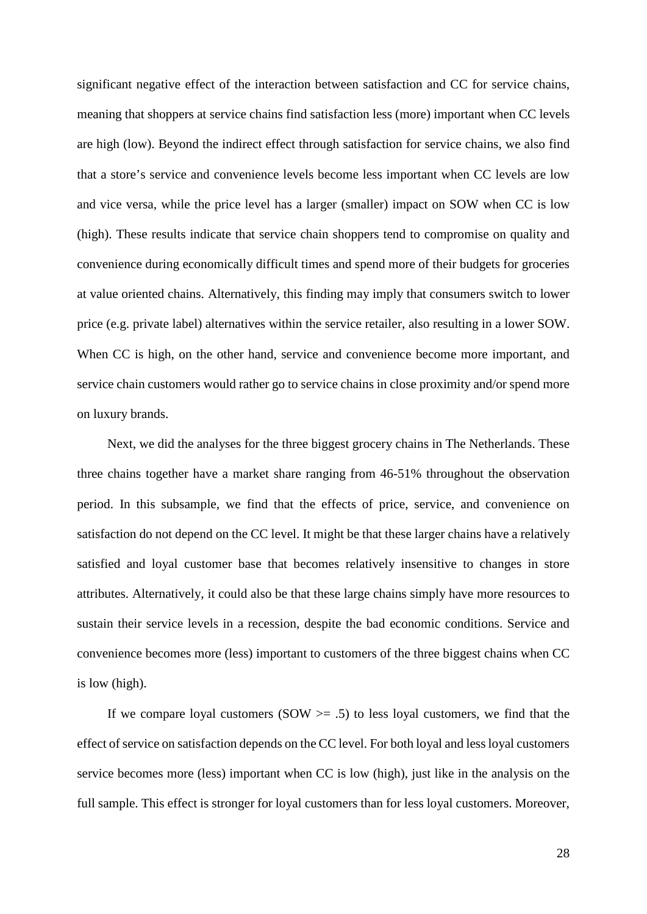significant negative effect of the interaction between satisfaction and CC for service chains, meaning that shoppers at service chains find satisfaction less (more) important when CC levels are high (low). Beyond the indirect effect through satisfaction for service chains, we also find that a store's service and convenience levels become less important when CC levels are low and vice versa, while the price level has a larger (smaller) impact on SOW when CC is low (high). These results indicate that service chain shoppers tend to compromise on quality and convenience during economically difficult times and spend more of their budgets for groceries at value oriented chains. Alternatively, this finding may imply that consumers switch to lower price (e.g. private label) alternatives within the service retailer, also resulting in a lower SOW. When CC is high, on the other hand, service and convenience become more important, and service chain customers would rather go to service chains in close proximity and/or spend more on luxury brands.

Next, we did the analyses for the three biggest grocery chains in The Netherlands. These three chains together have a market share ranging from 46-51% throughout the observation period. In this subsample, we find that the effects of price, service, and convenience on satisfaction do not depend on the CC level. It might be that these larger chains have a relatively satisfied and loyal customer base that becomes relatively insensitive to changes in store attributes. Alternatively, it could also be that these large chains simply have more resources to sustain their service levels in a recession, despite the bad economic conditions. Service and convenience becomes more (less) important to customers of the three biggest chains when CC is low (high).

If we compare loyal customers (SOW  $>=$  .5) to less loyal customers, we find that the effect of service on satisfaction depends on the CC level. For both loyal and less loyal customers service becomes more (less) important when CC is low (high), just like in the analysis on the full sample. This effect is stronger for loyal customers than for less loyal customers. Moreover,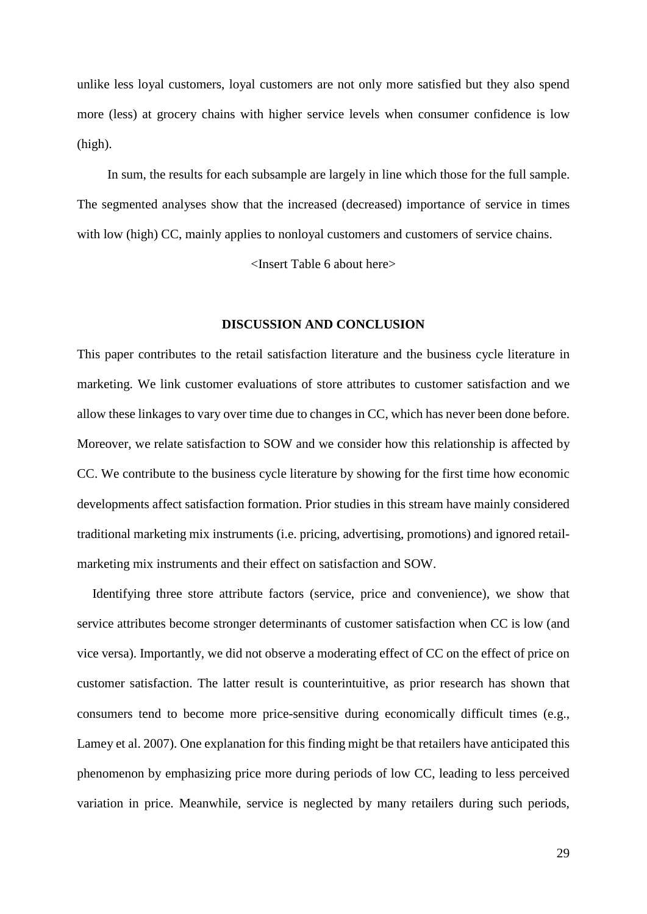unlike less loyal customers, loyal customers are not only more satisfied but they also spend more (less) at grocery chains with higher service levels when consumer confidence is low (high).

In sum, the results for each subsample are largely in line which those for the full sample. The segmented analyses show that the increased (decreased) importance of service in times with low (high) CC, mainly applies to nonloyal customers and customers of service chains.

<Insert Table 6 about here>

#### **DISCUSSION AND CONCLUSION**

This paper contributes to the retail satisfaction literature and the business cycle literature in marketing. We link customer evaluations of store attributes to customer satisfaction and we allow these linkages to vary over time due to changes in CC, which has never been done before. Moreover, we relate satisfaction to SOW and we consider how this relationship is affected by CC. We contribute to the business cycle literature by showing for the first time how economic developments affect satisfaction formation. Prior studies in this stream have mainly considered traditional marketing mix instruments (i.e. pricing, advertising, promotions) and ignored retailmarketing mix instruments and their effect on satisfaction and SOW.

Identifying three store attribute factors (service, price and convenience), we show that service attributes become stronger determinants of customer satisfaction when CC is low (and vice versa). Importantly, we did not observe a moderating effect of CC on the effect of price on customer satisfaction. The latter result is counterintuitive, as prior research has shown that consumers tend to become more price-sensitive during economically difficult times (e.g., Lamey et al. 2007). One explanation for this finding might be that retailers have anticipated this phenomenon by emphasizing price more during periods of low CC, leading to less perceived variation in price. Meanwhile, service is neglected by many retailers during such periods,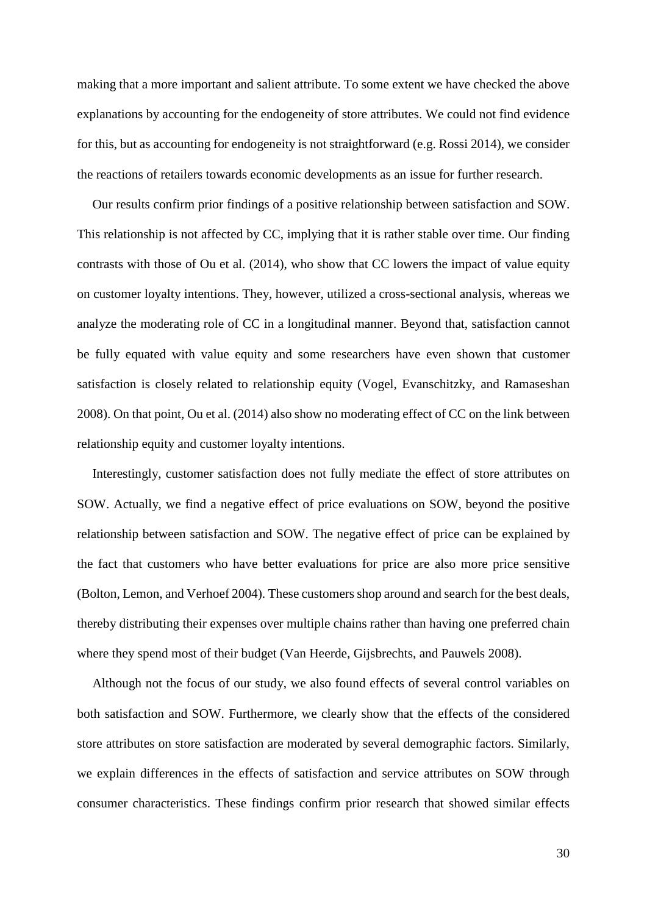making that a more important and salient attribute. To some extent we have checked the above explanations by accounting for the endogeneity of store attributes. We could not find evidence for this, but as accounting for endogeneity is not straightforward (e.g. Rossi 2014), we consider the reactions of retailers towards economic developments as an issue for further research.

Our results confirm prior findings of a positive relationship between satisfaction and SOW. This relationship is not affected by CC, implying that it is rather stable over time. Our finding contrasts with those of Ou et al. (2014), who show that CC lowers the impact of value equity on customer loyalty intentions. They, however, utilized a cross-sectional analysis, whereas we analyze the moderating role of CC in a longitudinal manner. Beyond that, satisfaction cannot be fully equated with value equity and some researchers have even shown that customer satisfaction is closely related to relationship equity (Vogel, Evanschitzky, and Ramaseshan 2008). On that point, Ou et al. (2014) also show no moderating effect of CC on the link between relationship equity and customer loyalty intentions.

Interestingly, customer satisfaction does not fully mediate the effect of store attributes on SOW. Actually, we find a negative effect of price evaluations on SOW, beyond the positive relationship between satisfaction and SOW. The negative effect of price can be explained by the fact that customers who have better evaluations for price are also more price sensitive (Bolton, Lemon, and Verhoef 2004). These customers shop around and search for the best deals, thereby distributing their expenses over multiple chains rather than having one preferred chain where they spend most of their budget (Van Heerde, Gijsbrechts, and Pauwels 2008).

Although not the focus of our study, we also found effects of several control variables on both satisfaction and SOW. Furthermore, we clearly show that the effects of the considered store attributes on store satisfaction are moderated by several demographic factors. Similarly, we explain differences in the effects of satisfaction and service attributes on SOW through consumer characteristics. These findings confirm prior research that showed similar effects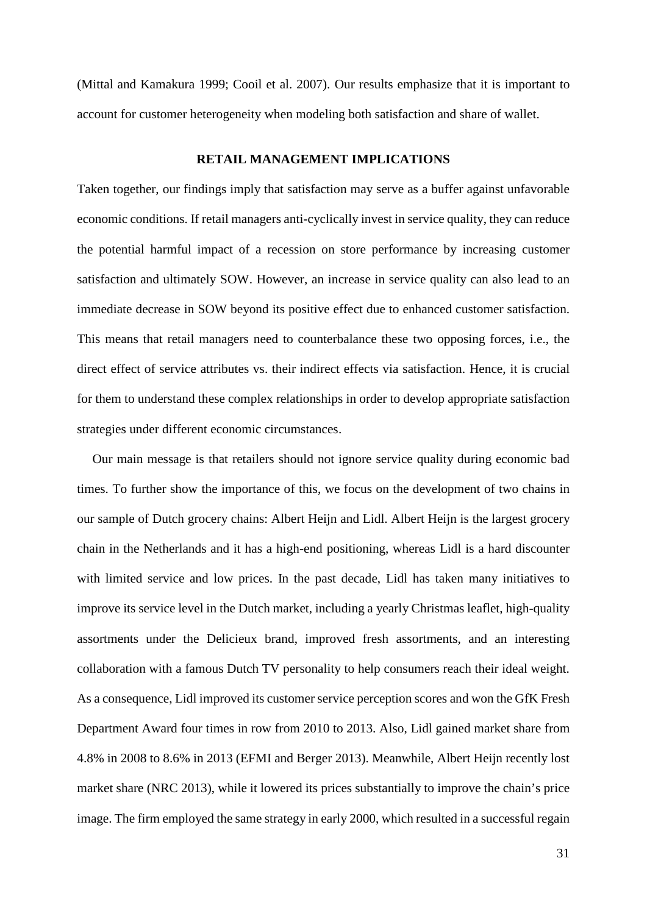(Mittal and Kamakura 1999; Cooil et al. 2007). Our results emphasize that it is important to account for customer heterogeneity when modeling both satisfaction and share of wallet.

#### **RETAIL MANAGEMENT IMPLICATIONS**

Taken together, our findings imply that satisfaction may serve as a buffer against unfavorable economic conditions. If retail managers anti-cyclically invest in service quality, they can reduce the potential harmful impact of a recession on store performance by increasing customer satisfaction and ultimately SOW. However, an increase in service quality can also lead to an immediate decrease in SOW beyond its positive effect due to enhanced customer satisfaction. This means that retail managers need to counterbalance these two opposing forces, i.e., the direct effect of service attributes vs. their indirect effects via satisfaction. Hence, it is crucial for them to understand these complex relationships in order to develop appropriate satisfaction strategies under different economic circumstances.

Our main message is that retailers should not ignore service quality during economic bad times. To further show the importance of this, we focus on the development of two chains in our sample of Dutch grocery chains: Albert Heijn and Lidl. Albert Heijn is the largest grocery chain in the Netherlands and it has a high-end positioning, whereas Lidl is a hard discounter with limited service and low prices. In the past decade, Lidl has taken many initiatives to improve its service level in the Dutch market, including a yearly Christmas leaflet, high-quality assortments under the Delicieux brand, improved fresh assortments, and an interesting collaboration with a famous Dutch TV personality to help consumers reach their ideal weight. As a consequence, Lidl improved its customer service perception scores and won the GfK Fresh Department Award four times in row from 2010 to 2013. Also, Lidl gained market share from 4.8% in 2008 to 8.6% in 2013 (EFMI and Berger 2013). Meanwhile, Albert Heijn recently lost market share (NRC 2013), while it lowered its prices substantially to improve the chain's price image. The firm employed the same strategy in early 2000, which resulted in a successful regain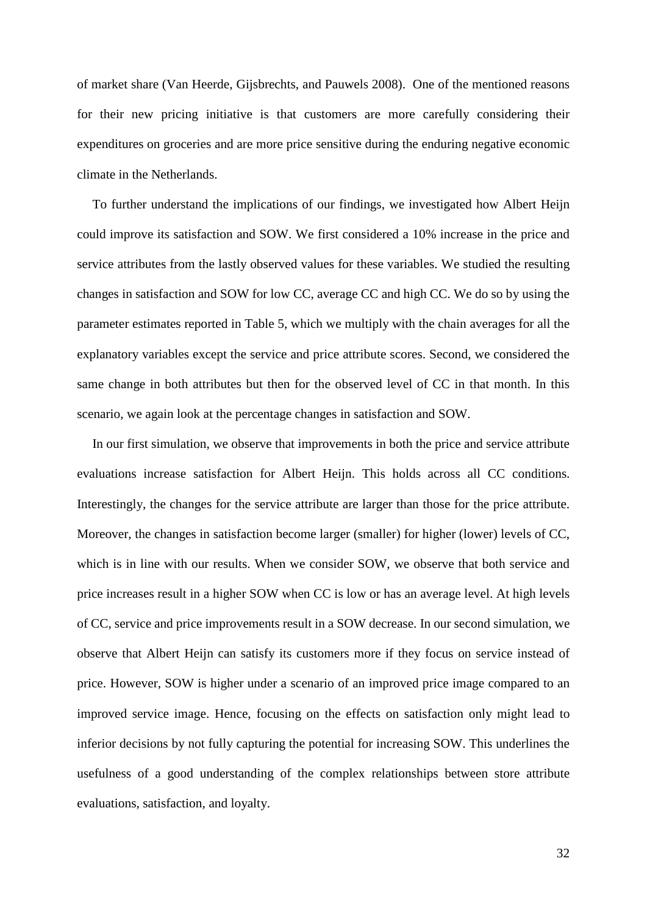of market share (Van Heerde, Gijsbrechts, and Pauwels 2008). One of the mentioned reasons for their new pricing initiative is that customers are more carefully considering their expenditures on groceries and are more price sensitive during the enduring negative economic climate in the Netherlands.

To further understand the implications of our findings, we investigated how Albert Heijn could improve its satisfaction and SOW. We first considered a 10% increase in the price and service attributes from the lastly observed values for these variables. We studied the resulting changes in satisfaction and SOW for low CC, average CC and high CC. We do so by using the parameter estimates reported in Table 5, which we multiply with the chain averages for all the explanatory variables except the service and price attribute scores. Second, we considered the same change in both attributes but then for the observed level of CC in that month. In this scenario, we again look at the percentage changes in satisfaction and SOW.

In our first simulation, we observe that improvements in both the price and service attribute evaluations increase satisfaction for Albert Heijn. This holds across all CC conditions. Interestingly, the changes for the service attribute are larger than those for the price attribute. Moreover, the changes in satisfaction become larger (smaller) for higher (lower) levels of CC, which is in line with our results. When we consider SOW, we observe that both service and price increases result in a higher SOW when CC is low or has an average level. At high levels of CC, service and price improvements result in a SOW decrease. In our second simulation, we observe that Albert Heijn can satisfy its customers more if they focus on service instead of price. However, SOW is higher under a scenario of an improved price image compared to an improved service image. Hence, focusing on the effects on satisfaction only might lead to inferior decisions by not fully capturing the potential for increasing SOW. This underlines the usefulness of a good understanding of the complex relationships between store attribute evaluations, satisfaction, and loyalty.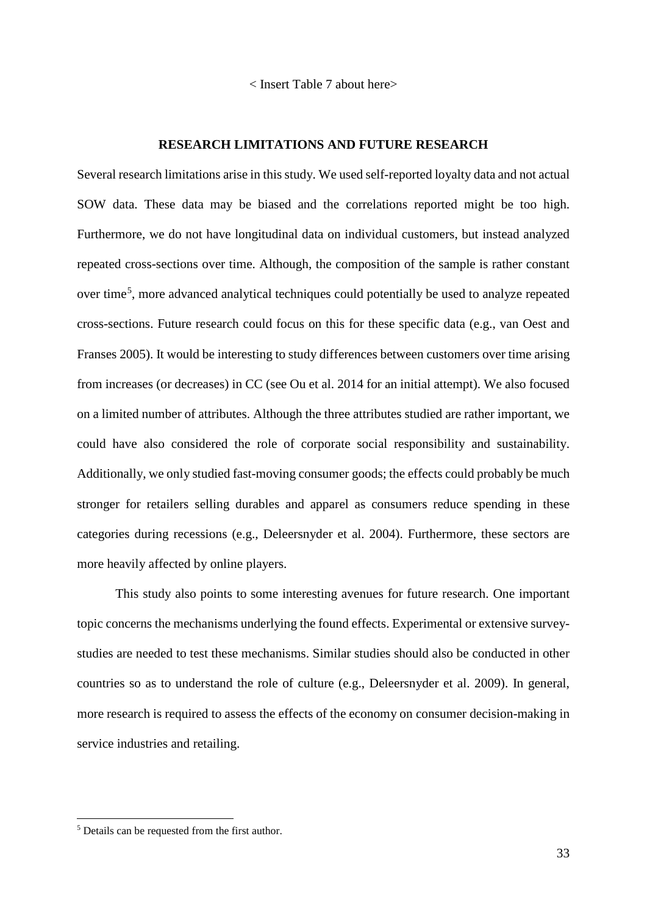< Insert Table 7 about here>

#### **RESEARCH LIMITATIONS AND FUTURE RESEARCH**

Several research limitations arise in this study. We used self-reported loyalty data and not actual SOW data. These data may be biased and the correlations reported might be too high. Furthermore, we do not have longitudinal data on individual customers, but instead analyzed repeated cross-sections over time. Although, the composition of the sample is rather constant over time<sup>[5](#page-32-0)</sup>, more advanced analytical techniques could potentially be used to analyze repeated cross-sections. Future research could focus on this for these specific data (e.g., van Oest and Franses 2005). It would be interesting to study differences between customers over time arising from increases (or decreases) in CC (see Ou et al. 2014 for an initial attempt). We also focused on a limited number of attributes. Although the three attributes studied are rather important, we could have also considered the role of corporate social responsibility and sustainability. Additionally, we only studied fast-moving consumer goods; the effects could probably be much stronger for retailers selling durables and apparel as consumers reduce spending in these categories during recessions (e.g., Deleersnyder et al. 2004). Furthermore, these sectors are more heavily affected by online players.

This study also points to some interesting avenues for future research. One important topic concerns the mechanisms underlying the found effects. Experimental or extensive surveystudies are needed to test these mechanisms. Similar studies should also be conducted in other countries so as to understand the role of culture (e.g., Deleersnyder et al. 2009). In general, more research is required to assess the effects of the economy on consumer decision-making in service industries and retailing.

**.** 

<span id="page-32-0"></span><sup>5</sup> Details can be requested from the first author.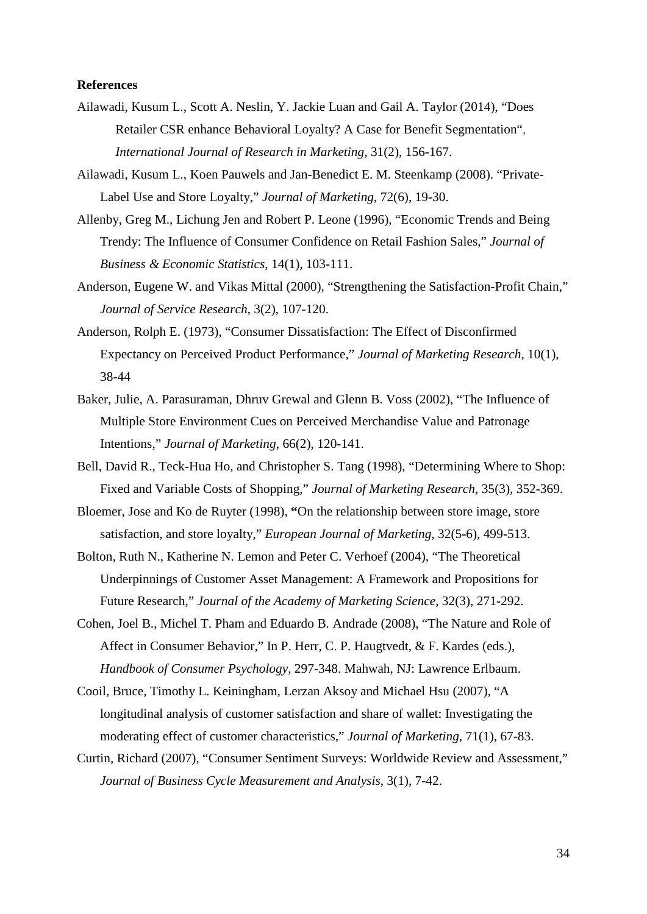# **References**

- Ailawadi, Kusum L., Scott A. Neslin, Y. Jackie Luan and Gail A. Taylor (2014), ["Does](http://www.sciencedirect.com/science/article/pii/S0167811613001080)  [Retailer CSR enhance Behavioral Loyalty? A Case for Benefit Segmentation"](http://www.sciencedirect.com/science/article/pii/S0167811613001080)*, International Journal of Research in Marketing*, 31(2), 156-167.
- Ailawadi, Kusum L., Koen Pauwels and Jan-Benedict E. M. Steenkamp (2008). "Private-Label Use and Store Loyalty," *Journal of Marketing*, 72(6), 19-30.
- Allenby, Greg M., Lichung Jen and Robert P. Leone (1996), "Economic Trends and Being Trendy: The Influence of Consumer Confidence on Retail Fashion Sales," *Journal of Business & Economic Statistics*, 14(1), 103-111.
- Anderson, Eugene W. and Vikas Mittal (2000), "Strengthening the Satisfaction-Profit Chain," *Journal of Service Research*, 3(2), 107-120.
- Anderson, Rolph E. (1973), "Consumer Dissatisfaction: The Effect of Disconfirmed Expectancy on Perceived Product Performance," *Journal of Marketing Research*, 10(1), 38-44
- Baker, Julie, A. Parasuraman, Dhruv Grewal and Glenn B. Voss (2002), "The Influence of Multiple Store Environment Cues on Perceived Merchandise Value and Patronage Intentions," *Journal of Marketing*, 66(2), 120-141.
- Bell, David R., Teck-Hua Ho, and Christopher S. Tang (1998), "Determining Where to Shop: Fixed and Variable Costs of Shopping," *Journal of Marketing Research*, 35(3), 352-369.
- Bloemer, Jose and Ko de Ruyter (1998), **"**On the relationship between store image, store satisfaction, and store loyalty," *European Journal of Marketing*, 32(5-6), 499-513.
- Bolton, Ruth N., Katherine N. Lemon and Peter C. Verhoef (2004), "The Theoretical Underpinnings of Customer Asset Management: A Framework and Propositions for Future Research," *Journal of the Academy of Marketing Science*, 32(3), 271-292.
- Cohen, Joel B., Michel T. Pham and Eduardo B. Andrade (2008), "The Nature and Role of Affect in Consumer Behavior," In P. Herr, C. P. Haugtvedt, & F. Kardes (eds.), *Handbook of Consumer Psychology*, 297-348. Mahwah, NJ: Lawrence Erlbaum.
- Cooil, Bruce, Timothy L. Keiningham, Lerzan Aksoy and Michael Hsu (2007), "A longitudinal analysis of customer satisfaction and share of wallet: Investigating the moderating effect of customer characteristics," *Journal of Marketing*, 71(1), 67-83.
- Curtin, Richard (2007), "Consumer Sentiment Surveys: Worldwide Review and Assessment," *Journal of Business Cycle Measurement and Analysis*, 3(1), 7-42.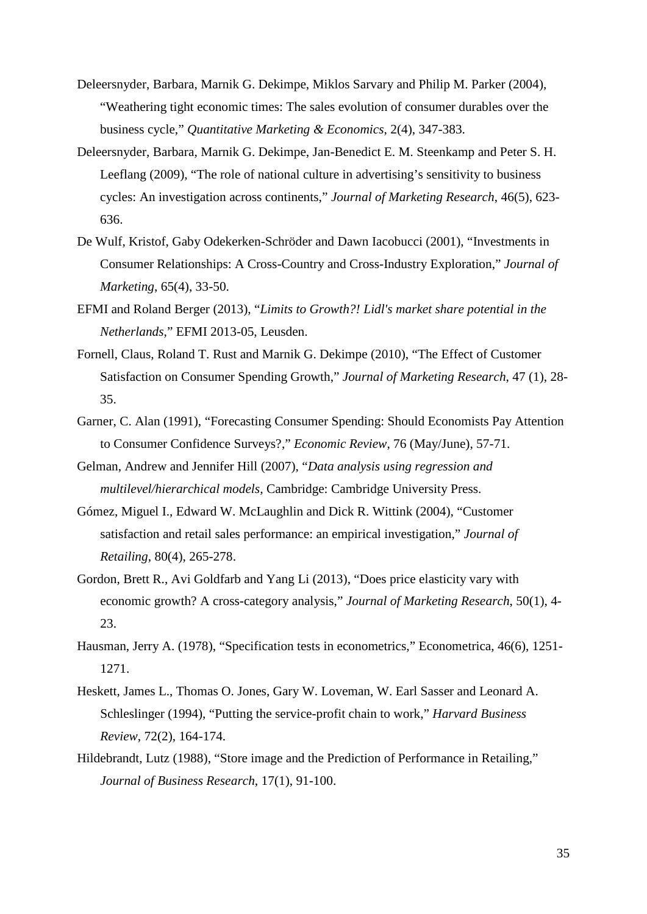- Deleersnyder, Barbara, Marnik G. Dekimpe, Miklos Sarvary and Philip M. Parker (2004), "Weathering tight economic times: The sales evolution of consumer durables over the business cycle," *Quantitative Marketing & Economics*, 2(4), 347-383.
- Deleersnyder, Barbara, Marnik G. Dekimpe, Jan-Benedict E. M. Steenkamp and Peter S. H. Leeflang (2009), "The role of national culture in advertising's sensitivity to business cycles: An investigation across continents," *Journal of Marketing Research*, 46(5), 623- 636.
- De Wulf, Kristof, Gaby Odekerken-Schröder and Dawn Iacobucci (2001), "Investments in Consumer Relationships: A Cross-Country and Cross-Industry Exploration," *Journal of Marketing*, 65(4), 33-50.
- EFMI and Roland Berger (2013), "*Limits to Growth?! Lidl's market share potential in the Netherlands*," EFMI 2013-05, Leusden.
- Fornell, Claus, Roland T. Rust and Marnik G. Dekimpe (2010), "The Effect of Customer Satisfaction on Consumer Spending Growth," *Journal of Marketing Research*, 47 (1), 28- 35.
- Garner, C. Alan (1991), "Forecasting Consumer Spending: Should Economists Pay Attention to Consumer Confidence Surveys?," *Economic Review*, 76 (May/June), 57-71.
- Gelman, Andrew and Jennifer Hill (2007), "*Data analysis using regression and multilevel/hierarchical models,* Cambridge: Cambridge University Press.
- Gómez, Miguel I., Edward W. McLaughlin and Dick R. Wittink (2004), "Customer satisfaction and retail sales performance: an empirical investigation," *Journal of Retailing*, 80(4), 265-278.
- Gordon, Brett R., Avi Goldfarb and Yang Li (2013), "Does price elasticity vary with economic growth? A cross-category analysis," *Journal of Marketing Research*, 50(1), 4- 23.
- Hausman, Jerry A. (1978), "Specification tests in econometrics," Econometrica, 46(6), 1251- 1271.
- Heskett, James L., Thomas O. Jones, Gary W. Loveman, W. Earl Sasser and Leonard A. Schleslinger (1994), "Putting the service-profit chain to work," *Harvard Business Review*, 72(2), 164-174.
- Hildebrandt, Lutz (1988), "Store image and the Prediction of Performance in Retailing," *Journal of Business Research*, 17(1), 91-100.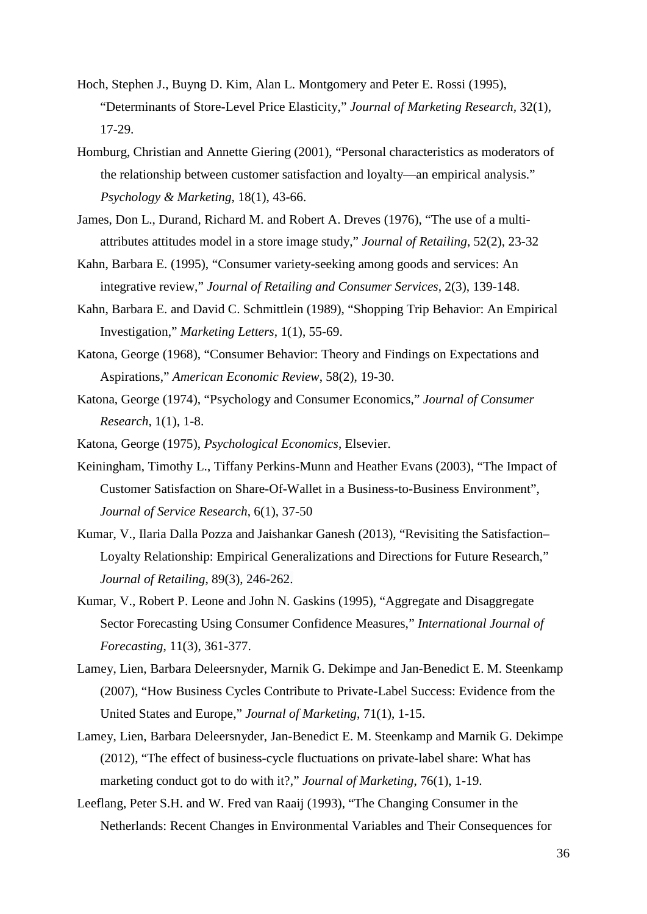- Hoch, Stephen J., Buyng D. Kim, Alan L. Montgomery and Peter E. Rossi (1995), "Determinants of Store-Level Price Elasticity," *Journal of Marketing Research,* 32(1), 17-29.
- Homburg, Christian and Annette Giering (2001), "Personal characteristics as moderators of the relationship between customer satisfaction and loyalty—an empirical analysis." *Psychology & Marketing*, 18(1), 43-66.
- James, Don L., Durand, Richard M. and Robert A. Dreves (1976), "The use of a multiattributes attitudes model in a store image study," *Journal of Retailing*, 52(2), 23-32
- Kahn, Barbara E. (1995), "Consumer variety-seeking among goods and services: An integrative review," *Journal of Retailing and Consumer Services*, 2(3), 139-148.
- Kahn, Barbara E. and David C. Schmittlein (1989), "Shopping Trip Behavior: An Empirical Investigation," *Marketing Letters*, 1(1), 55-69.
- Katona, George (1968), "Consumer Behavior: Theory and Findings on Expectations and Aspirations," *American Economic Review*, 58(2), 19-30.
- Katona, George (1974), "Psychology and Consumer Economics," *Journal of Consumer Research*, 1(1), 1-8.
- Katona, George (1975), *Psychological Economics*, Elsevier.
- Keiningham, Timothy L., Tiffany Perkins-Munn and Heather Evans (2003), "The Impact of Customer Satisfaction on Share-Of-Wallet in a Business-to-Business Environment", *Journal of Service Research*, 6(1), 37-50
- Kumar, V., Ilaria Dalla Pozza and Jaishankar Ganesh (2013), "Revisiting the Satisfaction– Loyalty Relationship: Empirical Generalizations and Directions for Future Research," *Journal of Retailing*, 89(3), 246-262.
- Kumar, V., Robert P. Leone and John N. Gaskins (1995), "Aggregate and Disaggregate Sector Forecasting Using Consumer Confidence Measures," *International Journal of Forecasting*, 11(3), 361-377.
- Lamey, Lien, Barbara Deleersnyder, Marnik G. Dekimpe and Jan-Benedict E. M. Steenkamp (2007), "How Business Cycles Contribute to Private-Label Success: Evidence from the United States and Europe," *Journal of Marketing*, 71(1), 1-15.
- Lamey, Lien, Barbara Deleersnyder, Jan-Benedict E. M. Steenkamp and Marnik G. Dekimpe (2012), "The effect of business-cycle fluctuations on private-label share: What has marketing conduct got to do with it?," *Journal of Marketing*, 76(1), 1-19.
- Leeflang, Peter S.H. and W. Fred van Raaij (1993), "The Changing Consumer in the Netherlands: Recent Changes in Environmental Variables and Their Consequences for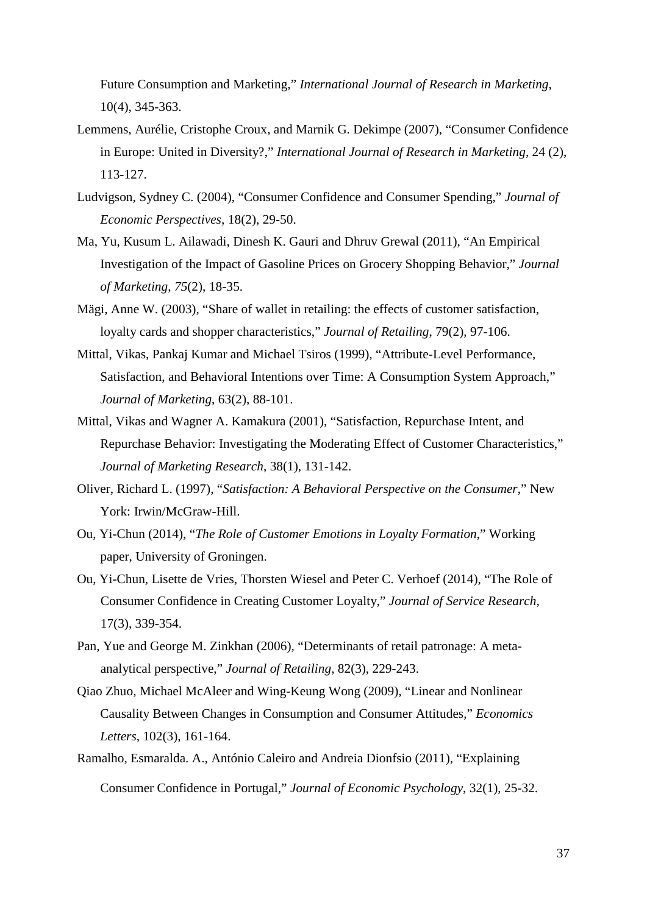Future Consumption and Marketing," *International Journal of Research in Marketing*, 10(4), 345-363.

- Lemmens, Aurélie, Cristophe Croux, and Marnik G. Dekimpe (2007), "Consumer Confidence in Europe: United in Diversity?," *International Journal of Research in Marketing*, 24 (2), 113-127.
- Ludvigson, Sydney C. (2004), "Consumer Confidence and Consumer Spending," *Journal of Economic Perspectives*, 18(2), 29-50.
- Ma, Yu, Kusum L. Ailawadi, Dinesh K. Gauri and Dhruv Grewal (2011), "An Empirical Investigation of the Impact of Gasoline Prices on Grocery Shopping Behavior," *Journal of Marketing*, *75*(2), 18-35.
- Mägi, Anne W. (2003), "Share of wallet in retailing: the effects of customer satisfaction, loyalty cards and shopper characteristics," *Journal of Retailing*, 79(2), 97-106.
- Mittal, Vikas, Pankaj Kumar and Michael Tsiros (1999), "Attribute-Level Performance, Satisfaction, and Behavioral Intentions over Time: A Consumption System Approach," *Journal of Marketing*, 63(2), 88-101.
- Mittal, Vikas and Wagner A. Kamakura (2001), "Satisfaction, Repurchase Intent, and Repurchase Behavior: Investigating the Moderating Effect of Customer Characteristics," *Journal of Marketing Research*, 38(1), 131-142.
- Oliver, Richard L. (1997), "*Satisfaction: A Behavioral Perspective on the Consumer*," New York: Irwin/McGraw-Hill.
- Ou, Yi-Chun (2014), "*The Role of Customer Emotions in Loyalty Formation*," Working paper, University of Groningen.
- Ou, Yi-Chun, Lisette de Vries, Thorsten Wiesel and Peter C. Verhoef (2014), "The Role of Consumer Confidence in Creating Customer Loyalty," *Journal of Service Research*, 17(3), 339-354.
- Pan, Yue and George M. Zinkhan (2006), "Determinants of retail patronage: A metaanalytical perspective," *Journal of Retailing*, 82(3), 229-243.
- Qiao Zhuo, Michael McAleer and Wing-Keung Wong (2009), "Linear and Nonlinear Causality Between Changes in Consumption and Consumer Attitudes," *Economics Letters*, 102(3), 161-164.
- Ramalho, Esmaralda. A., António Caleiro and Andreia Dionfsio (2011), "Explaining

Consumer Confidence in Portugal," *Journal of Economic Psychology*, 32(1), 25-32.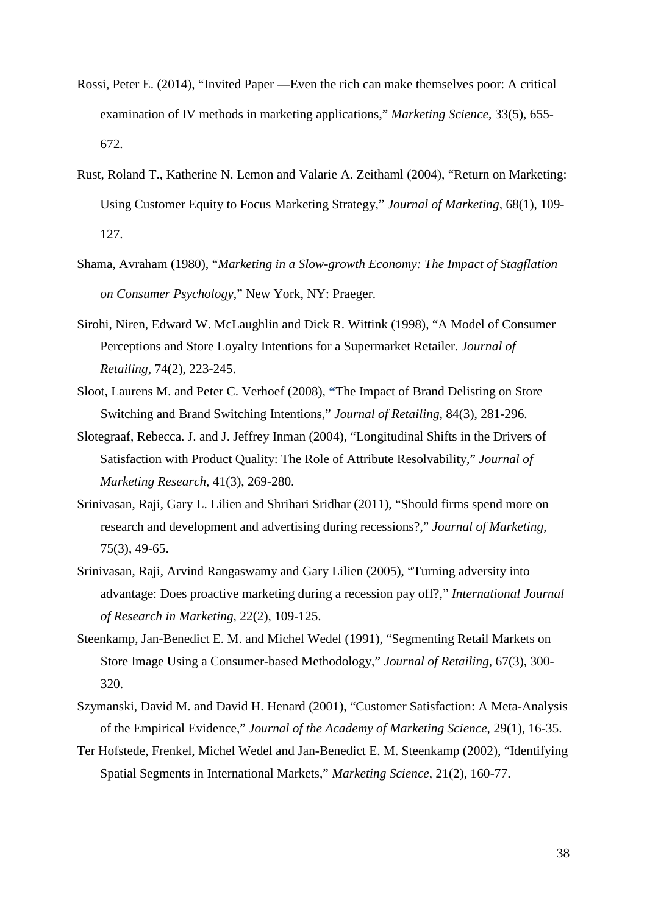- Rossi, Peter E. (2014), "Invited Paper —Even the rich can make themselves poor: A critical examination of IV methods in marketing applications," *Marketing Science*, 33(5), 655- 672.
- Rust, Roland T., Katherine N. Lemon and Valarie A. Zeithaml (2004), "Return on Marketing: Using Customer Equity to Focus Marketing Strategy," *Journal of Marketing*, 68(1), 109- 127.
- Shama, Avraham (1980), "*Marketing in a Slow-growth Economy: The Impact of Stagflation on Consumer Psychology*," New York, NY: Praeger.
- Sirohi, Niren, Edward W. McLaughlin and Dick R. Wittink (1998), "A Model of Consumer Perceptions and Store Loyalty Intentions for a Supermarket Retailer. *Journal of Retailing*, 74(2), 223-245.
- Sloot, Laurens M. and Peter C. Verhoef (2008), **"**The Impact of Brand Delisting on Store Switching and Brand Switching Intentions," *Journal of Retailing*, 84(3), 281-296.
- Slotegraaf, Rebecca. J. and J. Jeffrey Inman (2004), "Longitudinal Shifts in the Drivers of Satisfaction with Product Quality: The Role of Attribute Resolvability," *Journal of Marketing Research*, 41(3), 269-280.
- Srinivasan, Raji, Gary L. Lilien and Shrihari Sridhar (2011), "Should firms spend more on research and development and advertising during recessions?," *Journal of Marketing*, 75(3), 49-65.
- Srinivasan, Raji, Arvind Rangaswamy and Gary Lilien (2005), "Turning adversity into advantage: Does proactive marketing during a recession pay off?," *International Journal of Research in Marketing*, 22(2), 109-125.
- Steenkamp, Jan-Benedict E. M. and Michel Wedel (1991), "Segmenting Retail Markets on Store Image Using a Consumer-based Methodology," *Journal of Retailing*, 67(3), 300- 320.
- Szymanski, David M. and David H. Henard (2001), "Customer Satisfaction: A Meta-Analysis of the Empirical Evidence," *Journal of the Academy of Marketing Science*, 29(1), 16-35.
- Ter Hofstede, Frenkel, Michel Wedel and Jan-Benedict E. M. Steenkamp (2002), "Identifying Spatial Segments in International Markets," *Marketing Science*, 21(2), 160-77.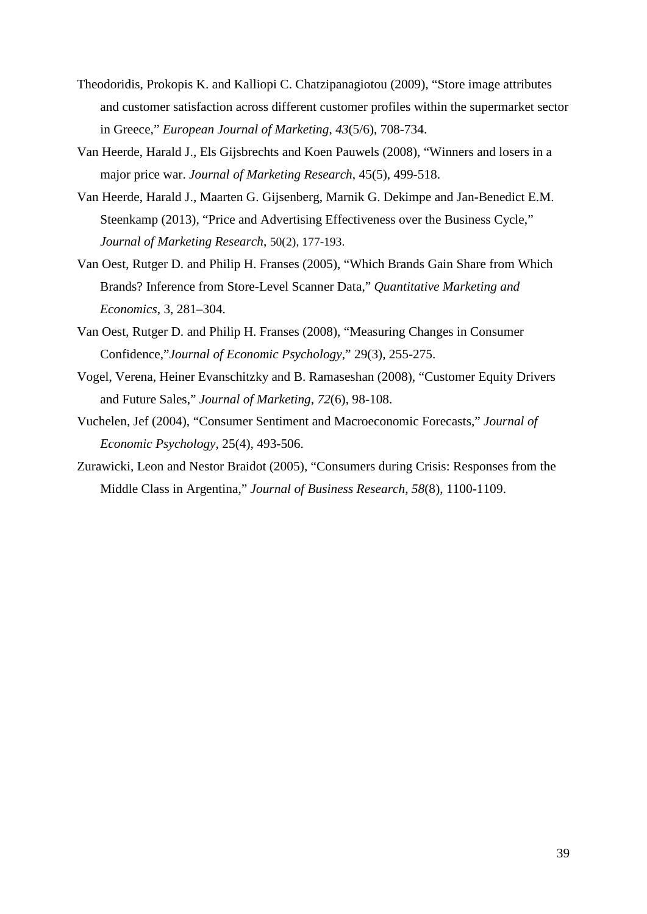- Theodoridis, Prokopis K. and Kalliopi C. Chatzipanagiotou (2009), "Store image attributes and customer satisfaction across different customer profiles within the supermarket sector in Greece," *European Journal of Marketing*, *43*(5/6), 708-734.
- Van Heerde, Harald J., Els Gijsbrechts and Koen Pauwels (2008), "Winners and losers in a major price war. *Journal of Marketing Research*, 45(5), 499-518.
- Van Heerde, Harald J., Maarten G. Gijsenberg, Marnik G. Dekimpe and Jan-Benedict E.M. Steenkamp (2013), "Price and Advertising Effectiveness over the Business Cycle," *Journal of Marketing Research*, 50(2), 177-193.
- Van Oest, Rutger D. and Philip H. Franses (2005), "Which Brands Gain Share from Which Brands? Inference from Store-Level Scanner Data," *Quantitative Marketing and Economics*, 3, 281–304.
- Van Oest, Rutger D. and Philip H. Franses (2008), "Measuring Changes in Consumer Confidence,"*Journal of Economic Psychology*," 29(3), 255-275.
- Vogel, Verena, Heiner Evanschitzky and B. Ramaseshan (2008), "Customer Equity Drivers and Future Sales," *Journal of Marketing*, *72*(6), 98-108.
- Vuchelen, Jef (2004), "Consumer Sentiment and Macroeconomic Forecasts," *Journal of Economic Psychology*, 25(4), 493-506.
- Zurawicki, Leon and Nestor Braidot (2005), "Consumers during Crisis: Responses from the Middle Class in Argentina," *Journal of Business Research*, *58*(8), 1100-1109.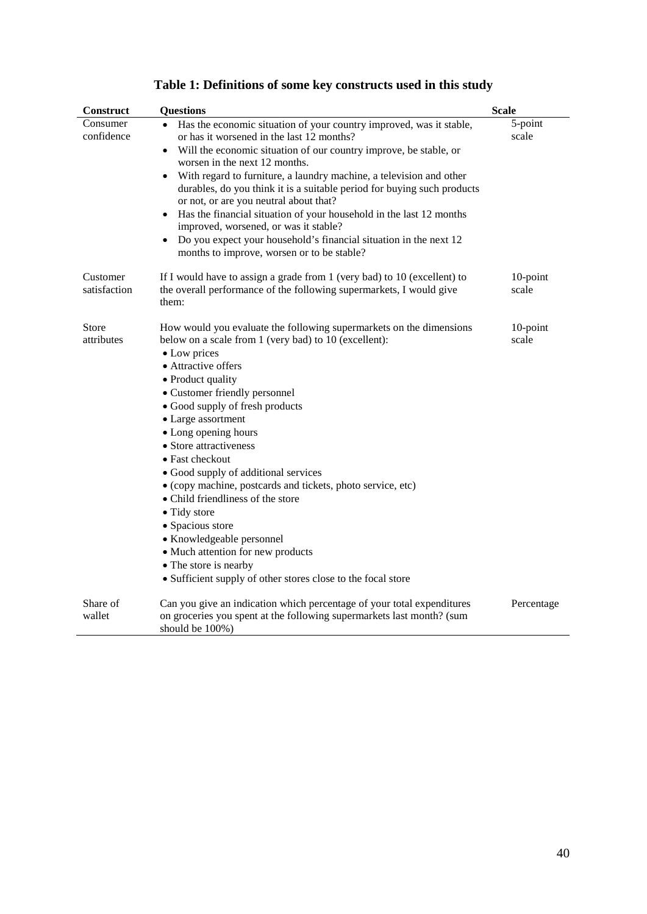| Construct                | <b>Questions</b>                                                                                                                                                                                                                                                                                                                                                                                                                                                                                                                                                                                                                                                                                   | <b>Scale</b>         |
|--------------------------|----------------------------------------------------------------------------------------------------------------------------------------------------------------------------------------------------------------------------------------------------------------------------------------------------------------------------------------------------------------------------------------------------------------------------------------------------------------------------------------------------------------------------------------------------------------------------------------------------------------------------------------------------------------------------------------------------|----------------------|
| Consumer<br>confidence   | Has the economic situation of your country improved, was it stable,<br>or has it worsened in the last 12 months?<br>Will the economic situation of our country improve, be stable, or<br>worsen in the next 12 months.<br>With regard to furniture, a laundry machine, a television and other<br>$\bullet$<br>durables, do you think it is a suitable period for buying such products<br>or not, or are you neutral about that?<br>Has the financial situation of your household in the last 12 months<br>improved, worsened, or was it stable?<br>Do you expect your household's financial situation in the next 12<br>months to improve, worsen or to be stable?                                 | 5-point<br>scale     |
| Customer<br>satisfaction | If I would have to assign a grade from 1 (very bad) to 10 (excellent) to<br>the overall performance of the following supermarkets, I would give<br>them:                                                                                                                                                                                                                                                                                                                                                                                                                                                                                                                                           | $10$ -point<br>scale |
| Store<br>attributes      | How would you evaluate the following supermarkets on the dimensions<br>below on a scale from 1 (very bad) to 10 (excellent):<br>• Low prices<br>• Attractive offers<br>• Product quality<br>• Customer friendly personnel<br>• Good supply of fresh products<br>• Large assortment<br>• Long opening hours<br>• Store attractiveness<br>• Fast checkout<br>• Good supply of additional services<br>• (copy machine, postcards and tickets, photo service, etc)<br>• Child friendliness of the store<br>• Tidy store<br>• Spacious store<br>• Knowledgeable personnel<br>• Much attention for new products<br>• The store is nearby<br>• Sufficient supply of other stores close to the focal store | 10-point<br>scale    |
| Share of<br>wallet       | Can you give an indication which percentage of your total expenditures<br>on groceries you spent at the following supermarkets last month? (sum<br>should be 100%)                                                                                                                                                                                                                                                                                                                                                                                                                                                                                                                                 | Percentage           |

# **Table 1: Definitions of some key constructs used in this study**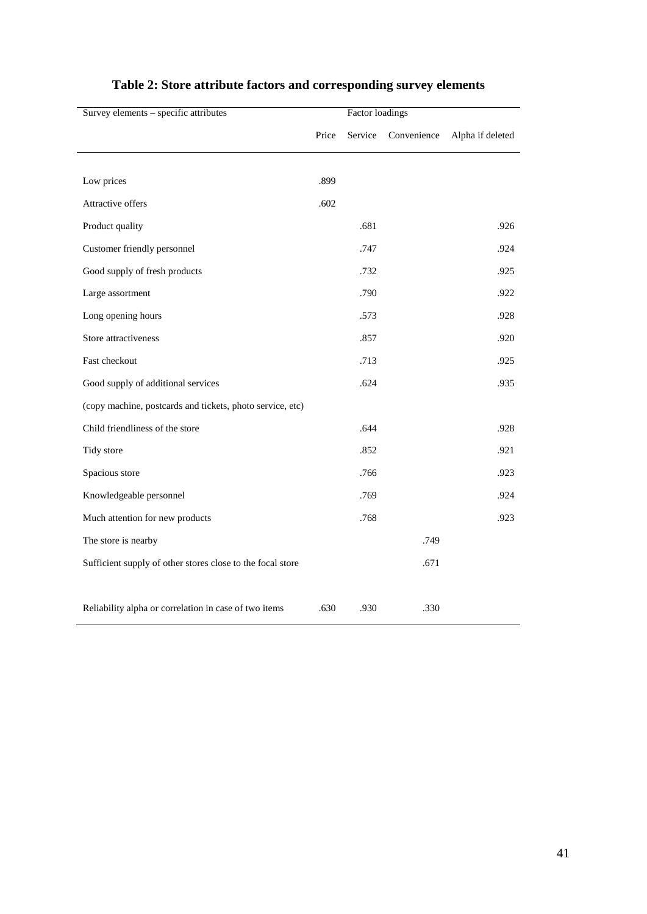| Survey elements - specific attributes                      | Factor loadings |         |             |                  |
|------------------------------------------------------------|-----------------|---------|-------------|------------------|
|                                                            | Price           | Service | Convenience | Alpha if deleted |
|                                                            |                 |         |             |                  |
| Low prices                                                 | .899            |         |             |                  |
| Attractive offers                                          | .602            |         |             |                  |
| Product quality                                            |                 | .681    |             | .926             |
| Customer friendly personnel                                |                 | .747    |             | .924             |
| Good supply of fresh products                              |                 | .732    |             | .925             |
| Large assortment                                           |                 | .790    |             | .922             |
| Long opening hours                                         |                 | .573    |             | .928             |
| Store attractiveness                                       |                 | .857    |             | .920             |
| Fast checkout                                              |                 | .713    |             | .925             |
| Good supply of additional services                         |                 | .624    |             | .935             |
| (copy machine, postcards and tickets, photo service, etc)  |                 |         |             |                  |
| Child friendliness of the store                            |                 | .644    |             | .928             |
| Tidy store                                                 |                 | .852    |             | .921             |
| Spacious store                                             |                 | .766    |             | .923             |
| Knowledgeable personnel                                    |                 | .769    |             | .924             |
| Much attention for new products                            |                 | .768    |             | .923             |
| The store is nearby                                        |                 |         | .749        |                  |
| Sufficient supply of other stores close to the focal store |                 |         | .671        |                  |
|                                                            |                 |         |             |                  |
| Reliability alpha or correlation in case of two items      | .630            | .930    | .330        |                  |

# **Table 2: Store attribute factors and corresponding survey elements**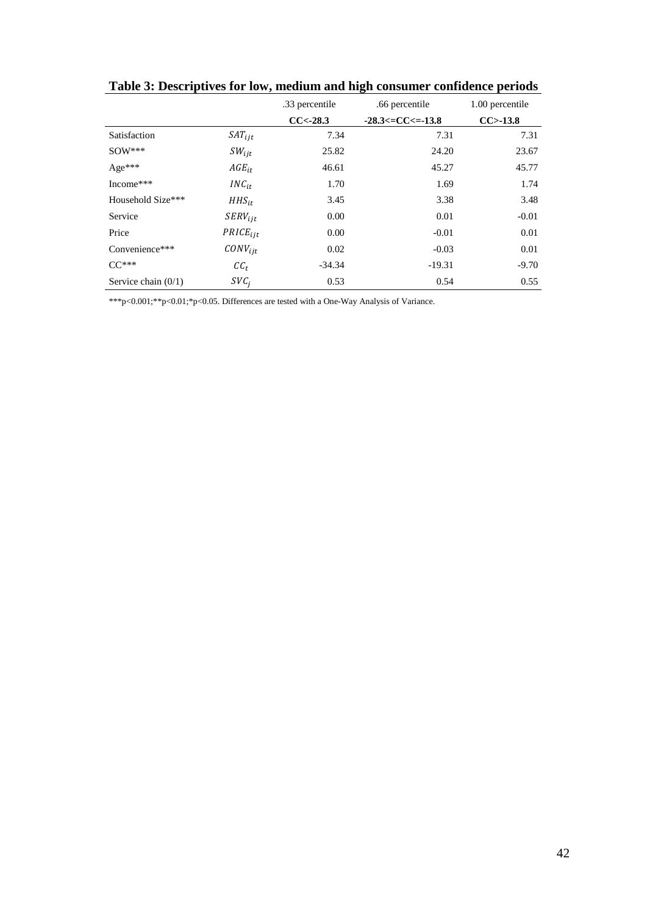|                       |                            | .33 percentile | .66 percentile                | 1.00 percentile |
|-----------------------|----------------------------|----------------|-------------------------------|-----------------|
|                       |                            | CC < 28.3      | $-28.3 \leq C$ C $\leq -13.8$ | $CC > -13.8$    |
| Satisfaction          | $SAT_{\text{lit}}$         | 7.34           | 7.31                          | 7.31            |
| $SOW***$              | $SW_{ijt}$                 | 25.82          | 24.20                         | 23.67           |
| $Age***$              | $AGE_{it}$                 | 46.61          | 45.27                         | 45.77           |
| Income***             | $INC_{it}$                 | 1.70           | 1.69                          | 1.74            |
| Household Size***     | $HHS_{it}$                 | 3.45           | 3.38                          | 3.48            |
| Service               | $SERV_{ijt}$               | 0.00           | 0.01                          | $-0.01$         |
| Price                 | $PRICE_{iit}$              | 0.00           | $-0.01$                       | 0.01            |
| Convenience***        | $CONV_{\text{ijt}}$        | 0.02           | $-0.03$                       | 0.01            |
| $CC***$               | $\mathcal{C}\mathcal{C}_t$ | $-34.34$       | $-19.31$                      | $-9.70$         |
| Service chain $(0/1)$ | $SVC_i$                    | 0.53           | 0.54                          | 0.55            |

**Table 3: Descriptives for low, medium and high consumer confidence periods**

\*\*\*p<0.001;\*\*p<0.01;\*p<0.05. Differences are tested with a One-Way Analysis of Variance.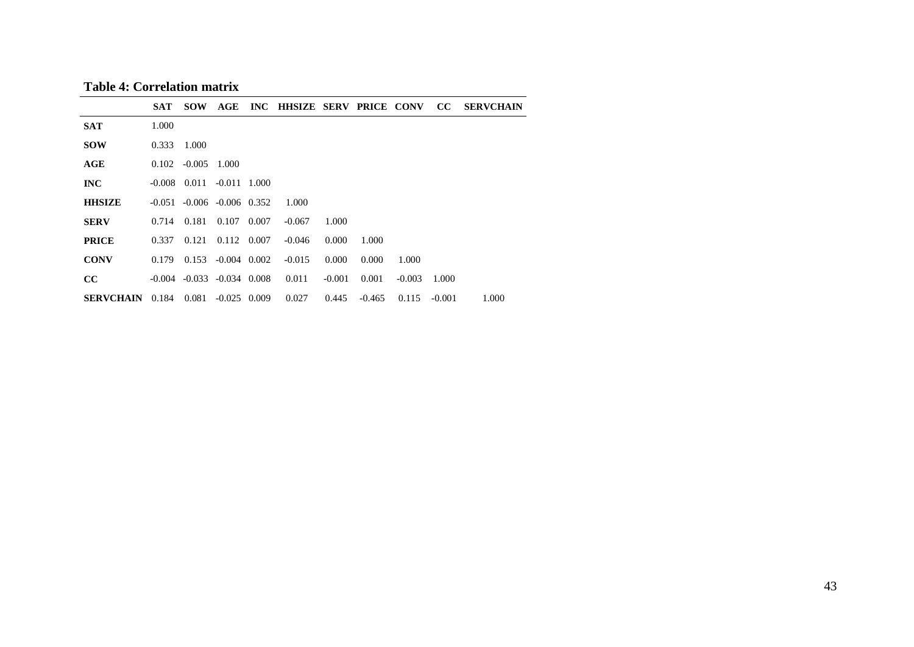|                        | SAT      | <b>SOW</b>     | AGE                                |       | INC HHSIZE SERV PRICE CONV |          |          |          | CC       | <b>SERVCHAIN</b> |
|------------------------|----------|----------------|------------------------------------|-------|----------------------------|----------|----------|----------|----------|------------------|
| <b>SAT</b>             | 1.000    |                |                                    |       |                            |          |          |          |          |                  |
| <b>SOW</b>             | 0.333    | 1.000          |                                    |       |                            |          |          |          |          |                  |
| AGE                    | 0.102    | $-0.005$ 1.000 |                                    |       |                            |          |          |          |          |                  |
| <b>INC</b>             | $-0.008$ | 0.011          | $-0.011$                           | 1.000 |                            |          |          |          |          |                  |
| <b>HHSIZE</b>          |          |                | $-0.051$ $-0.006$ $-0.006$ $0.352$ |       | 1.000                      |          |          |          |          |                  |
| <b>SERV</b>            | 0.714    | 0.181          | 0.107                              | 0.007 | $-0.067$                   | 1.000    |          |          |          |                  |
| <b>PRICE</b>           | 0.337    | 0.121          | 0.112 0.007                        |       | $-0.046$                   | 0.000    | 1.000    |          |          |                  |
| <b>CONV</b>            | 0.179    |                | $0.153 - 0.004 0.002$              |       | $-0.015$                   | 0.000    | 0.000    | 1.000    |          |                  |
| $\bf CC$               |          |                | $-0.004$ $-0.033$ $-0.034$ $0.008$ |       | 0.011                      | $-0.001$ | 0.001    | $-0.003$ | 1.000    |                  |
| <b>SERVCHAIN</b> 0.184 |          | 0.081          | $-0.025$ 0.009                     |       | 0.027                      | 0.445    | $-0.465$ | 0.115    | $-0.001$ | 1.000            |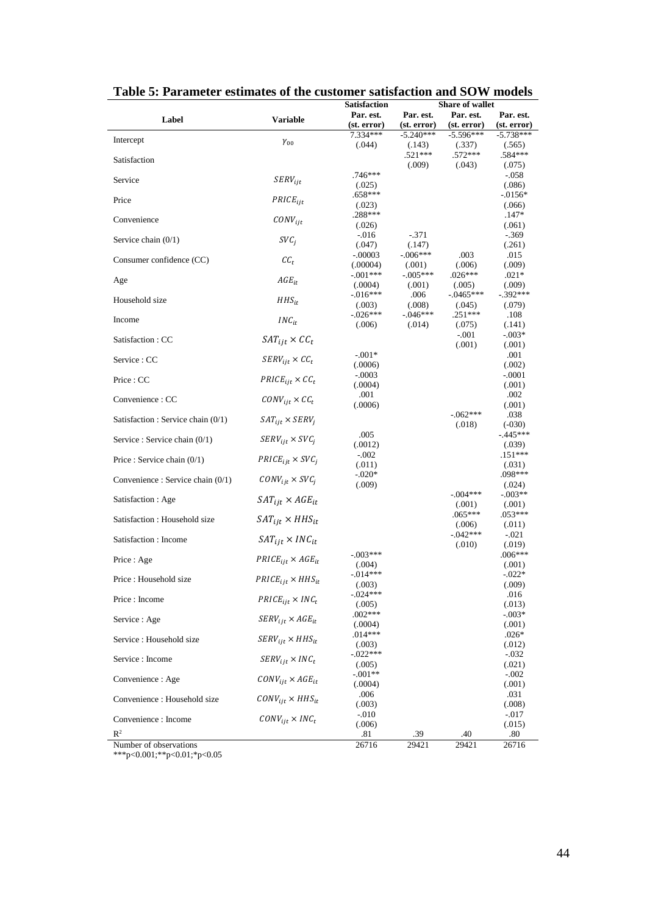| Par. est.<br>Par. est.<br>Par. est.<br>Par. est.<br>Label<br><b>Variable</b><br>(st. error)<br>(st. error)<br>(st. error)<br>(st. error)<br>$-5.596***$<br>$7.334***$<br>$-5.240***$<br>$-5.738***$<br>Intercept<br>$\gamma_{00}$<br>(.337)<br>(.044)<br>(.143)<br>(.565)<br>$.572***$<br>$.521***$<br>.584***<br>Satisfaction<br>(.009)<br>(.043)<br>(.075)<br>$.746***$<br>$-.058$<br>$SERV_{ijt}$<br>Service<br>(.025)<br>(.086)<br>$.658***$<br>$-0.0156*$<br>$PRICE_{ijt}$<br>Price<br>(.066)<br>(.023)<br>.288***<br>$.147*$<br>$CONV_{ijt}$<br>Convenience<br>(.026)<br>(.061)<br>$-0.016$<br>$-371$<br>$-0.369$<br>$SVC_i$<br>Service chain $(0/1)$<br>(.047)<br>(.147)<br>(.261)<br>$-.00003$<br>$-.006***$<br>.003<br>.015<br>Consumer confidence (CC)<br>$\mathcal{C}\mathcal{C}_t$<br>(.00004)<br>(.006)<br>(.009)<br>(.001)<br>$-.001***$<br>$-005***$<br>$.026***$<br>$.021*$<br>$AGE_{it}$<br>Age<br>(.0004)<br>(.001)<br>(.009)<br>(.005)<br>$-016***$<br>$-.392***$<br>.006<br>$-0.465***$<br>Household size<br>$HHS_{it}$<br>(.008)<br>(.003)<br>(.045)<br>(.079)<br>$-0.026***$<br>$-0.46***$<br>$.251***$<br>.108<br>$INC_{it}$<br>Income<br>(.006)<br>(.014)<br>(.075)<br>(.141)<br>$-.001$<br>$-.003*$<br>$SAT_{iit} \times CC_t$<br>Satisfaction: CC<br>(.001)<br>(.001)<br>$-.001*$<br>.001<br>$SERV_{ijt} \times CC_t$<br>Service : CC<br>(.0006)<br>(.002)<br>$-.0001$<br>$-.0003$<br>$PRICE_{iit} \times CC_t$<br>Price: CC<br>(.0004)<br>(.001)<br>.001<br>.002<br>$CONV_{iit} \times CC_t$<br>Convenience: CC<br>(.0006)<br>(.001)<br>$-062***$<br>.038<br>$SAT_{ijt} \times SERV_j$<br>Satisfaction : Service chain $(0/1)$<br>(.018)<br>$(-030)$<br>$-445***$<br>.005<br>$SERV_{ijt} \times SVC_j$<br>Service : Service chain (0/1)<br>(.0012)<br>(.039)<br>$-.002$<br>.151***<br>$PRICE_{iit} \times SVC_i$<br>Price : Service chain $(0/1)$<br>(.011)<br>(.031)<br>.098***<br>$-.020*$<br>$CONV_{ijt} \times SVC_i$<br>Convenience : Service chain (0/1)<br>(.009)<br>(.024)<br>$-.004***$<br>$-0.03**$<br>$SAT_{iit} \times AGE_{it}$<br>Satisfaction : Age<br>(.001)<br>(.001)<br>$.065***$<br>$.053***$<br>$SAT_{\text{lit}} \times HHS_{\text{it}}$<br>Satisfaction: Household size<br>(.011)<br>(.006)<br>$-042***$<br>$-.021$<br>$SAT_{iit} \times INC_{it}$<br>Satisfaction : Income<br>(.010)<br>(.019)<br>$-.003***$<br>$.006***$<br>$PRICE_{iit} \times AGE_{it}$<br>Price : Age<br>(.004)<br>(.001)<br>$-014***$<br>$-.022*$<br>$PRICE_{ijt} \times HHS_{it}$<br>Price : Household size<br>(.009)<br>(.003)<br>$-0.024***$<br>.016<br>Price: Income<br>$PRICE_{ijt} \times INC_t$<br>(.005)<br>(.013)<br>$.002***$<br>$-.003*$<br>$SERV_{ijt} \times AGE_{it}$<br>Service: Age<br>(.0004)<br>(.001)<br>$.014***$<br>$.026*$<br>$SERV_{iit} \times HHS_{it}$<br>Service : Household size<br>(.003)<br>(.012)<br>$-0.022***$<br>$-.032$<br>$SERV_{ijt} \times INC_t$<br>Service : Income<br>(.005)<br>(.021)<br>$-0.01**$<br>$-.002$<br>$CONV_{ijt} \times AGE_{it}$<br>Convenience : Age<br>(.0004)<br>(.001)<br>.031<br>.006<br>$CONV_{iit} \times HHS_{it}$<br>Convenience : Household size<br>(.003)<br>(.008)<br>$-0.017$<br>$-.010$<br>$CONV_{ijt} \times INC_t$<br>Convenience : Income<br>(.006)<br>(.015)<br>$\mathbb{R}^2$<br>.80<br>.81<br>.39<br>.40<br>29421<br>29421<br>26716<br>Number of observations<br>26716 |                              | <b>Satisfaction</b> | Share of wallet |  |
|--------------------------------------------------------------------------------------------------------------------------------------------------------------------------------------------------------------------------------------------------------------------------------------------------------------------------------------------------------------------------------------------------------------------------------------------------------------------------------------------------------------------------------------------------------------------------------------------------------------------------------------------------------------------------------------------------------------------------------------------------------------------------------------------------------------------------------------------------------------------------------------------------------------------------------------------------------------------------------------------------------------------------------------------------------------------------------------------------------------------------------------------------------------------------------------------------------------------------------------------------------------------------------------------------------------------------------------------------------------------------------------------------------------------------------------------------------------------------------------------------------------------------------------------------------------------------------------------------------------------------------------------------------------------------------------------------------------------------------------------------------------------------------------------------------------------------------------------------------------------------------------------------------------------------------------------------------------------------------------------------------------------------------------------------------------------------------------------------------------------------------------------------------------------------------------------------------------------------------------------------------------------------------------------------------------------------------------------------------------------------------------------------------------------------------------------------------------------------------------------------------------------------------------------------------------------------------------------------------------------------------------------------------------------------------------------------------------------------------------------------------------------------------------------------------------------------------------------------------------------------------------------------------------------------------------------------------------------------------------------------------------------------------------------------------------------------------------------------------------------------------------------------------------------------------------------------------------------------------------------------------------------------------------------------------------------------------------------------------------------------|------------------------------|---------------------|-----------------|--|
|                                                                                                                                                                                                                                                                                                                                                                                                                                                                                                                                                                                                                                                                                                                                                                                                                                                                                                                                                                                                                                                                                                                                                                                                                                                                                                                                                                                                                                                                                                                                                                                                                                                                                                                                                                                                                                                                                                                                                                                                                                                                                                                                                                                                                                                                                                                                                                                                                                                                                                                                                                                                                                                                                                                                                                                                                                                                                                                                                                                                                                                                                                                                                                                                                                                                                                                                                                          |                              |                     |                 |  |
|                                                                                                                                                                                                                                                                                                                                                                                                                                                                                                                                                                                                                                                                                                                                                                                                                                                                                                                                                                                                                                                                                                                                                                                                                                                                                                                                                                                                                                                                                                                                                                                                                                                                                                                                                                                                                                                                                                                                                                                                                                                                                                                                                                                                                                                                                                                                                                                                                                                                                                                                                                                                                                                                                                                                                                                                                                                                                                                                                                                                                                                                                                                                                                                                                                                                                                                                                                          |                              |                     |                 |  |
|                                                                                                                                                                                                                                                                                                                                                                                                                                                                                                                                                                                                                                                                                                                                                                                                                                                                                                                                                                                                                                                                                                                                                                                                                                                                                                                                                                                                                                                                                                                                                                                                                                                                                                                                                                                                                                                                                                                                                                                                                                                                                                                                                                                                                                                                                                                                                                                                                                                                                                                                                                                                                                                                                                                                                                                                                                                                                                                                                                                                                                                                                                                                                                                                                                                                                                                                                                          |                              |                     |                 |  |
|                                                                                                                                                                                                                                                                                                                                                                                                                                                                                                                                                                                                                                                                                                                                                                                                                                                                                                                                                                                                                                                                                                                                                                                                                                                                                                                                                                                                                                                                                                                                                                                                                                                                                                                                                                                                                                                                                                                                                                                                                                                                                                                                                                                                                                                                                                                                                                                                                                                                                                                                                                                                                                                                                                                                                                                                                                                                                                                                                                                                                                                                                                                                                                                                                                                                                                                                                                          |                              |                     |                 |  |
|                                                                                                                                                                                                                                                                                                                                                                                                                                                                                                                                                                                                                                                                                                                                                                                                                                                                                                                                                                                                                                                                                                                                                                                                                                                                                                                                                                                                                                                                                                                                                                                                                                                                                                                                                                                                                                                                                                                                                                                                                                                                                                                                                                                                                                                                                                                                                                                                                                                                                                                                                                                                                                                                                                                                                                                                                                                                                                                                                                                                                                                                                                                                                                                                                                                                                                                                                                          |                              |                     |                 |  |
|                                                                                                                                                                                                                                                                                                                                                                                                                                                                                                                                                                                                                                                                                                                                                                                                                                                                                                                                                                                                                                                                                                                                                                                                                                                                                                                                                                                                                                                                                                                                                                                                                                                                                                                                                                                                                                                                                                                                                                                                                                                                                                                                                                                                                                                                                                                                                                                                                                                                                                                                                                                                                                                                                                                                                                                                                                                                                                                                                                                                                                                                                                                                                                                                                                                                                                                                                                          |                              |                     |                 |  |
|                                                                                                                                                                                                                                                                                                                                                                                                                                                                                                                                                                                                                                                                                                                                                                                                                                                                                                                                                                                                                                                                                                                                                                                                                                                                                                                                                                                                                                                                                                                                                                                                                                                                                                                                                                                                                                                                                                                                                                                                                                                                                                                                                                                                                                                                                                                                                                                                                                                                                                                                                                                                                                                                                                                                                                                                                                                                                                                                                                                                                                                                                                                                                                                                                                                                                                                                                                          |                              |                     |                 |  |
|                                                                                                                                                                                                                                                                                                                                                                                                                                                                                                                                                                                                                                                                                                                                                                                                                                                                                                                                                                                                                                                                                                                                                                                                                                                                                                                                                                                                                                                                                                                                                                                                                                                                                                                                                                                                                                                                                                                                                                                                                                                                                                                                                                                                                                                                                                                                                                                                                                                                                                                                                                                                                                                                                                                                                                                                                                                                                                                                                                                                                                                                                                                                                                                                                                                                                                                                                                          |                              |                     |                 |  |
|                                                                                                                                                                                                                                                                                                                                                                                                                                                                                                                                                                                                                                                                                                                                                                                                                                                                                                                                                                                                                                                                                                                                                                                                                                                                                                                                                                                                                                                                                                                                                                                                                                                                                                                                                                                                                                                                                                                                                                                                                                                                                                                                                                                                                                                                                                                                                                                                                                                                                                                                                                                                                                                                                                                                                                                                                                                                                                                                                                                                                                                                                                                                                                                                                                                                                                                                                                          |                              |                     |                 |  |
|                                                                                                                                                                                                                                                                                                                                                                                                                                                                                                                                                                                                                                                                                                                                                                                                                                                                                                                                                                                                                                                                                                                                                                                                                                                                                                                                                                                                                                                                                                                                                                                                                                                                                                                                                                                                                                                                                                                                                                                                                                                                                                                                                                                                                                                                                                                                                                                                                                                                                                                                                                                                                                                                                                                                                                                                                                                                                                                                                                                                                                                                                                                                                                                                                                                                                                                                                                          |                              |                     |                 |  |
|                                                                                                                                                                                                                                                                                                                                                                                                                                                                                                                                                                                                                                                                                                                                                                                                                                                                                                                                                                                                                                                                                                                                                                                                                                                                                                                                                                                                                                                                                                                                                                                                                                                                                                                                                                                                                                                                                                                                                                                                                                                                                                                                                                                                                                                                                                                                                                                                                                                                                                                                                                                                                                                                                                                                                                                                                                                                                                                                                                                                                                                                                                                                                                                                                                                                                                                                                                          |                              |                     |                 |  |
|                                                                                                                                                                                                                                                                                                                                                                                                                                                                                                                                                                                                                                                                                                                                                                                                                                                                                                                                                                                                                                                                                                                                                                                                                                                                                                                                                                                                                                                                                                                                                                                                                                                                                                                                                                                                                                                                                                                                                                                                                                                                                                                                                                                                                                                                                                                                                                                                                                                                                                                                                                                                                                                                                                                                                                                                                                                                                                                                                                                                                                                                                                                                                                                                                                                                                                                                                                          |                              |                     |                 |  |
|                                                                                                                                                                                                                                                                                                                                                                                                                                                                                                                                                                                                                                                                                                                                                                                                                                                                                                                                                                                                                                                                                                                                                                                                                                                                                                                                                                                                                                                                                                                                                                                                                                                                                                                                                                                                                                                                                                                                                                                                                                                                                                                                                                                                                                                                                                                                                                                                                                                                                                                                                                                                                                                                                                                                                                                                                                                                                                                                                                                                                                                                                                                                                                                                                                                                                                                                                                          |                              |                     |                 |  |
|                                                                                                                                                                                                                                                                                                                                                                                                                                                                                                                                                                                                                                                                                                                                                                                                                                                                                                                                                                                                                                                                                                                                                                                                                                                                                                                                                                                                                                                                                                                                                                                                                                                                                                                                                                                                                                                                                                                                                                                                                                                                                                                                                                                                                                                                                                                                                                                                                                                                                                                                                                                                                                                                                                                                                                                                                                                                                                                                                                                                                                                                                                                                                                                                                                                                                                                                                                          |                              |                     |                 |  |
|                                                                                                                                                                                                                                                                                                                                                                                                                                                                                                                                                                                                                                                                                                                                                                                                                                                                                                                                                                                                                                                                                                                                                                                                                                                                                                                                                                                                                                                                                                                                                                                                                                                                                                                                                                                                                                                                                                                                                                                                                                                                                                                                                                                                                                                                                                                                                                                                                                                                                                                                                                                                                                                                                                                                                                                                                                                                                                                                                                                                                                                                                                                                                                                                                                                                                                                                                                          |                              |                     |                 |  |
|                                                                                                                                                                                                                                                                                                                                                                                                                                                                                                                                                                                                                                                                                                                                                                                                                                                                                                                                                                                                                                                                                                                                                                                                                                                                                                                                                                                                                                                                                                                                                                                                                                                                                                                                                                                                                                                                                                                                                                                                                                                                                                                                                                                                                                                                                                                                                                                                                                                                                                                                                                                                                                                                                                                                                                                                                                                                                                                                                                                                                                                                                                                                                                                                                                                                                                                                                                          |                              |                     |                 |  |
|                                                                                                                                                                                                                                                                                                                                                                                                                                                                                                                                                                                                                                                                                                                                                                                                                                                                                                                                                                                                                                                                                                                                                                                                                                                                                                                                                                                                                                                                                                                                                                                                                                                                                                                                                                                                                                                                                                                                                                                                                                                                                                                                                                                                                                                                                                                                                                                                                                                                                                                                                                                                                                                                                                                                                                                                                                                                                                                                                                                                                                                                                                                                                                                                                                                                                                                                                                          |                              |                     |                 |  |
|                                                                                                                                                                                                                                                                                                                                                                                                                                                                                                                                                                                                                                                                                                                                                                                                                                                                                                                                                                                                                                                                                                                                                                                                                                                                                                                                                                                                                                                                                                                                                                                                                                                                                                                                                                                                                                                                                                                                                                                                                                                                                                                                                                                                                                                                                                                                                                                                                                                                                                                                                                                                                                                                                                                                                                                                                                                                                                                                                                                                                                                                                                                                                                                                                                                                                                                                                                          |                              |                     |                 |  |
|                                                                                                                                                                                                                                                                                                                                                                                                                                                                                                                                                                                                                                                                                                                                                                                                                                                                                                                                                                                                                                                                                                                                                                                                                                                                                                                                                                                                                                                                                                                                                                                                                                                                                                                                                                                                                                                                                                                                                                                                                                                                                                                                                                                                                                                                                                                                                                                                                                                                                                                                                                                                                                                                                                                                                                                                                                                                                                                                                                                                                                                                                                                                                                                                                                                                                                                                                                          |                              |                     |                 |  |
|                                                                                                                                                                                                                                                                                                                                                                                                                                                                                                                                                                                                                                                                                                                                                                                                                                                                                                                                                                                                                                                                                                                                                                                                                                                                                                                                                                                                                                                                                                                                                                                                                                                                                                                                                                                                                                                                                                                                                                                                                                                                                                                                                                                                                                                                                                                                                                                                                                                                                                                                                                                                                                                                                                                                                                                                                                                                                                                                                                                                                                                                                                                                                                                                                                                                                                                                                                          |                              |                     |                 |  |
|                                                                                                                                                                                                                                                                                                                                                                                                                                                                                                                                                                                                                                                                                                                                                                                                                                                                                                                                                                                                                                                                                                                                                                                                                                                                                                                                                                                                                                                                                                                                                                                                                                                                                                                                                                                                                                                                                                                                                                                                                                                                                                                                                                                                                                                                                                                                                                                                                                                                                                                                                                                                                                                                                                                                                                                                                                                                                                                                                                                                                                                                                                                                                                                                                                                                                                                                                                          |                              |                     |                 |  |
|                                                                                                                                                                                                                                                                                                                                                                                                                                                                                                                                                                                                                                                                                                                                                                                                                                                                                                                                                                                                                                                                                                                                                                                                                                                                                                                                                                                                                                                                                                                                                                                                                                                                                                                                                                                                                                                                                                                                                                                                                                                                                                                                                                                                                                                                                                                                                                                                                                                                                                                                                                                                                                                                                                                                                                                                                                                                                                                                                                                                                                                                                                                                                                                                                                                                                                                                                                          |                              |                     |                 |  |
|                                                                                                                                                                                                                                                                                                                                                                                                                                                                                                                                                                                                                                                                                                                                                                                                                                                                                                                                                                                                                                                                                                                                                                                                                                                                                                                                                                                                                                                                                                                                                                                                                                                                                                                                                                                                                                                                                                                                                                                                                                                                                                                                                                                                                                                                                                                                                                                                                                                                                                                                                                                                                                                                                                                                                                                                                                                                                                                                                                                                                                                                                                                                                                                                                                                                                                                                                                          |                              |                     |                 |  |
|                                                                                                                                                                                                                                                                                                                                                                                                                                                                                                                                                                                                                                                                                                                                                                                                                                                                                                                                                                                                                                                                                                                                                                                                                                                                                                                                                                                                                                                                                                                                                                                                                                                                                                                                                                                                                                                                                                                                                                                                                                                                                                                                                                                                                                                                                                                                                                                                                                                                                                                                                                                                                                                                                                                                                                                                                                                                                                                                                                                                                                                                                                                                                                                                                                                                                                                                                                          |                              |                     |                 |  |
|                                                                                                                                                                                                                                                                                                                                                                                                                                                                                                                                                                                                                                                                                                                                                                                                                                                                                                                                                                                                                                                                                                                                                                                                                                                                                                                                                                                                                                                                                                                                                                                                                                                                                                                                                                                                                                                                                                                                                                                                                                                                                                                                                                                                                                                                                                                                                                                                                                                                                                                                                                                                                                                                                                                                                                                                                                                                                                                                                                                                                                                                                                                                                                                                                                                                                                                                                                          |                              |                     |                 |  |
|                                                                                                                                                                                                                                                                                                                                                                                                                                                                                                                                                                                                                                                                                                                                                                                                                                                                                                                                                                                                                                                                                                                                                                                                                                                                                                                                                                                                                                                                                                                                                                                                                                                                                                                                                                                                                                                                                                                                                                                                                                                                                                                                                                                                                                                                                                                                                                                                                                                                                                                                                                                                                                                                                                                                                                                                                                                                                                                                                                                                                                                                                                                                                                                                                                                                                                                                                                          |                              |                     |                 |  |
|                                                                                                                                                                                                                                                                                                                                                                                                                                                                                                                                                                                                                                                                                                                                                                                                                                                                                                                                                                                                                                                                                                                                                                                                                                                                                                                                                                                                                                                                                                                                                                                                                                                                                                                                                                                                                                                                                                                                                                                                                                                                                                                                                                                                                                                                                                                                                                                                                                                                                                                                                                                                                                                                                                                                                                                                                                                                                                                                                                                                                                                                                                                                                                                                                                                                                                                                                                          |                              |                     |                 |  |
|                                                                                                                                                                                                                                                                                                                                                                                                                                                                                                                                                                                                                                                                                                                                                                                                                                                                                                                                                                                                                                                                                                                                                                                                                                                                                                                                                                                                                                                                                                                                                                                                                                                                                                                                                                                                                                                                                                                                                                                                                                                                                                                                                                                                                                                                                                                                                                                                                                                                                                                                                                                                                                                                                                                                                                                                                                                                                                                                                                                                                                                                                                                                                                                                                                                                                                                                                                          |                              |                     |                 |  |
|                                                                                                                                                                                                                                                                                                                                                                                                                                                                                                                                                                                                                                                                                                                                                                                                                                                                                                                                                                                                                                                                                                                                                                                                                                                                                                                                                                                                                                                                                                                                                                                                                                                                                                                                                                                                                                                                                                                                                                                                                                                                                                                                                                                                                                                                                                                                                                                                                                                                                                                                                                                                                                                                                                                                                                                                                                                                                                                                                                                                                                                                                                                                                                                                                                                                                                                                                                          |                              |                     |                 |  |
|                                                                                                                                                                                                                                                                                                                                                                                                                                                                                                                                                                                                                                                                                                                                                                                                                                                                                                                                                                                                                                                                                                                                                                                                                                                                                                                                                                                                                                                                                                                                                                                                                                                                                                                                                                                                                                                                                                                                                                                                                                                                                                                                                                                                                                                                                                                                                                                                                                                                                                                                                                                                                                                                                                                                                                                                                                                                                                                                                                                                                                                                                                                                                                                                                                                                                                                                                                          |                              |                     |                 |  |
|                                                                                                                                                                                                                                                                                                                                                                                                                                                                                                                                                                                                                                                                                                                                                                                                                                                                                                                                                                                                                                                                                                                                                                                                                                                                                                                                                                                                                                                                                                                                                                                                                                                                                                                                                                                                                                                                                                                                                                                                                                                                                                                                                                                                                                                                                                                                                                                                                                                                                                                                                                                                                                                                                                                                                                                                                                                                                                                                                                                                                                                                                                                                                                                                                                                                                                                                                                          |                              |                     |                 |  |
|                                                                                                                                                                                                                                                                                                                                                                                                                                                                                                                                                                                                                                                                                                                                                                                                                                                                                                                                                                                                                                                                                                                                                                                                                                                                                                                                                                                                                                                                                                                                                                                                                                                                                                                                                                                                                                                                                                                                                                                                                                                                                                                                                                                                                                                                                                                                                                                                                                                                                                                                                                                                                                                                                                                                                                                                                                                                                                                                                                                                                                                                                                                                                                                                                                                                                                                                                                          |                              |                     |                 |  |
|                                                                                                                                                                                                                                                                                                                                                                                                                                                                                                                                                                                                                                                                                                                                                                                                                                                                                                                                                                                                                                                                                                                                                                                                                                                                                                                                                                                                                                                                                                                                                                                                                                                                                                                                                                                                                                                                                                                                                                                                                                                                                                                                                                                                                                                                                                                                                                                                                                                                                                                                                                                                                                                                                                                                                                                                                                                                                                                                                                                                                                                                                                                                                                                                                                                                                                                                                                          |                              |                     |                 |  |
|                                                                                                                                                                                                                                                                                                                                                                                                                                                                                                                                                                                                                                                                                                                                                                                                                                                                                                                                                                                                                                                                                                                                                                                                                                                                                                                                                                                                                                                                                                                                                                                                                                                                                                                                                                                                                                                                                                                                                                                                                                                                                                                                                                                                                                                                                                                                                                                                                                                                                                                                                                                                                                                                                                                                                                                                                                                                                                                                                                                                                                                                                                                                                                                                                                                                                                                                                                          |                              |                     |                 |  |
|                                                                                                                                                                                                                                                                                                                                                                                                                                                                                                                                                                                                                                                                                                                                                                                                                                                                                                                                                                                                                                                                                                                                                                                                                                                                                                                                                                                                                                                                                                                                                                                                                                                                                                                                                                                                                                                                                                                                                                                                                                                                                                                                                                                                                                                                                                                                                                                                                                                                                                                                                                                                                                                                                                                                                                                                                                                                                                                                                                                                                                                                                                                                                                                                                                                                                                                                                                          |                              |                     |                 |  |
|                                                                                                                                                                                                                                                                                                                                                                                                                                                                                                                                                                                                                                                                                                                                                                                                                                                                                                                                                                                                                                                                                                                                                                                                                                                                                                                                                                                                                                                                                                                                                                                                                                                                                                                                                                                                                                                                                                                                                                                                                                                                                                                                                                                                                                                                                                                                                                                                                                                                                                                                                                                                                                                                                                                                                                                                                                                                                                                                                                                                                                                                                                                                                                                                                                                                                                                                                                          |                              |                     |                 |  |
|                                                                                                                                                                                                                                                                                                                                                                                                                                                                                                                                                                                                                                                                                                                                                                                                                                                                                                                                                                                                                                                                                                                                                                                                                                                                                                                                                                                                                                                                                                                                                                                                                                                                                                                                                                                                                                                                                                                                                                                                                                                                                                                                                                                                                                                                                                                                                                                                                                                                                                                                                                                                                                                                                                                                                                                                                                                                                                                                                                                                                                                                                                                                                                                                                                                                                                                                                                          |                              |                     |                 |  |
|                                                                                                                                                                                                                                                                                                                                                                                                                                                                                                                                                                                                                                                                                                                                                                                                                                                                                                                                                                                                                                                                                                                                                                                                                                                                                                                                                                                                                                                                                                                                                                                                                                                                                                                                                                                                                                                                                                                                                                                                                                                                                                                                                                                                                                                                                                                                                                                                                                                                                                                                                                                                                                                                                                                                                                                                                                                                                                                                                                                                                                                                                                                                                                                                                                                                                                                                                                          |                              |                     |                 |  |
|                                                                                                                                                                                                                                                                                                                                                                                                                                                                                                                                                                                                                                                                                                                                                                                                                                                                                                                                                                                                                                                                                                                                                                                                                                                                                                                                                                                                                                                                                                                                                                                                                                                                                                                                                                                                                                                                                                                                                                                                                                                                                                                                                                                                                                                                                                                                                                                                                                                                                                                                                                                                                                                                                                                                                                                                                                                                                                                                                                                                                                                                                                                                                                                                                                                                                                                                                                          |                              |                     |                 |  |
|                                                                                                                                                                                                                                                                                                                                                                                                                                                                                                                                                                                                                                                                                                                                                                                                                                                                                                                                                                                                                                                                                                                                                                                                                                                                                                                                                                                                                                                                                                                                                                                                                                                                                                                                                                                                                                                                                                                                                                                                                                                                                                                                                                                                                                                                                                                                                                                                                                                                                                                                                                                                                                                                                                                                                                                                                                                                                                                                                                                                                                                                                                                                                                                                                                                                                                                                                                          |                              |                     |                 |  |
|                                                                                                                                                                                                                                                                                                                                                                                                                                                                                                                                                                                                                                                                                                                                                                                                                                                                                                                                                                                                                                                                                                                                                                                                                                                                                                                                                                                                                                                                                                                                                                                                                                                                                                                                                                                                                                                                                                                                                                                                                                                                                                                                                                                                                                                                                                                                                                                                                                                                                                                                                                                                                                                                                                                                                                                                                                                                                                                                                                                                                                                                                                                                                                                                                                                                                                                                                                          |                              |                     |                 |  |
|                                                                                                                                                                                                                                                                                                                                                                                                                                                                                                                                                                                                                                                                                                                                                                                                                                                                                                                                                                                                                                                                                                                                                                                                                                                                                                                                                                                                                                                                                                                                                                                                                                                                                                                                                                                                                                                                                                                                                                                                                                                                                                                                                                                                                                                                                                                                                                                                                                                                                                                                                                                                                                                                                                                                                                                                                                                                                                                                                                                                                                                                                                                                                                                                                                                                                                                                                                          |                              |                     |                 |  |
|                                                                                                                                                                                                                                                                                                                                                                                                                                                                                                                                                                                                                                                                                                                                                                                                                                                                                                                                                                                                                                                                                                                                                                                                                                                                                                                                                                                                                                                                                                                                                                                                                                                                                                                                                                                                                                                                                                                                                                                                                                                                                                                                                                                                                                                                                                                                                                                                                                                                                                                                                                                                                                                                                                                                                                                                                                                                                                                                                                                                                                                                                                                                                                                                                                                                                                                                                                          |                              |                     |                 |  |
|                                                                                                                                                                                                                                                                                                                                                                                                                                                                                                                                                                                                                                                                                                                                                                                                                                                                                                                                                                                                                                                                                                                                                                                                                                                                                                                                                                                                                                                                                                                                                                                                                                                                                                                                                                                                                                                                                                                                                                                                                                                                                                                                                                                                                                                                                                                                                                                                                                                                                                                                                                                                                                                                                                                                                                                                                                                                                                                                                                                                                                                                                                                                                                                                                                                                                                                                                                          |                              |                     |                 |  |
|                                                                                                                                                                                                                                                                                                                                                                                                                                                                                                                                                                                                                                                                                                                                                                                                                                                                                                                                                                                                                                                                                                                                                                                                                                                                                                                                                                                                                                                                                                                                                                                                                                                                                                                                                                                                                                                                                                                                                                                                                                                                                                                                                                                                                                                                                                                                                                                                                                                                                                                                                                                                                                                                                                                                                                                                                                                                                                                                                                                                                                                                                                                                                                                                                                                                                                                                                                          |                              |                     |                 |  |
|                                                                                                                                                                                                                                                                                                                                                                                                                                                                                                                                                                                                                                                                                                                                                                                                                                                                                                                                                                                                                                                                                                                                                                                                                                                                                                                                                                                                                                                                                                                                                                                                                                                                                                                                                                                                                                                                                                                                                                                                                                                                                                                                                                                                                                                                                                                                                                                                                                                                                                                                                                                                                                                                                                                                                                                                                                                                                                                                                                                                                                                                                                                                                                                                                                                                                                                                                                          |                              |                     |                 |  |
|                                                                                                                                                                                                                                                                                                                                                                                                                                                                                                                                                                                                                                                                                                                                                                                                                                                                                                                                                                                                                                                                                                                                                                                                                                                                                                                                                                                                                                                                                                                                                                                                                                                                                                                                                                                                                                                                                                                                                                                                                                                                                                                                                                                                                                                                                                                                                                                                                                                                                                                                                                                                                                                                                                                                                                                                                                                                                                                                                                                                                                                                                                                                                                                                                                                                                                                                                                          |                              |                     |                 |  |
|                                                                                                                                                                                                                                                                                                                                                                                                                                                                                                                                                                                                                                                                                                                                                                                                                                                                                                                                                                                                                                                                                                                                                                                                                                                                                                                                                                                                                                                                                                                                                                                                                                                                                                                                                                                                                                                                                                                                                                                                                                                                                                                                                                                                                                                                                                                                                                                                                                                                                                                                                                                                                                                                                                                                                                                                                                                                                                                                                                                                                                                                                                                                                                                                                                                                                                                                                                          |                              |                     |                 |  |
|                                                                                                                                                                                                                                                                                                                                                                                                                                                                                                                                                                                                                                                                                                                                                                                                                                                                                                                                                                                                                                                                                                                                                                                                                                                                                                                                                                                                                                                                                                                                                                                                                                                                                                                                                                                                                                                                                                                                                                                                                                                                                                                                                                                                                                                                                                                                                                                                                                                                                                                                                                                                                                                                                                                                                                                                                                                                                                                                                                                                                                                                                                                                                                                                                                                                                                                                                                          |                              |                     |                 |  |
|                                                                                                                                                                                                                                                                                                                                                                                                                                                                                                                                                                                                                                                                                                                                                                                                                                                                                                                                                                                                                                                                                                                                                                                                                                                                                                                                                                                                                                                                                                                                                                                                                                                                                                                                                                                                                                                                                                                                                                                                                                                                                                                                                                                                                                                                                                                                                                                                                                                                                                                                                                                                                                                                                                                                                                                                                                                                                                                                                                                                                                                                                                                                                                                                                                                                                                                                                                          |                              |                     |                 |  |
|                                                                                                                                                                                                                                                                                                                                                                                                                                                                                                                                                                                                                                                                                                                                                                                                                                                                                                                                                                                                                                                                                                                                                                                                                                                                                                                                                                                                                                                                                                                                                                                                                                                                                                                                                                                                                                                                                                                                                                                                                                                                                                                                                                                                                                                                                                                                                                                                                                                                                                                                                                                                                                                                                                                                                                                                                                                                                                                                                                                                                                                                                                                                                                                                                                                                                                                                                                          |                              |                     |                 |  |
|                                                                                                                                                                                                                                                                                                                                                                                                                                                                                                                                                                                                                                                                                                                                                                                                                                                                                                                                                                                                                                                                                                                                                                                                                                                                                                                                                                                                                                                                                                                                                                                                                                                                                                                                                                                                                                                                                                                                                                                                                                                                                                                                                                                                                                                                                                                                                                                                                                                                                                                                                                                                                                                                                                                                                                                                                                                                                                                                                                                                                                                                                                                                                                                                                                                                                                                                                                          |                              |                     |                 |  |
|                                                                                                                                                                                                                                                                                                                                                                                                                                                                                                                                                                                                                                                                                                                                                                                                                                                                                                                                                                                                                                                                                                                                                                                                                                                                                                                                                                                                                                                                                                                                                                                                                                                                                                                                                                                                                                                                                                                                                                                                                                                                                                                                                                                                                                                                                                                                                                                                                                                                                                                                                                                                                                                                                                                                                                                                                                                                                                                                                                                                                                                                                                                                                                                                                                                                                                                                                                          |                              |                     |                 |  |
|                                                                                                                                                                                                                                                                                                                                                                                                                                                                                                                                                                                                                                                                                                                                                                                                                                                                                                                                                                                                                                                                                                                                                                                                                                                                                                                                                                                                                                                                                                                                                                                                                                                                                                                                                                                                                                                                                                                                                                                                                                                                                                                                                                                                                                                                                                                                                                                                                                                                                                                                                                                                                                                                                                                                                                                                                                                                                                                                                                                                                                                                                                                                                                                                                                                                                                                                                                          |                              |                     |                 |  |
|                                                                                                                                                                                                                                                                                                                                                                                                                                                                                                                                                                                                                                                                                                                                                                                                                                                                                                                                                                                                                                                                                                                                                                                                                                                                                                                                                                                                                                                                                                                                                                                                                                                                                                                                                                                                                                                                                                                                                                                                                                                                                                                                                                                                                                                                                                                                                                                                                                                                                                                                                                                                                                                                                                                                                                                                                                                                                                                                                                                                                                                                                                                                                                                                                                                                                                                                                                          |                              |                     |                 |  |
|                                                                                                                                                                                                                                                                                                                                                                                                                                                                                                                                                                                                                                                                                                                                                                                                                                                                                                                                                                                                                                                                                                                                                                                                                                                                                                                                                                                                                                                                                                                                                                                                                                                                                                                                                                                                                                                                                                                                                                                                                                                                                                                                                                                                                                                                                                                                                                                                                                                                                                                                                                                                                                                                                                                                                                                                                                                                                                                                                                                                                                                                                                                                                                                                                                                                                                                                                                          |                              |                     |                 |  |
|                                                                                                                                                                                                                                                                                                                                                                                                                                                                                                                                                                                                                                                                                                                                                                                                                                                                                                                                                                                                                                                                                                                                                                                                                                                                                                                                                                                                                                                                                                                                                                                                                                                                                                                                                                                                                                                                                                                                                                                                                                                                                                                                                                                                                                                                                                                                                                                                                                                                                                                                                                                                                                                                                                                                                                                                                                                                                                                                                                                                                                                                                                                                                                                                                                                                                                                                                                          |                              |                     |                 |  |
|                                                                                                                                                                                                                                                                                                                                                                                                                                                                                                                                                                                                                                                                                                                                                                                                                                                                                                                                                                                                                                                                                                                                                                                                                                                                                                                                                                                                                                                                                                                                                                                                                                                                                                                                                                                                                                                                                                                                                                                                                                                                                                                                                                                                                                                                                                                                                                                                                                                                                                                                                                                                                                                                                                                                                                                                                                                                                                                                                                                                                                                                                                                                                                                                                                                                                                                                                                          |                              |                     |                 |  |
|                                                                                                                                                                                                                                                                                                                                                                                                                                                                                                                                                                                                                                                                                                                                                                                                                                                                                                                                                                                                                                                                                                                                                                                                                                                                                                                                                                                                                                                                                                                                                                                                                                                                                                                                                                                                                                                                                                                                                                                                                                                                                                                                                                                                                                                                                                                                                                                                                                                                                                                                                                                                                                                                                                                                                                                                                                                                                                                                                                                                                                                                                                                                                                                                                                                                                                                                                                          |                              |                     |                 |  |
|                                                                                                                                                                                                                                                                                                                                                                                                                                                                                                                                                                                                                                                                                                                                                                                                                                                                                                                                                                                                                                                                                                                                                                                                                                                                                                                                                                                                                                                                                                                                                                                                                                                                                                                                                                                                                                                                                                                                                                                                                                                                                                                                                                                                                                                                                                                                                                                                                                                                                                                                                                                                                                                                                                                                                                                                                                                                                                                                                                                                                                                                                                                                                                                                                                                                                                                                                                          |                              |                     |                 |  |
|                                                                                                                                                                                                                                                                                                                                                                                                                                                                                                                                                                                                                                                                                                                                                                                                                                                                                                                                                                                                                                                                                                                                                                                                                                                                                                                                                                                                                                                                                                                                                                                                                                                                                                                                                                                                                                                                                                                                                                                                                                                                                                                                                                                                                                                                                                                                                                                                                                                                                                                                                                                                                                                                                                                                                                                                                                                                                                                                                                                                                                                                                                                                                                                                                                                                                                                                                                          |                              |                     |                 |  |
|                                                                                                                                                                                                                                                                                                                                                                                                                                                                                                                                                                                                                                                                                                                                                                                                                                                                                                                                                                                                                                                                                                                                                                                                                                                                                                                                                                                                                                                                                                                                                                                                                                                                                                                                                                                                                                                                                                                                                                                                                                                                                                                                                                                                                                                                                                                                                                                                                                                                                                                                                                                                                                                                                                                                                                                                                                                                                                                                                                                                                                                                                                                                                                                                                                                                                                                                                                          |                              |                     |                 |  |
|                                                                                                                                                                                                                                                                                                                                                                                                                                                                                                                                                                                                                                                                                                                                                                                                                                                                                                                                                                                                                                                                                                                                                                                                                                                                                                                                                                                                                                                                                                                                                                                                                                                                                                                                                                                                                                                                                                                                                                                                                                                                                                                                                                                                                                                                                                                                                                                                                                                                                                                                                                                                                                                                                                                                                                                                                                                                                                                                                                                                                                                                                                                                                                                                                                                                                                                                                                          |                              |                     |                 |  |
|                                                                                                                                                                                                                                                                                                                                                                                                                                                                                                                                                                                                                                                                                                                                                                                                                                                                                                                                                                                                                                                                                                                                                                                                                                                                                                                                                                                                                                                                                                                                                                                                                                                                                                                                                                                                                                                                                                                                                                                                                                                                                                                                                                                                                                                                                                                                                                                                                                                                                                                                                                                                                                                                                                                                                                                                                                                                                                                                                                                                                                                                                                                                                                                                                                                                                                                                                                          |                              |                     |                 |  |
|                                                                                                                                                                                                                                                                                                                                                                                                                                                                                                                                                                                                                                                                                                                                                                                                                                                                                                                                                                                                                                                                                                                                                                                                                                                                                                                                                                                                                                                                                                                                                                                                                                                                                                                                                                                                                                                                                                                                                                                                                                                                                                                                                                                                                                                                                                                                                                                                                                                                                                                                                                                                                                                                                                                                                                                                                                                                                                                                                                                                                                                                                                                                                                                                                                                                                                                                                                          |                              |                     |                 |  |
|                                                                                                                                                                                                                                                                                                                                                                                                                                                                                                                                                                                                                                                                                                                                                                                                                                                                                                                                                                                                                                                                                                                                                                                                                                                                                                                                                                                                                                                                                                                                                                                                                                                                                                                                                                                                                                                                                                                                                                                                                                                                                                                                                                                                                                                                                                                                                                                                                                                                                                                                                                                                                                                                                                                                                                                                                                                                                                                                                                                                                                                                                                                                                                                                                                                                                                                                                                          |                              |                     |                 |  |
|                                                                                                                                                                                                                                                                                                                                                                                                                                                                                                                                                                                                                                                                                                                                                                                                                                                                                                                                                                                                                                                                                                                                                                                                                                                                                                                                                                                                                                                                                                                                                                                                                                                                                                                                                                                                                                                                                                                                                                                                                                                                                                                                                                                                                                                                                                                                                                                                                                                                                                                                                                                                                                                                                                                                                                                                                                                                                                                                                                                                                                                                                                                                                                                                                                                                                                                                                                          | $***$ 0.001 $***$ 0.01 $***$ |                     |                 |  |

**Table 5: Parameter estimates of the customer satisfaction and SOW models**

\*\*\*p<0.001;\*\*p<0.01;\*p<0.05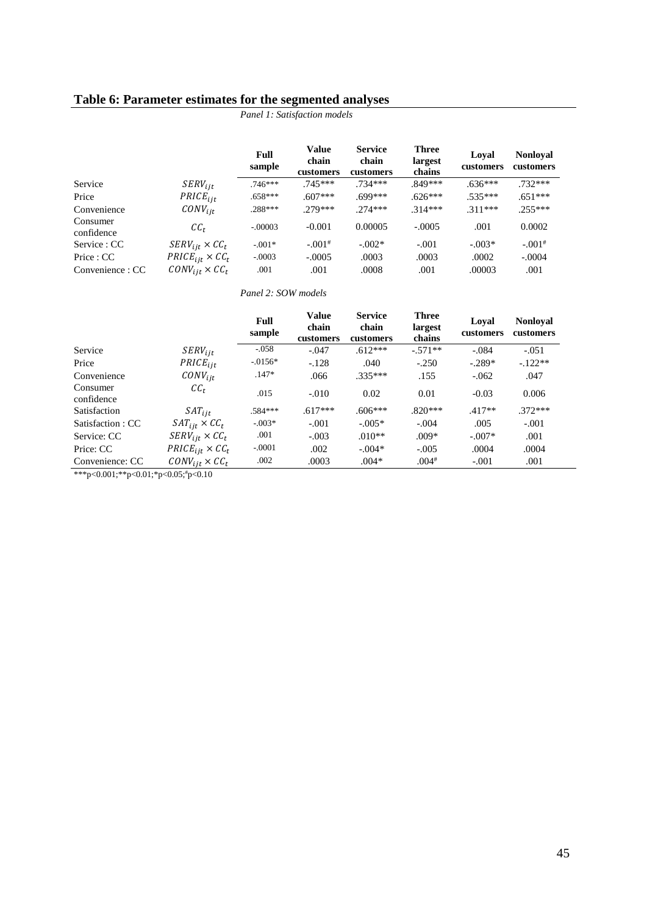# **Table 6: Parameter estimates for the segmented analyses**

|                        |                                                     | Full<br>sample | <b>Value</b><br>chain<br>customers | <b>Service</b><br>chain<br>customers | <b>Three</b><br>largest<br>chains | Loval<br>customers | <b>Nonloval</b><br>customers |
|------------------------|-----------------------------------------------------|----------------|------------------------------------|--------------------------------------|-----------------------------------|--------------------|------------------------------|
| Service                | $SERV_{i}$                                          | $.746***$      | $.745***$                          | 734***                               | $.849***$                         | $.636***$          | $.732***$                    |
| Price                  | $PRICE_{iit}$                                       | $.658***$      | $.607***$                          | $.699***$                            | $.626***$                         | $.535***$          | $.651***$                    |
| Convenience            | $CONV_{iit}$                                        | $.288***$      | $279***$                           | $274***$                             | $.314***$                         | $.311***$          | $.255***$                    |
| Consumer<br>confidence | $\mathcal{C}\mathcal{C}_t$                          | $-.00003$      | $-0.001$                           | 0.00005                              | $-.0005$                          | .001               | 0.0002                       |
| Service : CC           | $SERV_{iit} \times CC_t$                            | $-.001*$       | $-.001$ <sup>#</sup>               | $-.002*$                             | $-.001$                           | $-.003*$           | $-.001$ <sup>#</sup>         |
| Price : CC             | $PRICE_{iit} \times CC_t$                           | $-.0003$       | $-.0005$                           | .0003                                | .0003                             | .0002              | $-.0004$                     |
| Convenience : CC       | $\mathcal{CONV}_{\text{iit}} \times \mathcal{CC}_t$ | .001           | .001                               | .0008                                | .001                              | .00003             | .001                         |

*Panel 1: Satisfaction models*

*Panel 2: SOW models*

|                        |                                                | Full<br>sample | <b>Value</b><br>chain<br>customers | <b>Service</b><br>chain<br>customers | <b>Three</b><br>largest<br>chains | Loval<br>customers | <b>Nonloval</b><br>customers |
|------------------------|------------------------------------------------|----------------|------------------------------------|--------------------------------------|-----------------------------------|--------------------|------------------------------|
| Service                | $SERV_{ijt}$                                   | $-.058$        | $-.047$                            | $.612***$                            | $-.571**$                         | $-.084$            | $-.051$                      |
| Price                  | $PRICE_{ijt}$                                  | $-0.0156*$     | $-.128$                            | .040                                 | $-.250$                           | $-.289*$           | $-122**$                     |
| Convenience            | $\mathcal{CONV}_{\text{iit}}$                  | $.147*$        | .066                               | $.335***$                            | .155                              | $-.062$            | .047                         |
| Consumer<br>confidence | $\mathcal{C}\mathcal{C}_t$                     | .015           | $-.010$                            | 0.02                                 | 0.01                              | $-0.03$            | 0.006                        |
| Satisfaction           | $SAT_{ijt}$                                    | $.584***$      | $.617***$                          | $.606***$                            | $.820***$                         | $.417**$           | $.372***$                    |
| Satisfaction: CC       | $SAT_{iit} \times CC_t$                        | $-.003*$       | $-.001$                            | $-.005*$                             | $-.004$                           | .005               | $-.001$                      |
| Service: CC            | $SERV_{iit} \times CC_t$                       | .001           | $-.003$                            | $.010**$                             | $.009*$                           | $-.007*$           | .001                         |
| Price: CC              | $PRICE_{ijt} \times CC_t$                      | $-.0001$       | .002                               | $-.004*$                             | $-.005$                           | .0004              | .0004                        |
| Convenience: CC        | $\mathcal{CONV}_{iit} \times \mathcal{CC}_{t}$ | .002           | .0003                              | $.004*$                              | $.004*$                           | $-.001$            | .001                         |

\*\*\*p<0.001;\*\*p<0.01;\*p<0.05;# p<0.10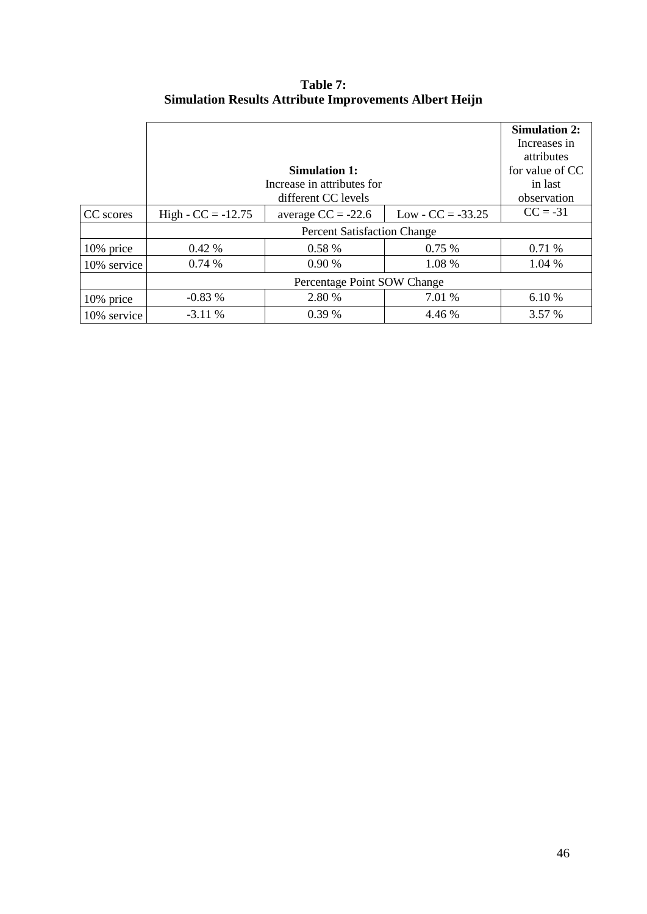|             |                                    |                            |                     | <b>Simulation 2:</b> |  |  |  |  |
|-------------|------------------------------------|----------------------------|---------------------|----------------------|--|--|--|--|
|             |                                    | Increases in               |                     |                      |  |  |  |  |
|             |                                    |                            |                     | attributes           |  |  |  |  |
|             |                                    | <b>Simulation 1:</b>       |                     | for value of CC      |  |  |  |  |
|             |                                    | Increase in attributes for |                     | in last              |  |  |  |  |
|             |                                    | observation                |                     |                      |  |  |  |  |
| CC scores   | High - $CC = -12.75$               | average $CC = -22.6$       | Low - $CC = -33.25$ | $CC = -31$           |  |  |  |  |
|             | <b>Percent Satisfaction Change</b> |                            |                     |                      |  |  |  |  |
| 10% price   | 0.42%                              | 0.58%                      | 0.75%               | 0.71%                |  |  |  |  |
| 10% service | 0.74%                              | 0.90%                      | 1.08 %              | 1.04 %               |  |  |  |  |
|             | Percentage Point SOW Change        |                            |                     |                      |  |  |  |  |
| 10% price   | $-0.83%$                           | 2.80 %                     | 7.01 %              | 6.10 %               |  |  |  |  |
| 10% service | $-3.11%$                           | 0.39%                      | 4.46 %              | 3.57 %               |  |  |  |  |

**Table 7: Simulation Results Attribute Improvements Albert Heijn**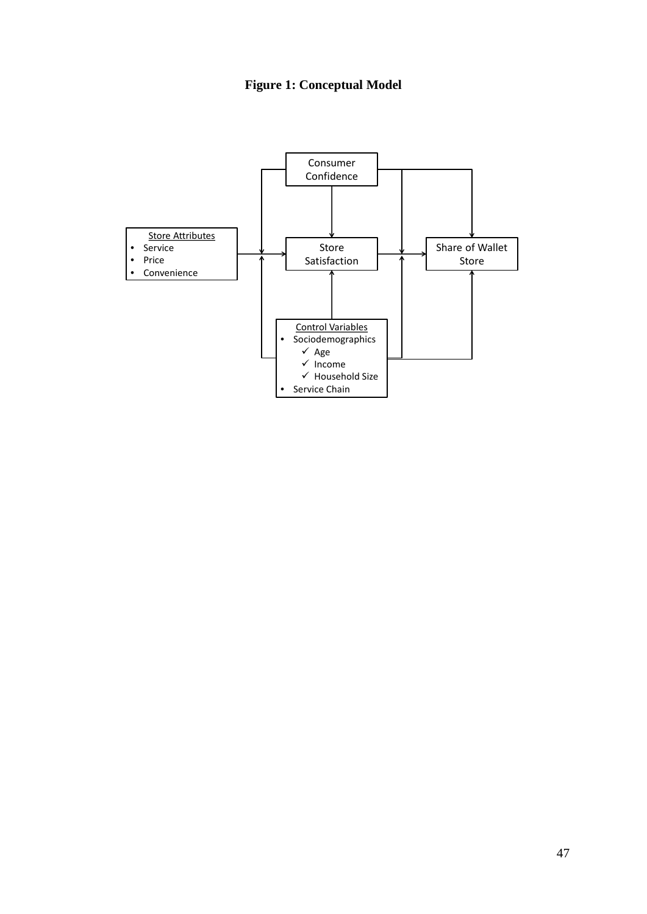# **Figure 1: Conceptual Model**

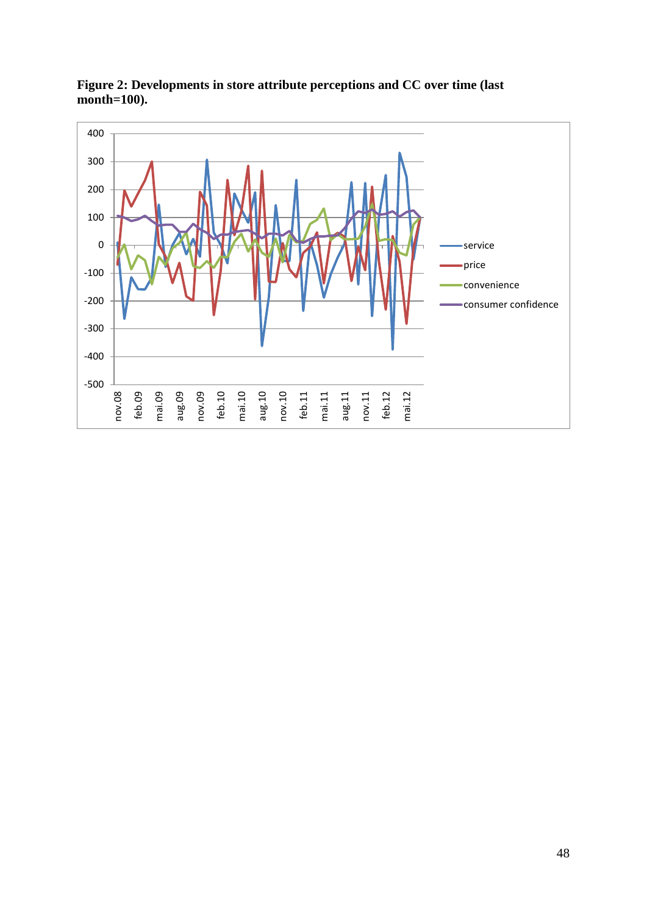

**Figure 2: Developments in store attribute perceptions and CC over time (last month=100).**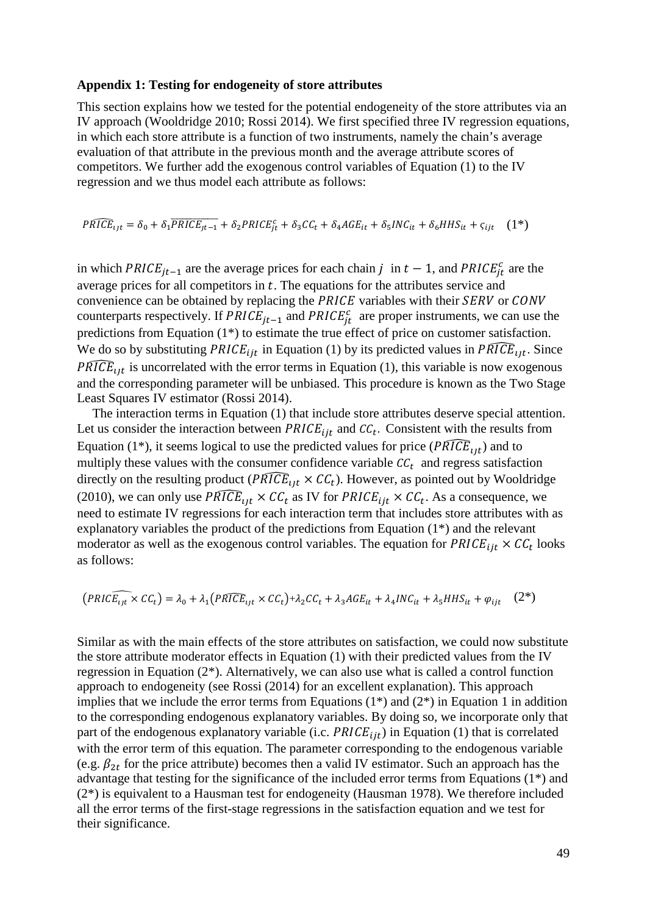#### **Appendix 1: Testing for endogeneity of store attributes**

This section explains how we tested for the potential endogeneity of the store attributes via an IV approach (Wooldridge 2010; Rossi 2014). We first specified three IV regression equations, in which each store attribute is a function of two instruments, namely the chain's average evaluation of that attribute in the previous month and the average attribute scores of competitors. We further add the exogenous control variables of Equation (1) to the IV regression and we thus model each attribute as follows:

 $\widehat{PICE}_{tt} = \delta_0 + \delta_1 \overline{PRICE_{tt-1}} + \delta_2 \overline{PRICE_{it}^c} + \delta_3 \overline{CC_t} + \delta_4 \overline{AGE_{it}} + \delta_5 \overline{INC_{it}} + \delta_6 \overline{HHS_{it}} + \varsigma_{iit}$  (1\*)

in which  $PRICE_{it-1}$  are the average prices for each chain j in  $t - 1$ , and  $PRICE_{it}^c$  are the average prices for all competitors in  $t$ . The equations for the attributes service and convenience can be obtained by replacing the *PRICE* variables with their *SERV* or *CONV* counterparts respectively. If  $PRICE_{jt-1}$  and  $PRICE_{jt}^c$  are proper instruments, we can use the predictions from Equation (1\*) to estimate the true effect of price on customer satisfaction. We do so by substituting *PRICE<sub>ijt</sub>* in Equation (1) by its predicted values in  $P\overline{RICE}_{11}$ . Since  $\widehat{PRICE}_{ijt}$  is uncorrelated with the error terms in Equation (1), this variable is now exogenous and the corresponding parameter will be unbiased. This procedure is known as the Two Stage Least Squares IV estimator (Rossi 2014).

The interaction terms in Equation (1) that include store attributes deserve special attention. Let us consider the interaction between  $PRICE_{i}$  and  $CC_t$ . Consistent with the results from Equation (1\*), it seems logical to use the predicted values for price ( $\widehat{PRICE}_{\iota \iota \iota}$ ) and to multiply these values with the consumer confidence variable  $CC<sub>t</sub>$  and regress satisfaction directly on the resulting product ( $\widehat{PRICE}_{\iota\iota\iota} \times CC_{\iota}$ ). However, as pointed out by Wooldridge (2010), we can only use  $\widehat{PRICE}_{11t} \times CC_t$  as IV for  $PRICE_{1it} \times CC_t$ . As a consequence, we need to estimate IV regressions for each interaction term that includes store attributes with as explanatory variables the product of the predictions from Equation (1\*) and the relevant moderator as well as the exogenous control variables. The equation for  $PRICE_{ijt} \times CC_t$  looks as follows:

$$
(PRICE_{ijt} \times CC_t) = \lambda_0 + \lambda_1 (PRICE_{ijt} \times CC_t) + \lambda_2 CC_t + \lambda_3AGE_{it} + \lambda_4 INC_{it} + \lambda_5 HHS_{it} + \varphi_{ijt} \quad (2^*)
$$

Similar as with the main effects of the store attributes on satisfaction, we could now substitute the store attribute moderator effects in Equation (1) with their predicted values from the IV regression in Equation (2\*). Alternatively, we can also use what is called a control function approach to endogeneity (see Rossi (2014) for an excellent explanation). This approach implies that we include the error terms from Equations  $(1^*)$  and  $(2^*)$  in Equation 1 in addition to the corresponding endogenous explanatory variables. By doing so, we incorporate only that part of the endogenous explanatory variable (i.c.  $PRICE_{iit}$ ) in Equation (1) that is correlated with the error term of this equation. The parameter corresponding to the endogenous variable (e.g.  $\beta_{2t}$  for the price attribute) becomes then a valid IV estimator. Such an approach has the advantage that testing for the significance of the included error terms from Equations (1\*) and (2\*) is equivalent to a Hausman test for endogeneity (Hausman 1978). We therefore included all the error terms of the first-stage regressions in the satisfaction equation and we test for their significance.